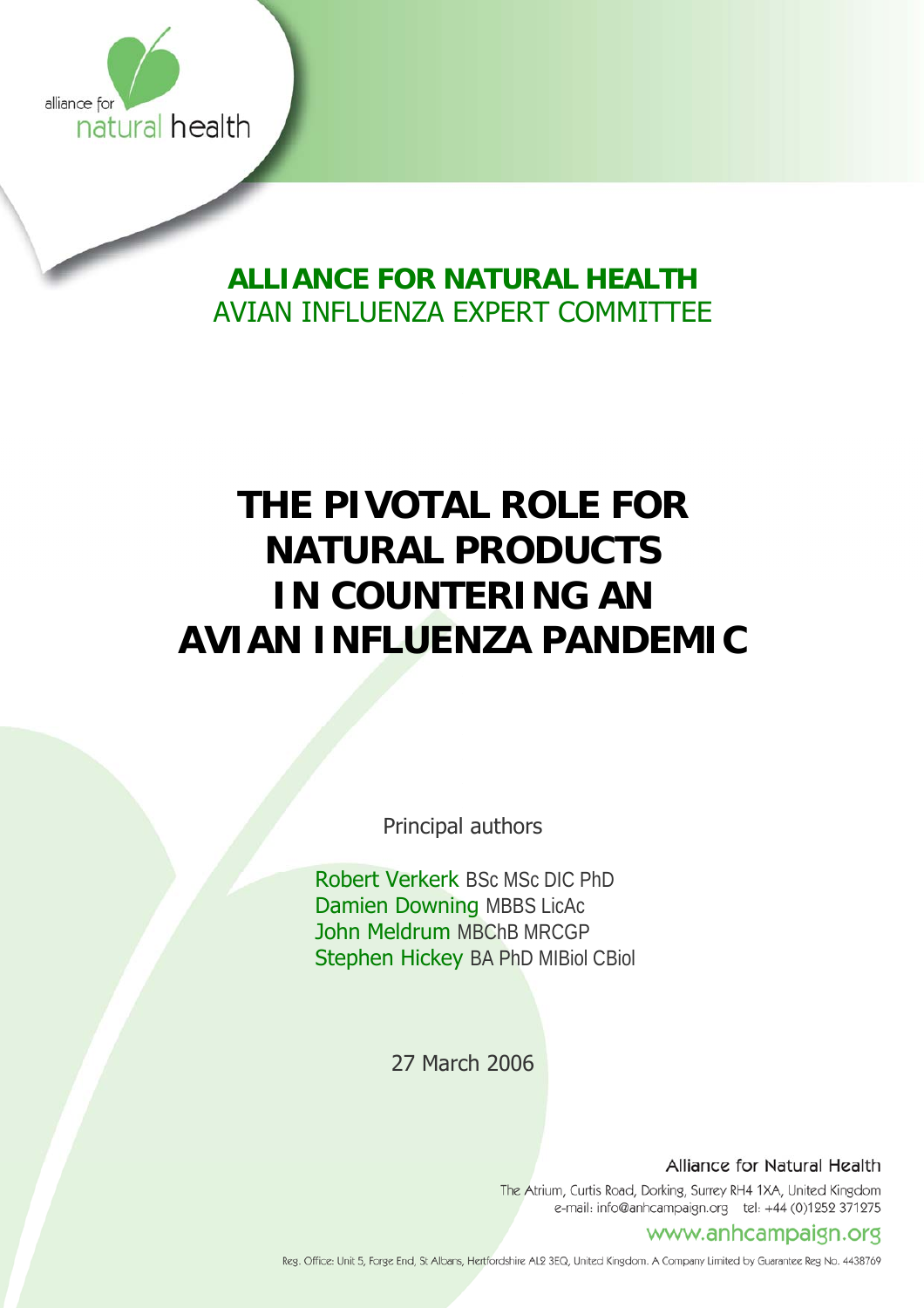

# **ALLIANCE FOR NATURAL HEALTH**  AVIAN INFLUENZA EXPERT COMMITTEE

# **THE PIVOTAL ROLE FOR NATURAL PRODUCTS IN COUNTERING AN AVIAN INFLUENZA PANDEMIC**

Principal authors

 Robert Verkerk BSc MSc DIC PhD Damien Downing MBBS LicAc John Meldrum MBChB MRCGP Stephen Hickey BA PhD MIBiol CBiol

27 March 2006

Alliance for Natural Health

The Atrium, Curtis Road, Dorking, Surrey RH4 1XA, United Kingdom e-mail: info@anhcampaign.org tel: +44 (0)1252 371275

# www.anhcampaign.org

Reg. Office: Unit 5, Forge End, St Albans, Hertfordshire AL2 3EQ, United Kingdom. A Company Limited by Guarantee Reg No. 4438769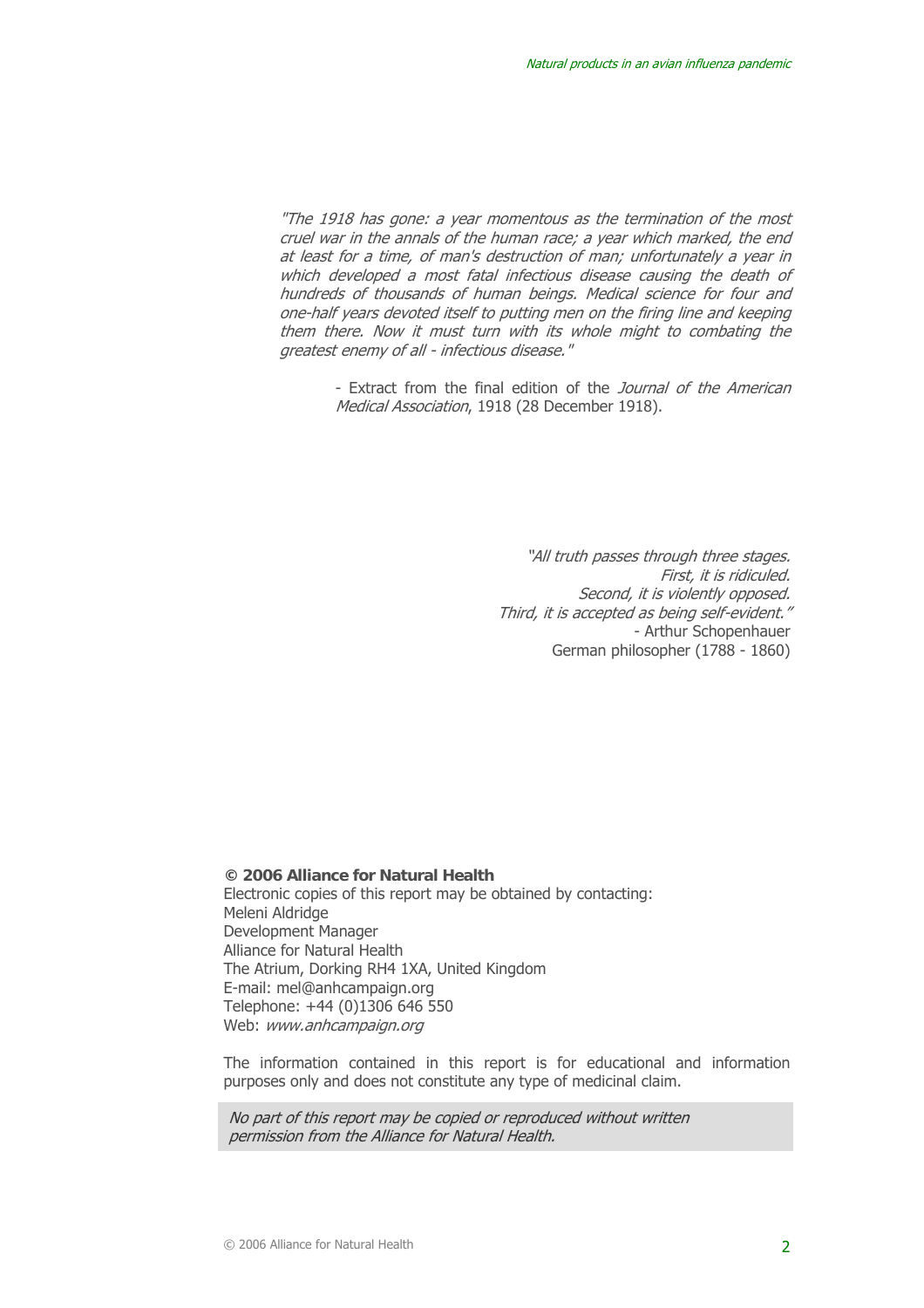"The 1918 has gone: a year momentous as the termination of the most cruel war in the annals of the human race; a year which marked, the end at least for a time, of man's destruction of man; unfortunately a year in which developed a most fatal infectious disease causing the death of hundreds of thousands of human beings. Medical science for four and one-half years devoted itself to putting men on the firing line and keeping them there. Now it must turn with its whole might to combating the greatest enemy of all - infectious disease."

> - Extract from the final edition of the *Journal of the American* Medical Association, 1918 (28 December 1918).

> > "All truth passes through three stages. First, it is ridiculed. Second, it is violently opposed. Third, it is accepted as being self-evident." - Arthur Schopenhauer German philosopher (1788 - 1860)

**© 2006 Alliance for Natural Health**  Electronic copies of this report may be obtained by contacting: Meleni Aldridge Development Manager Alliance for Natural Health The Atrium, Dorking RH4 1XA, United Kingdom E-mail: mel@anhcampaign.org Telephone: +44 (0)1306 646 550 Web: www.anhcampaign.org

The information contained in this report is for educational and information purposes only and does not constitute any type of medicinal claim.

No part of this report may be copied or reproduced without written permission from the Alliance for Natural Health.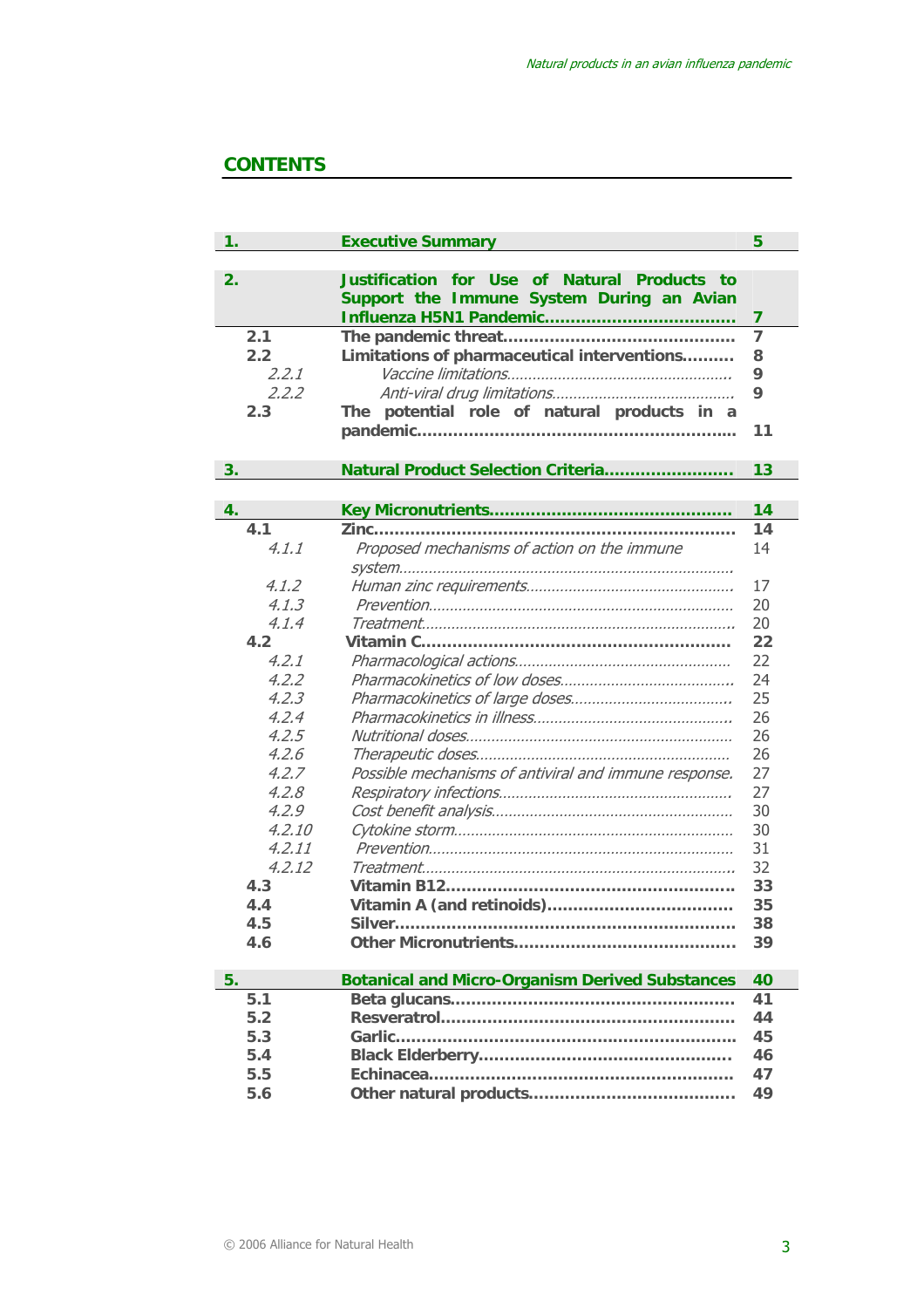# **CONTENTS**

| 1.     | <b>Executive Summary</b>                                                                                 | 5              |  |
|--------|----------------------------------------------------------------------------------------------------------|----------------|--|
| 2.     | Justification for Use of<br><b>Natural Products</b><br>to t<br>Support the Immune System During an Avian | 7              |  |
| 2.1    |                                                                                                          | $\overline{7}$ |  |
| 2.2    | Limitations of pharmaceutical interventions                                                              |                |  |
| 2.2.1  |                                                                                                          | 8<br>9         |  |
| 2,2,2  |                                                                                                          |                |  |
| 2.3    | The potential role of natural products in a                                                              |                |  |
|        |                                                                                                          | 11             |  |
| 3.     | Natural Product Selection Criteria                                                                       | 13             |  |
|        |                                                                                                          |                |  |
| 4.     |                                                                                                          | 14             |  |
| 4.1    |                                                                                                          | 14             |  |
| 4.1.1  | Proposed mechanisms of action on the immune                                                              | 14             |  |
|        |                                                                                                          |                |  |
| 4.1.2  |                                                                                                          | 17             |  |
| 4.1.3  |                                                                                                          | 20             |  |
| 4.1.4  |                                                                                                          | 20             |  |
| 4.2    |                                                                                                          | 22             |  |
| 4.2.1  |                                                                                                          | 22             |  |
| 4.2.2  |                                                                                                          | 24             |  |
| 4,2,3  |                                                                                                          | 25             |  |
| 4,2,4  |                                                                                                          | 26             |  |
| 4.2.5  |                                                                                                          | 26             |  |
| 4.2.6  |                                                                                                          | 26             |  |
| 4.2.7  | Possible mechanisms of antiviral and immune response.                                                    | 27             |  |
| 4.2.8  |                                                                                                          | 27             |  |
| 4,2,9  |                                                                                                          | 30             |  |
| 4,2,10 |                                                                                                          | 30             |  |
| 4.2.11 |                                                                                                          | 31             |  |
| 4,2,12 |                                                                                                          | 32             |  |
| 4.3    |                                                                                                          | 33             |  |
| 4.4    |                                                                                                          | 35             |  |
| 4.5    |                                                                                                          | 38             |  |
| 4.6    |                                                                                                          | 39             |  |
|        |                                                                                                          |                |  |
| 5.     | <b>Botanical and Micro-Organism Derived Substances</b>                                                   | 40             |  |
| 5.1    |                                                                                                          | 41             |  |
| 5.2    |                                                                                                          | 44             |  |
| 5.3    |                                                                                                          | 45             |  |
| 5.4    |                                                                                                          | 46             |  |
| 5.5    |                                                                                                          | 47             |  |
| 5.6    |                                                                                                          | 49             |  |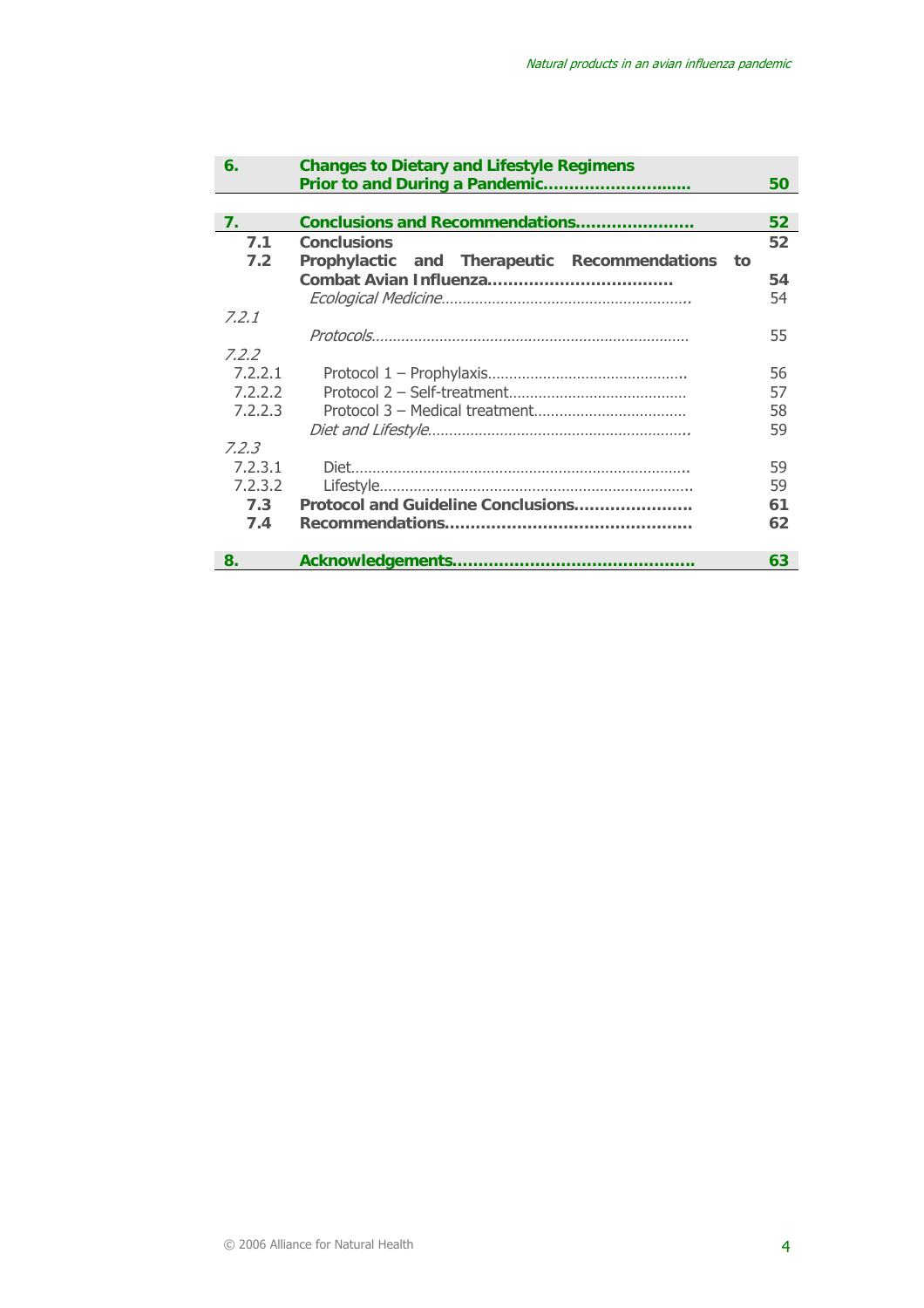| 6.             | <b>Changes to Dietary and Lifestyle Regimens</b>    |                 |
|----------------|-----------------------------------------------------|-----------------|
|                |                                                     | 50              |
|                |                                                     |                 |
| 7 <sub>1</sub> | Conclusions and Recommendations                     | 52 <sub>2</sub> |
| 7.1            | <b>Conclusions</b>                                  | 52              |
| 7.2            | Prophylactic and Therapeutic Recommendations<br>to: |                 |
|                |                                                     | 54              |
|                |                                                     | 54              |
| 7.2.1          |                                                     |                 |
|                |                                                     | 55              |
| 7.2.2          |                                                     |                 |
| 7.2.2.1        |                                                     | 56              |
| 7.2.2.2        | 57                                                  |                 |
| 7.2.2.3        | 58                                                  |                 |
|                | 59                                                  |                 |
| 7.2.3          |                                                     |                 |
| 7.2.3.1        | 59                                                  |                 |
| 7.2.3.2        | 59                                                  |                 |
| 7.3            | Protocol and Guideline Conclusions<br>61            |                 |
| 7.4            | 62                                                  |                 |
|                |                                                     |                 |
| 8.             |                                                     | 63              |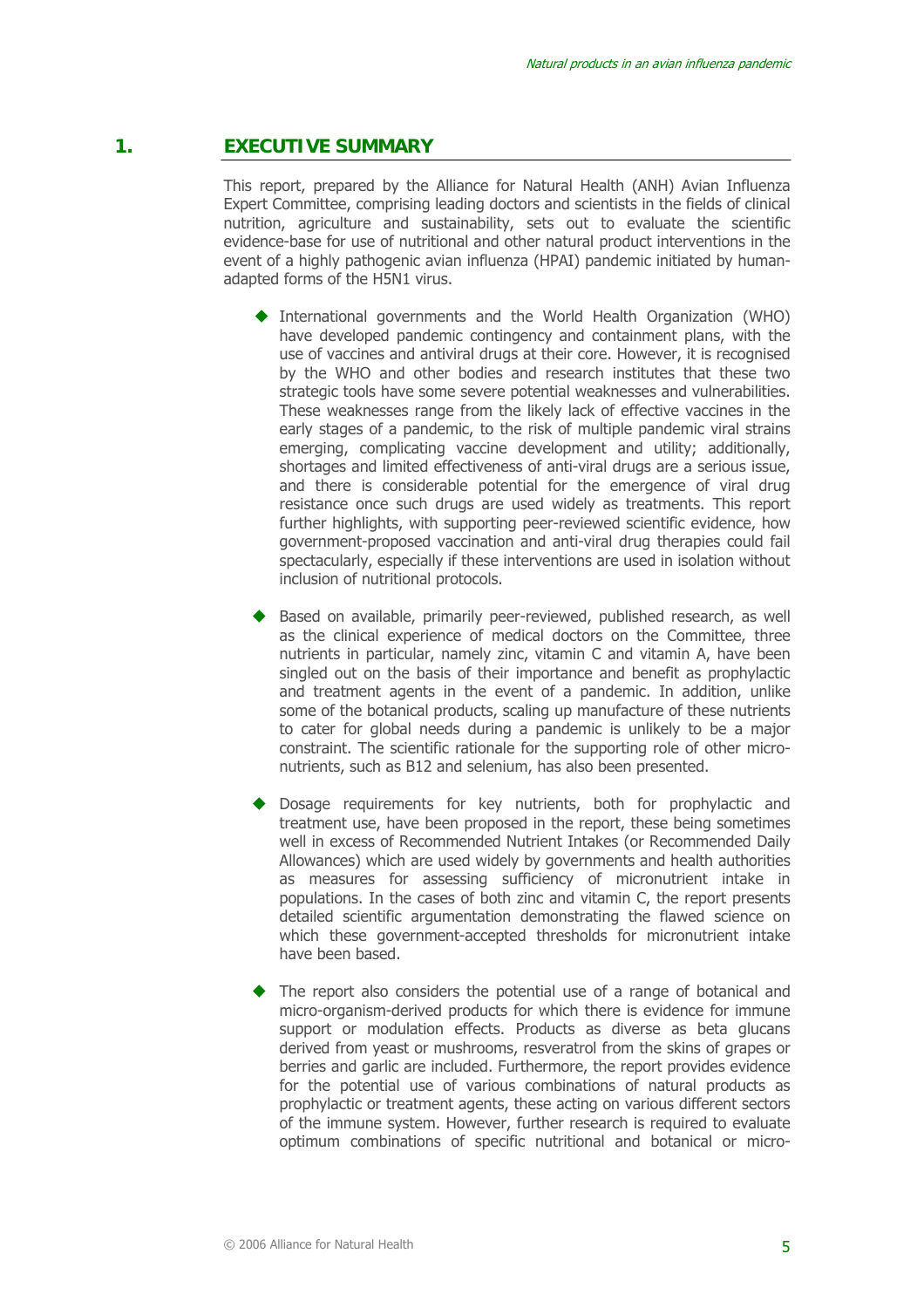# **1. EXECUTIVE SUMMARY**

This report, prepared by the Alliance for Natural Health (ANH) Avian Influenza Expert Committee, comprising leading doctors and scientists in the fields of clinical nutrition, agriculture and sustainability, sets out to evaluate the scientific evidence-base for use of nutritional and other natural product interventions in the event of a highly pathogenic avian influenza (HPAI) pandemic initiated by humanadapted forms of the H5N1 virus.

- International governments and the World Health Organization (WHO) have developed pandemic contingency and containment plans, with the use of vaccines and antiviral drugs at their core. However, it is recognised by the WHO and other bodies and research institutes that these two strategic tools have some severe potential weaknesses and vulnerabilities. These weaknesses range from the likely lack of effective vaccines in the early stages of a pandemic, to the risk of multiple pandemic viral strains emerging, complicating vaccine development and utility; additionally, shortages and limited effectiveness of anti-viral drugs are a serious issue, and there is considerable potential for the emergence of viral drug resistance once such drugs are used widely as treatments. This report further highlights, with supporting peer-reviewed scientific evidence, how government-proposed vaccination and anti-viral drug therapies could fail spectacularly, especially if these interventions are used in isolation without inclusion of nutritional protocols.
- Based on available, primarily peer-reviewed, published research, as well as the clinical experience of medical doctors on the Committee, three nutrients in particular, namely zinc, vitamin C and vitamin A, have been singled out on the basis of their importance and benefit as prophylactic and treatment agents in the event of a pandemic. In addition, unlike some of the botanical products, scaling up manufacture of these nutrients to cater for global needs during a pandemic is unlikely to be a major constraint. The scientific rationale for the supporting role of other micronutrients, such as B12 and selenium, has also been presented.
- Dosage requirements for key nutrients, both for prophylactic and treatment use, have been proposed in the report, these being sometimes well in excess of Recommended Nutrient Intakes (or Recommended Daily Allowances) which are used widely by governments and health authorities as measures for assessing sufficiency of micronutrient intake in populations. In the cases of both zinc and vitamin C, the report presents detailed scientific argumentation demonstrating the flawed science on which these government-accepted thresholds for micronutrient intake have been based.
- The report also considers the potential use of a range of botanical and micro-organism-derived products for which there is evidence for immune support or modulation effects. Products as diverse as beta glucans derived from yeast or mushrooms, resveratrol from the skins of grapes or berries and garlic are included. Furthermore, the report provides evidence for the potential use of various combinations of natural products as prophylactic or treatment agents, these acting on various different sectors of the immune system. However, further research is required to evaluate optimum combinations of specific nutritional and botanical or micro-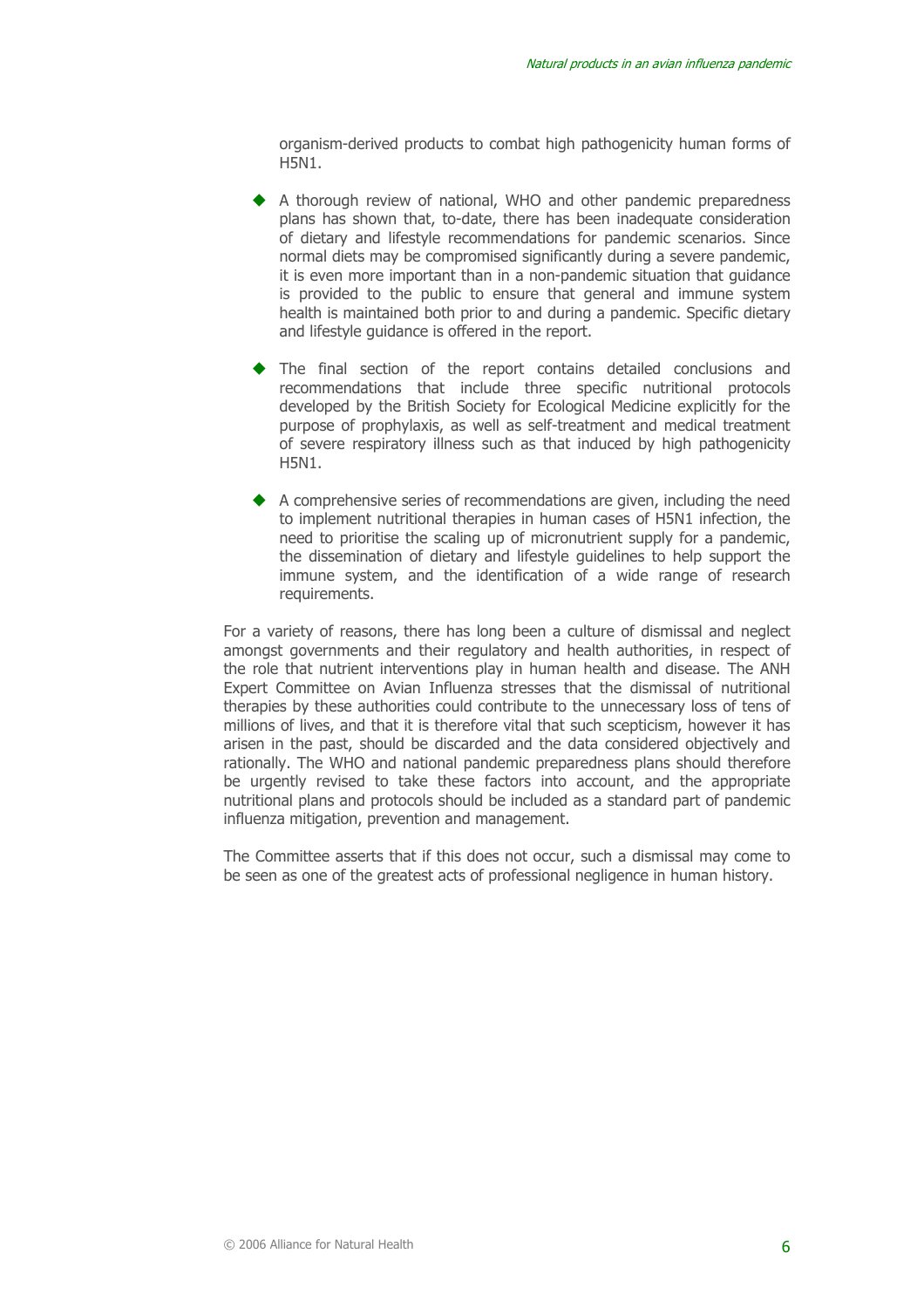organism-derived products to combat high pathogenicity human forms of H5N1.

- A thorough review of national, WHO and other pandemic preparedness plans has shown that, to-date, there has been inadequate consideration of dietary and lifestyle recommendations for pandemic scenarios. Since normal diets may be compromised significantly during a severe pandemic, it is even more important than in a non-pandemic situation that guidance is provided to the public to ensure that general and immune system health is maintained both prior to and during a pandemic. Specific dietary and lifestyle guidance is offered in the report.
- The final section of the report contains detailed conclusions and recommendations that include three specific nutritional protocols developed by the British Society for Ecological Medicine explicitly for the purpose of prophylaxis, as well as self-treatment and medical treatment of severe respiratory illness such as that induced by high pathogenicity H5N1.
- A comprehensive series of recommendations are given, including the need to implement nutritional therapies in human cases of H5N1 infection, the need to prioritise the scaling up of micronutrient supply for a pandemic, the dissemination of dietary and lifestyle guidelines to help support the immune system, and the identification of a wide range of research requirements.

For a variety of reasons, there has long been a culture of dismissal and neglect amongst governments and their regulatory and health authorities, in respect of the role that nutrient interventions play in human health and disease. The ANH Expert Committee on Avian Influenza stresses that the dismissal of nutritional therapies by these authorities could contribute to the unnecessary loss of tens of millions of lives, and that it is therefore vital that such scepticism, however it has arisen in the past, should be discarded and the data considered objectively and rationally. The WHO and national pandemic preparedness plans should therefore be urgently revised to take these factors into account, and the appropriate nutritional plans and protocols should be included as a standard part of pandemic influenza mitigation, prevention and management.

The Committee asserts that if this does not occur, such a dismissal may come to be seen as one of the greatest acts of professional negligence in human history.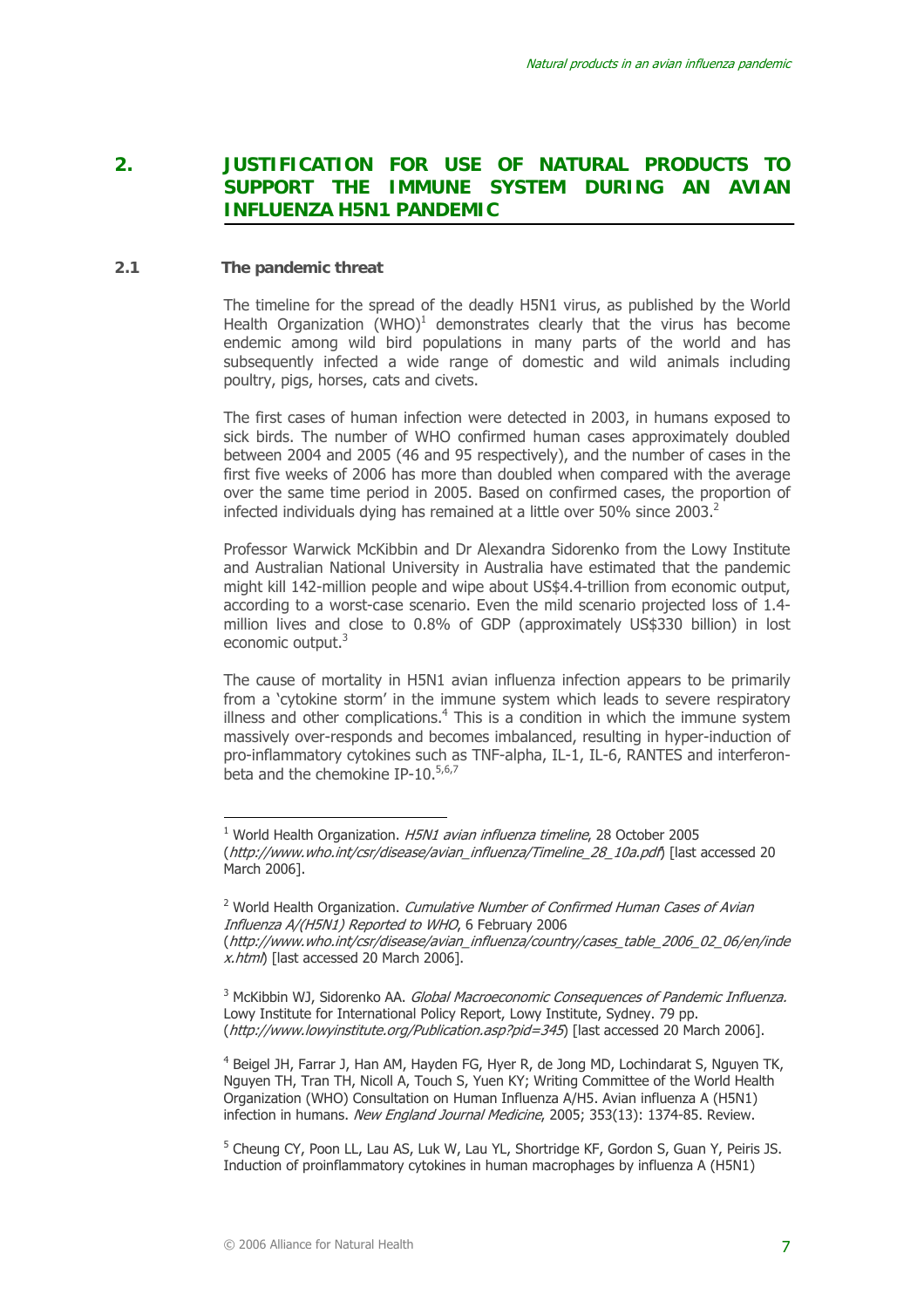# **2. JUSTIFICATION FOR USE OF NATURAL PRODUCTS TO SUPPORT THE IMMUNE SYSTEM DURING AN AVIAN INFLUENZA H5N1 PANDEMIC**

#### **2.1 The pandemic threat**

 $\overline{a}$ 

The timeline for the spread of the deadly H5N1 virus, as published by the World Health Organization  $(WHO)^1$  demonstrates clearly that the virus has become endemic among wild bird populations in many parts of the world and has subsequently infected a wide range of domestic and wild animals including poultry, pigs, horses, cats and civets.

The first cases of human infection were detected in 2003, in humans exposed to sick birds. The number of WHO confirmed human cases approximately doubled between 2004 and 2005 (46 and 95 respectively), and the number of cases in the first five weeks of 2006 has more than doubled when compared with the average over the same time period in 2005. Based on confirmed cases, the proportion of infected individuals dying has remained at a little over 50% since 2003. $^2$ 

Professor Warwick McKibbin and Dr Alexandra Sidorenko from the Lowy Institute and Australian National University in Australia have estimated that the pandemic might kill 142-million people and wipe about US\$4.4-trillion from economic output, according to a worst-case scenario. Even the mild scenario projected loss of 1.4 million lives and close to 0.8% of GDP (approximately US\$330 billion) in lost economic output.<sup>3</sup>

The cause of mortality in H5N1 avian influenza infection appears to be primarily from a 'cytokine storm' in the immune system which leads to severe respiratory illness and other complications. $4$  This is a condition in which the immune system massively over-responds and becomes imbalanced, resulting in hyper-induction of pro-inflammatory cytokines such as TNF-alpha, IL-1, IL-6, RANTES and interferonbeta and the chemokine IP-10. $5,6,7$ 

<sup>&</sup>lt;sup>1</sup> World Health Organization. H5N1 avian influenza timeline, 28 October 2005 (http://www.who.int/csr/disease/avian\_influenza/Timeline\_28\_10a.pdf) [last accessed 20 March 2006].

<sup>&</sup>lt;sup>2</sup> World Health Organization. *Cumulative Number of Confirmed Human Cases of Avian* Influenza A/(H5N1) Reported to WHO, 6 February 2006 (http://www.who.int/csr/disease/avian\_influenza/country/cases\_table\_2006\_02\_06/en/inde x.html) [last accessed 20 March 2006].

<sup>&</sup>lt;sup>3</sup> McKibbin WJ, Sidorenko AA. *Global Macroeconomic Consequences of Pandemic Influenza.* Lowy Institute for International Policy Report, Lowy Institute, Sydney. 79 pp. (http://www.lowyinstitute.org/Publication.asp?pid=345) [last accessed 20 March 2006].

<sup>&</sup>lt;sup>4</sup> Beigel JH, Farrar J, Han AM, Hayden FG, Hyer R, de Jong MD, Lochindarat S, Nguyen TK, Nguyen TH, Tran TH, Nicoll A, Touch S, Yuen KY; Writing Committee of the World Health Organization (WHO) Consultation on Human Influenza A/H5. Avian influenza A (H5N1) infection in humans. New England Journal Medicine, 2005; 353(13): 1374-85. Review.

<sup>&</sup>lt;sup>5</sup> Cheung CY, Poon LL, Lau AS, Luk W, Lau YL, Shortridge KF, Gordon S, Guan Y, Peiris JS. Induction of proinflammatory cytokines in human macrophages by influenza A (H5N1)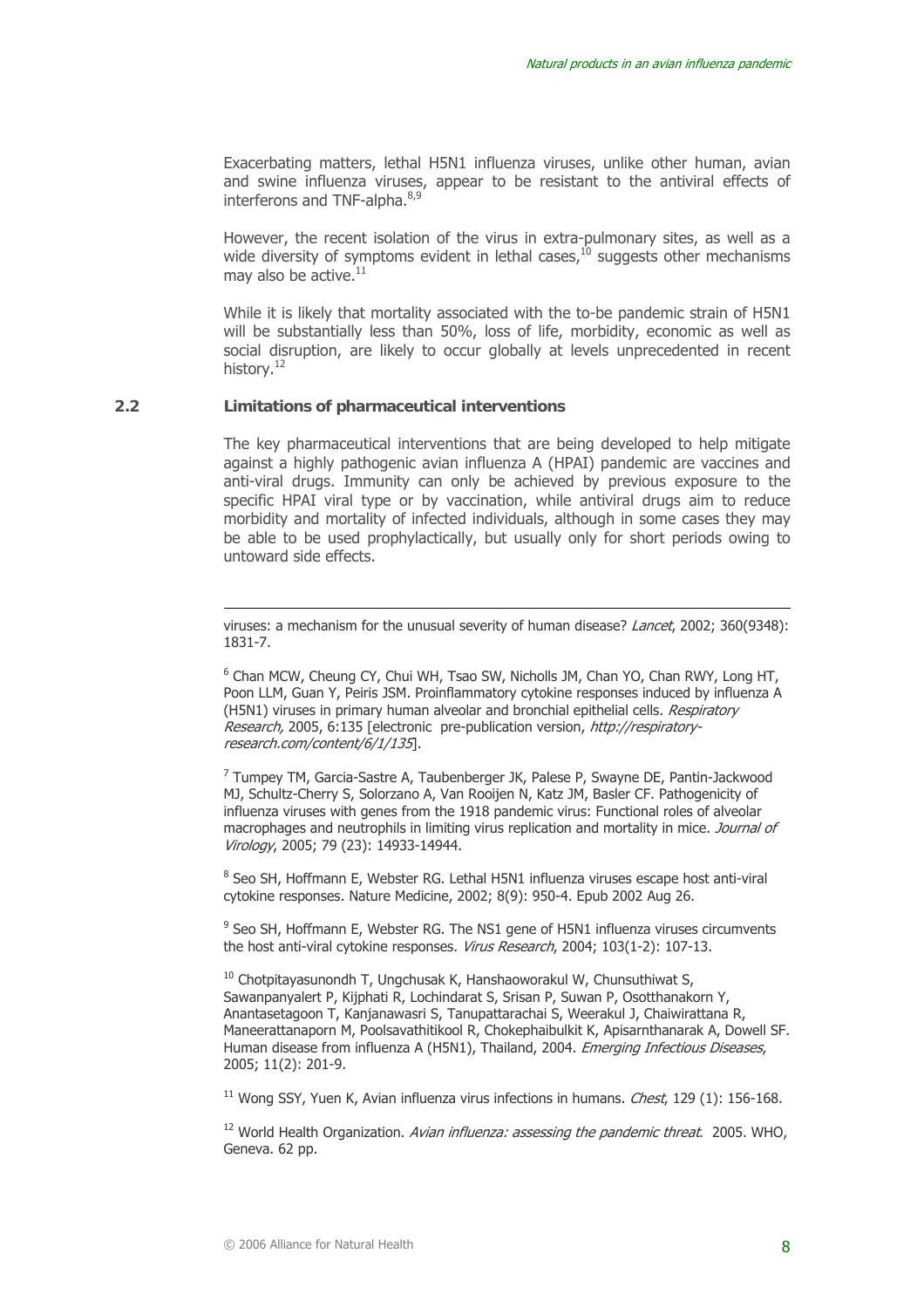Exacerbating matters, lethal H5N1 influenza viruses, unlike other human, avian and swine influenza viruses, appear to be resistant to the antiviral effects of interferons and TNF-alpha.<sup>8,9</sup>

However, the recent isolation of the virus in extra-pulmonary sites, as well as a wide diversity of symptoms evident in lethal cases, $^{10}$  suggests other mechanisms may also be active.<sup>11</sup>

While it is likely that mortality associated with the to-be pandemic strain of H5N1 will be substantially less than 50%, loss of life, morbidity, economic as well as social disruption, are likely to occur globally at levels unprecedented in recent history.<sup>12</sup>

#### **2.2 Limitations of pharmaceutical interventions**

 $\overline{a}$ 

The key pharmaceutical interventions that are being developed to help mitigate against a highly pathogenic avian influenza A (HPAI) pandemic are vaccines and anti-viral drugs. Immunity can only be achieved by previous exposure to the specific HPAI viral type or by vaccination, while antiviral drugs aim to reduce morbidity and mortality of infected individuals, although in some cases they may be able to be used prophylactically, but usually only for short periods owing to untoward side effects.

<sup>6</sup> Chan MCW, Cheung CY, Chui WH, Tsao SW, Nicholls JM, Chan YO, Chan RWY, Long HT, Poon LLM, Guan Y, Peiris JSM. Proinflammatory cytokine responses induced by influenza A (H5N1) viruses in primary human alveolar and bronchial epithelial cells. Respiratory Research, 2005, 6:135 [electronic pre-publication version, http://respiratoryresearch.com/content/6/1/135].

<sup>7</sup> Tumpey TM, Garcia-Sastre A, Taubenberger JK, Palese P, Swayne DE, Pantin-Jackwood MJ, Schultz-Cherry S, Solorzano A, Van Rooijen N, Katz JM, Basler CF. Pathogenicity of influenza viruses with genes from the 1918 pandemic virus: Functional roles of alveolar macrophages and neutrophils in limiting virus replication and mortality in mice. Journal of Virology, 2005; 79 (23): 14933-14944.

<sup>8</sup> Seo SH, Hoffmann E, Webster RG. Lethal H5N1 influenza viruses escape host anti-viral cytokine responses. Nature Medicine, 2002; 8(9): 950-4. Epub 2002 Aug 26.

<sup>9</sup> Seo SH, Hoffmann E, Webster RG. The NS1 gene of H5N1 influenza viruses circumvents the host anti-viral cytokine responses. Virus Research, 2004; 103(1-2): 107-13.

 $10$  Chotpitayasunondh T, Ungchusak K, Hanshaoworakul W, Chunsuthiwat S, Sawanpanyalert P, Kijphati R, Lochindarat S, Srisan P, Suwan P, Osotthanakorn Y, Anantasetagoon T, Kanjanawasri S, Tanupattarachai S, Weerakul J, Chaiwirattana R, Maneerattanaporn M, Poolsavathitikool R, Chokephaibulkit K, Apisarnthanarak A, Dowell SF. Human disease from influenza A (H5N1), Thailand, 2004. Emerging Infectious Diseases, 2005; 11(2): 201-9.

<sup>11</sup> Wong SSY, Yuen K, Avian influenza virus infections in humans. *Chest*, 129 (1): 156-168.

<sup>12</sup> World Health Organization. Avian influenza: assessing the pandemic threat. 2005. WHO, Geneva. 62 pp.

viruses: a mechanism for the unusual severity of human disease? Lancet, 2002; 360(9348): 1831-7.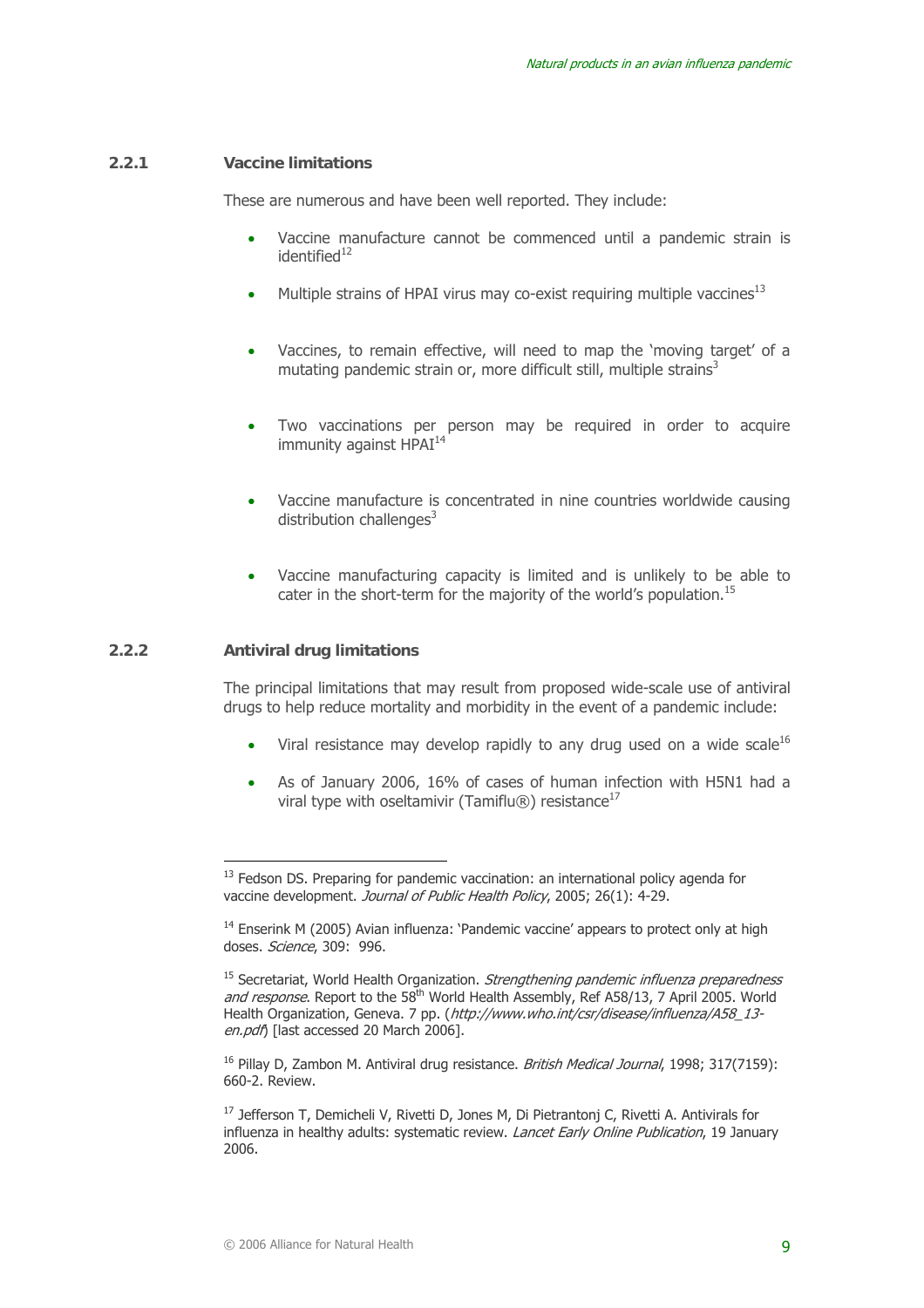#### **2.2.1 Vaccine limitations**

These are numerous and have been well reported. They include:

- Vaccine manufacture cannot be commenced until a pandemic strain is  $identified<sup>12</sup>$
- Multiple strains of HPAI virus may co-exist requiring multiple vaccines<sup>13</sup>
- Vaccines, to remain effective, will need to map the 'moving target' of a mutating pandemic strain or, more difficult still, multiple strains<sup>3</sup>
- Two vaccinations per person may be required in order to acquire immunity against HPAI<sup>14</sup>
- Vaccine manufacture is concentrated in nine countries worldwide causing distribution challenges $3$
- Vaccine manufacturing capacity is limited and is unlikely to be able to cater in the short-term for the majority of the world's population.<sup>15</sup>

#### **2.2.2 Antiviral drug limitations**

 $\overline{a}$ 

The principal limitations that may result from proposed wide-scale use of antiviral drugs to help reduce mortality and morbidity in the event of a pandemic include:

- Viral resistance may develop rapidly to any drug used on a wide scale $^{16}$
- As of January 2006, 16% of cases of human infection with H5N1 had a viral type with oseltamivir (Tamiflu®) resistance<sup>17</sup>

<sup>16</sup> Pillay D. Zambon M. Antiviral drug resistance. *British Medical Journal*, 1998; 317(7159); 660-2. Review.

<sup>17</sup> Jefferson T, Demicheli V, Rivetti D, Jones M, Di Pietrantonj C, Rivetti A. Antivirals for influenza in healthy adults: systematic review. Lancet Early Online Publication, 19 January 2006.

 $13$  Fedson DS. Preparing for pandemic vaccination: an international policy agenda for vaccine development. Journal of Public Health Policy, 2005; 26(1): 4-29.

<sup>&</sup>lt;sup>14</sup> Enserink M (2005) Avian influenza: 'Pandemic vaccine' appears to protect only at high doses. Science, 309: 996.

 $15$  Secretariat, World Health Organization. Strengthening pandemic influenza preparedness and response. Report to the 58<sup>th</sup> World Health Assembly, Ref A58/13, 7 April 2005. World Health Organization, Geneva. 7 pp. (http://www.who.int/csr/disease/influenza/A58\_13en.pdf) [last accessed 20 March 2006].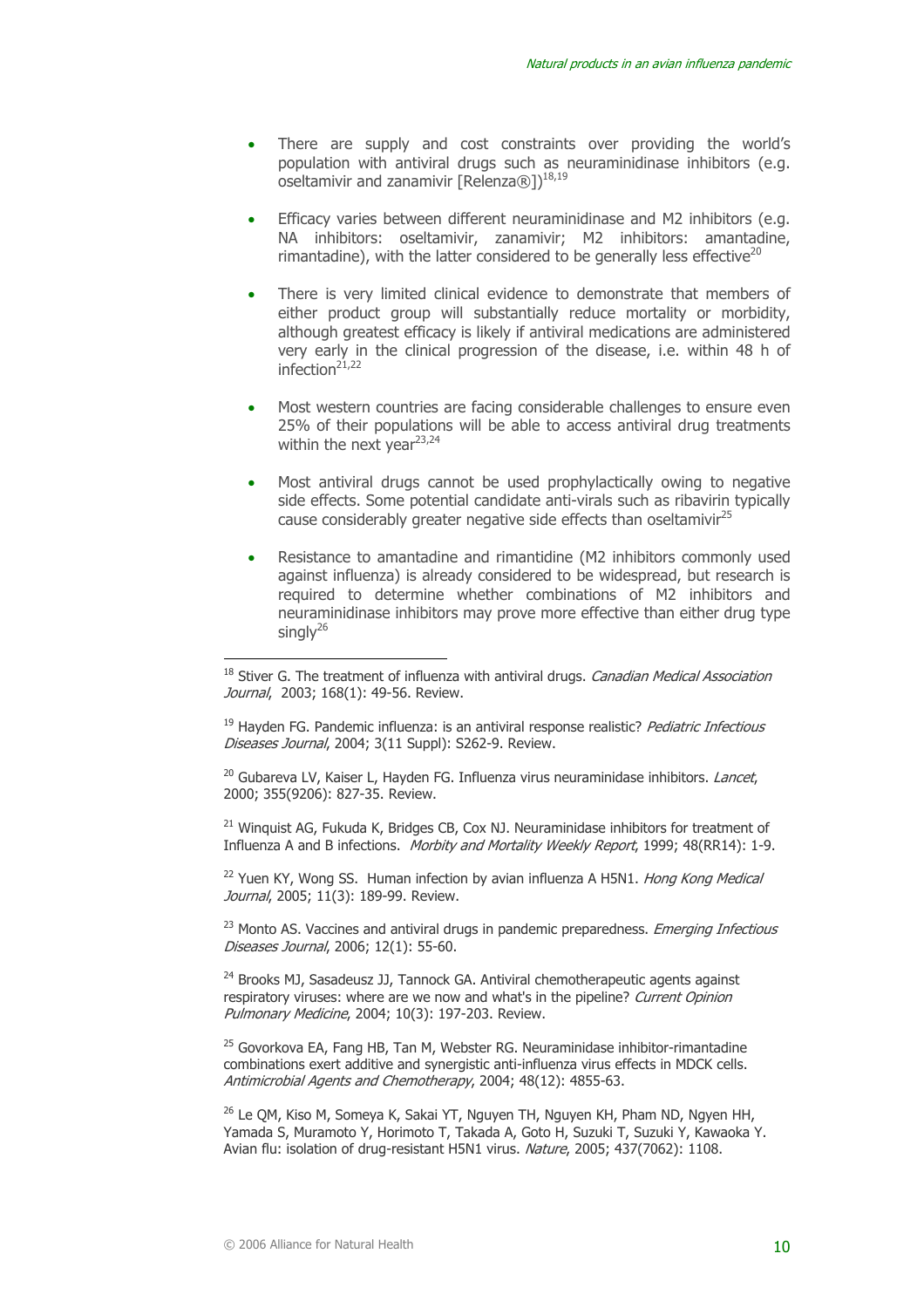- There are supply and cost constraints over providing the world's population with antiviral drugs such as neuraminidinase inhibitors (e.g. oseltamivir and zanamivir [Relenza®])<sup>18,19</sup>
- Efficacy varies between different neuraminidinase and M2 inhibitors (e.g. NA inhibitors: oseltamivir, zanamivir; M2 inhibitors: amantadine, rimantadine), with the latter considered to be generally less effective<sup>20</sup>
- There is very limited clinical evidence to demonstrate that members of either product group will substantially reduce mortality or morbidity, although greatest efficacy is likely if antiviral medications are administered very early in the clinical progression of the disease, i.e. within 48 h of infection $2^{1,22}$
- Most western countries are facing considerable challenges to ensure even 25% of their populations will be able to access antiviral drug treatments within the next year<sup>23,24</sup>
- Most antiviral drugs cannot be used prophylactically owing to negative side effects. Some potential candidate anti-virals such as ribavirin typically cause considerably greater negative side effects than oseltamivir<sup>25</sup>
- Resistance to amantadine and rimantidine (M2 inhibitors commonly used against influenza) is already considered to be widespread, but research is required to determine whether combinations of M2 inhibitors and neuraminidinase inhibitors may prove more effective than either drug type singly $26$

 $20$  Gubareva LV, Kaiser L, Hayden FG. Influenza virus neuraminidase inhibitors. *Lancet*, 2000; 355(9206): 827-35. Review.

<sup>21</sup> Winquist AG, Fukuda K, Bridges CB, Cox NJ. Neuraminidase inhibitors for treatment of Influenza A and B infections. Morbity and Mortality Weekly Report, 1999; 48(RR14): 1-9.

 $22$  Yuen KY, Wong SS. Human infection by avian influenza A H5N1. Hong Kong Medical Journal, 2005; 11(3): 189-99. Review.

<sup>23</sup> Monto AS. Vaccines and antiviral drugs in pandemic preparedness. *Emerging Infectious* Diseases Journal, 2006; 12(1): 55-60.

<sup>24</sup> Brooks MJ, Sasadeusz JJ, Tannock GA. Antiviral chemotherapeutic agents against respiratory viruses: where are we now and what's in the pipeline? Current Opinion Pulmonary Medicine, 2004; 10(3): 197-203. Review.

 $25$  Govorkova EA, Fang HB, Tan M, Webster RG. Neuraminidase inhibitor-rimantadine combinations exert additive and synergistic anti-influenza virus effects in MDCK cells. Antimicrobial Agents and Chemotherapy, 2004; 48(12): 4855-63.

<sup>26</sup> Le QM, Kiso M, Someya K, Sakai YT, Nguyen TH, Nguyen KH, Pham ND, Ngyen HH, Yamada S, Muramoto Y, Horimoto T, Takada A, Goto H, Suzuki T, Suzuki Y, Kawaoka Y. Avian flu: isolation of drug-resistant H5N1 virus. Nature, 2005; 437(7062): 1108.

<sup>&</sup>lt;sup>18</sup> Stiver G. The treatment of influenza with antiviral drugs. *Canadian Medical Association* Journal, 2003; 168(1); 49-56. Review.

 $19$  Hayden FG. Pandemic influenza: is an antiviral response realistic? Pediatric Infectious Diseases Journal, 2004; 3(11 Suppl): S262-9. Review.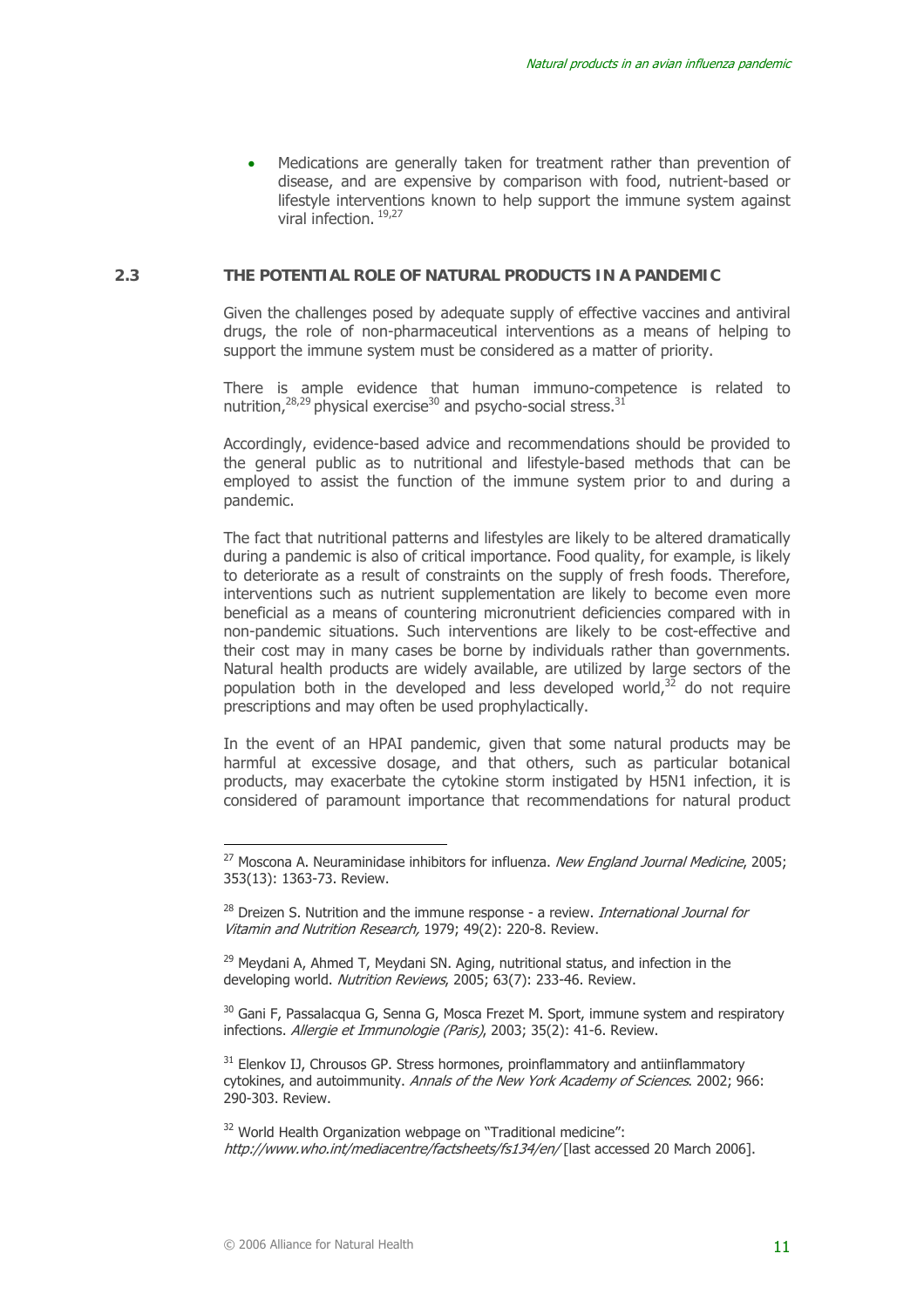Medications are generally taken for treatment rather than prevention of disease, and are expensive by comparison with food, nutrient-based or lifestyle interventions known to help support the immune system against viral infection. 19,27

#### **2.3 THE POTENTIAL ROLE OF NATURAL PRODUCTS IN A PANDEMIC**

Given the challenges posed by adequate supply of effective vaccines and antiviral drugs, the role of non-pharmaceutical interventions as a means of helping to support the immune system must be considered as a matter of priority.

There is ample evidence that human immuno-competence is related to nutrition, $28,29$  physical exercise<sup>30</sup> and psycho-social stress.<sup>31</sup>

Accordingly, evidence-based advice and recommendations should be provided to the general public as to nutritional and lifestyle-based methods that can be employed to assist the function of the immune system prior to and during a pandemic.

The fact that nutritional patterns and lifestyles are likely to be altered dramatically during a pandemic is also of critical importance. Food quality, for example, is likely to deteriorate as a result of constraints on the supply of fresh foods. Therefore, interventions such as nutrient supplementation are likely to become even more beneficial as a means of countering micronutrient deficiencies compared with in non-pandemic situations. Such interventions are likely to be cost-effective and their cost may in many cases be borne by individuals rather than governments. Natural health products are widely available, are utilized by large sectors of the population both in the developed and less developed world, $32$  do not require prescriptions and may often be used prophylactically.

In the event of an HPAI pandemic, given that some natural products may be harmful at excessive dosage, and that others, such as particular botanical products, may exacerbate the cytokine storm instigated by H5N1 infection, it is considered of paramount importance that recommendations for natural product

<sup>29</sup> Meydani A, Ahmed T, Meydani SN. Aging, nutritional status, and infection in the developing world. Nutrition Reviews, 2005; 63(7): 233-46. Review.

<sup>30</sup> Gani F, Passalacqua G, Senna G, Mosca Frezet M. Sport, immune system and respiratory infections. Allergie et Immunologie (Paris), 2003; 35(2): 41-6. Review.

 $31$  Elenkov IJ, Chrousos GP. Stress hormones, proinflammatory and antiinflammatory cytokines, and autoimmunity. Annals of the New York Academy of Sciences. 2002; 966: 290-303. Review.

<sup>32</sup> World Health Organization webpage on "Traditional medicine": http://www.who.int/mediacentre/factsheets/fs134/en/ [last accessed 20 March 2006].

<sup>&</sup>lt;sup>27</sup> Moscona A. Neuraminidase inhibitors for influenza. New England Journal Medicine, 2005; 353(13): 1363-73. Review.

 $28$  Dreizen S. Nutrition and the immune response - a review. *International Journal for* Vitamin and Nutrition Research, 1979; 49(2): 220-8. Review.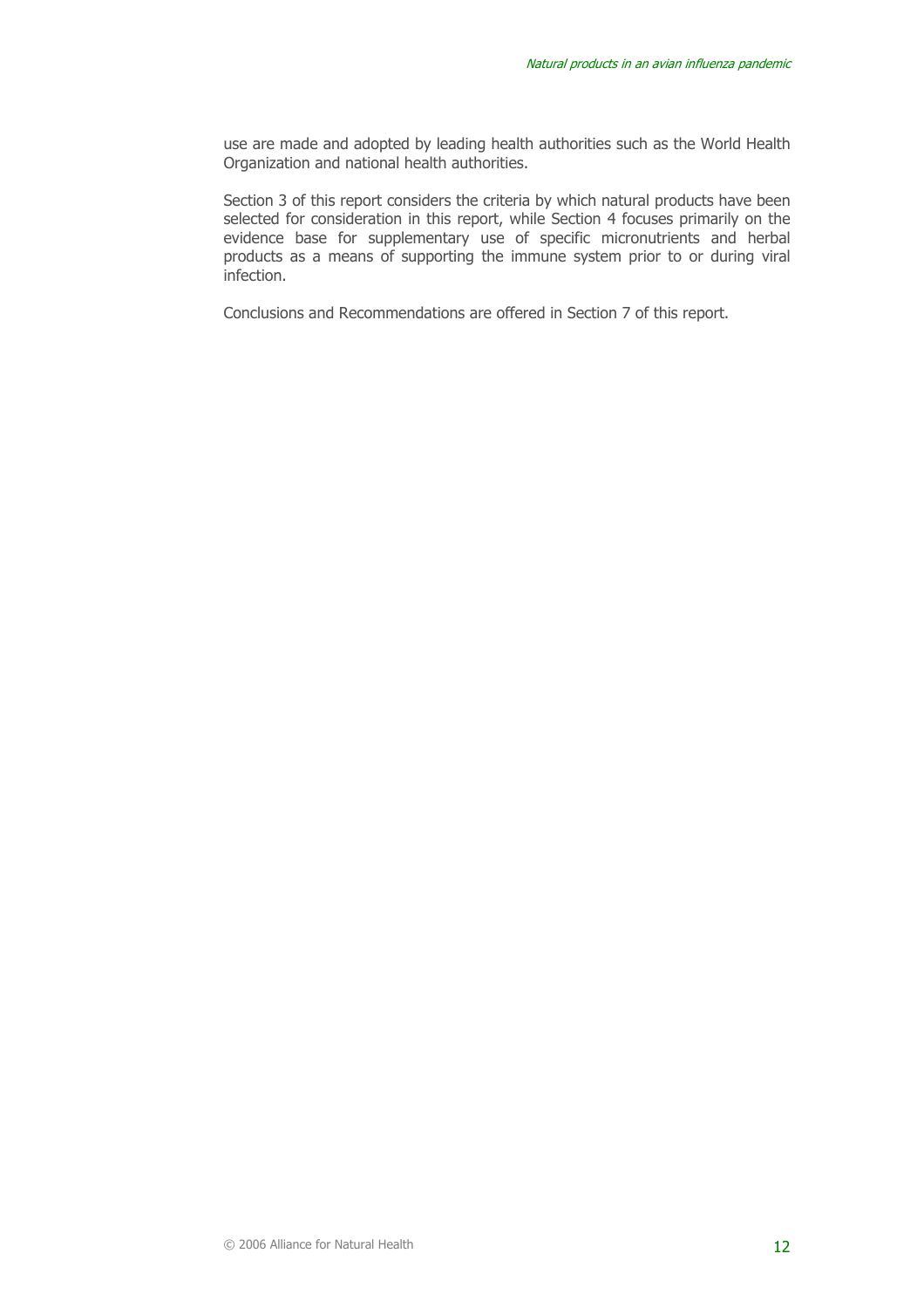use are made and adopted by leading health authorities such as the World Health Organization and national health authorities.

Section 3 of this report considers the criteria by which natural products have been selected for consideration in this report, while Section 4 focuses primarily on the evidence base for supplementary use of specific micronutrients and herbal products as a means of supporting the immune system prior to or during viral infection.

Conclusions and Recommendations are offered in Section 7 of this report.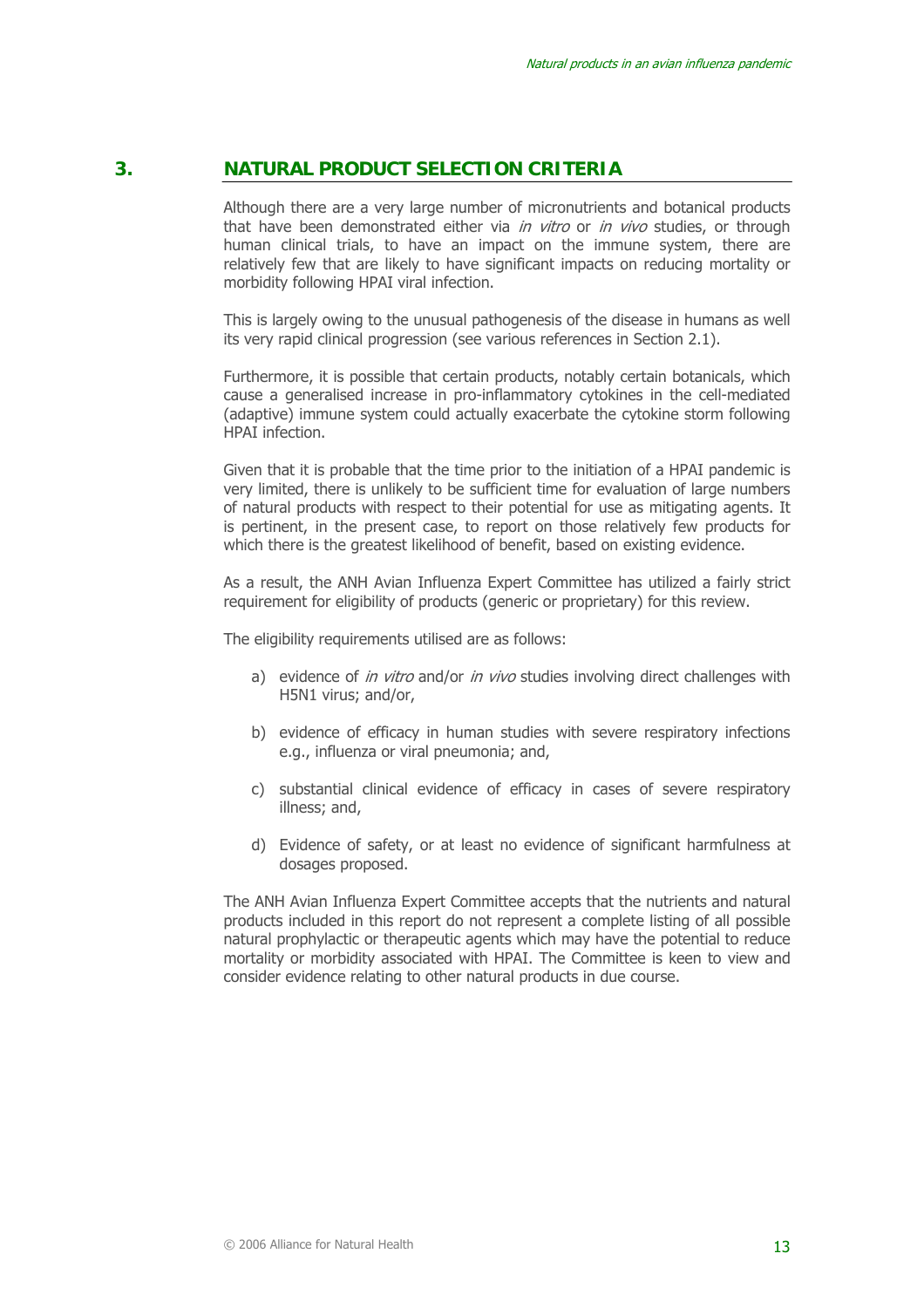# **3. NATURAL PRODUCT SELECTION CRITERIA**

Although there are a very large number of micronutrients and botanical products that have been demonstrated either via in vitro or in vivo studies, or through human clinical trials, to have an impact on the immune system, there are relatively few that are likely to have significant impacts on reducing mortality or morbidity following HPAI viral infection.

This is largely owing to the unusual pathogenesis of the disease in humans as well its very rapid clinical progression (see various references in Section 2.1).

Furthermore, it is possible that certain products, notably certain botanicals, which cause a generalised increase in pro-inflammatory cytokines in the cell-mediated (adaptive) immune system could actually exacerbate the cytokine storm following HPAI infection.

Given that it is probable that the time prior to the initiation of a HPAI pandemic is very limited, there is unlikely to be sufficient time for evaluation of large numbers of natural products with respect to their potential for use as mitigating agents. It is pertinent, in the present case, to report on those relatively few products for which there is the greatest likelihood of benefit, based on existing evidence.

As a result, the ANH Avian Influenza Expert Committee has utilized a fairly strict requirement for eligibility of products (generic or proprietary) for this review.

The eligibility requirements utilised are as follows:

- a) evidence of in vitro and/or in vivo studies involving direct challenges with H5N1 virus; and/or,
- b) evidence of efficacy in human studies with severe respiratory infections e.g., influenza or viral pneumonia; and,
- c) substantial clinical evidence of efficacy in cases of severe respiratory illness; and,
- d) Evidence of safety, or at least no evidence of significant harmfulness at dosages proposed.

The ANH Avian Influenza Expert Committee accepts that the nutrients and natural products included in this report do not represent a complete listing of all possible natural prophylactic or therapeutic agents which may have the potential to reduce mortality or morbidity associated with HPAI. The Committee is keen to view and consider evidence relating to other natural products in due course.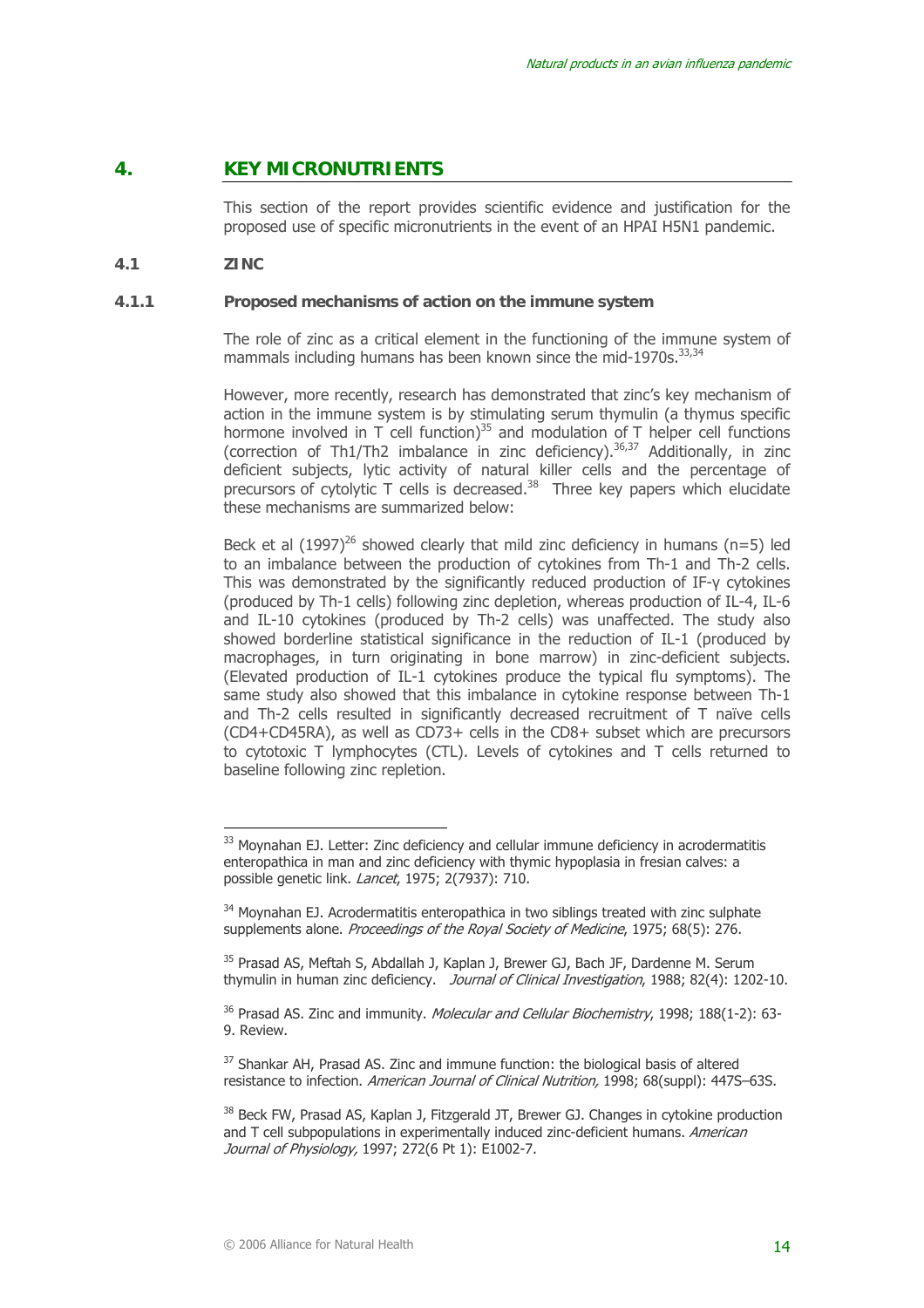# **4. KEY MICRONUTRIENTS**

This section of the report provides scientific evidence and justification for the proposed use of specific micronutrients in the event of an HPAI H5N1 pandemic.

#### **4.1 ZINC**

 $\overline{a}$ 

#### **4.1.1 Proposed mechanisms of action on the immune system**

The role of zinc as a critical element in the functioning of the immune system of mammals including humans has been known since the mid-1970s.<sup>33,34</sup>

However, more recently, research has demonstrated that zinc's key mechanism of action in the immune system is by stimulating serum thymulin (a thymus specific hormone involved in T cell function)<sup>35</sup> and modulation of T helper cell functions (correction of Th1/Th2 imbalance in zinc deficiency).<sup>36,37</sup> Additionally, in zinc deficient subjects, lytic activity of natural killer cells and the percentage of precursors of cytolytic T cells is decreased.<sup>38</sup> Three key papers which elucidate these mechanisms are summarized below:

Beck et al  $(1997)^{26}$  showed clearly that mild zinc deficiency in humans (n=5) led to an imbalance between the production of cytokines from Th-1 and Th-2 cells. This was demonstrated by the significantly reduced production of IF-γ cytokines (produced by Th-1 cells) following zinc depletion, whereas production of IL-4, IL-6 and IL-10 cytokines (produced by Th-2 cells) was unaffected. The study also showed borderline statistical significance in the reduction of IL-1 (produced by macrophages, in turn originating in bone marrow) in zinc-deficient subjects. (Elevated production of IL-1 cytokines produce the typical flu symptoms). The same study also showed that this imbalance in cytokine response between Th-1 and Th-2 cells resulted in significantly decreased recruitment of T naïve cells (CD4+CD45RA), as well as CD73+ cells in the CD8+ subset which are precursors to cytotoxic T lymphocytes (CTL). Levels of cytokines and T cells returned to baseline following zinc repletion.

<sup>&</sup>lt;sup>33</sup> Moynahan EJ. Letter: Zinc deficiency and cellular immune deficiency in acrodermatitis enteropathica in man and zinc deficiency with thymic hypoplasia in fresian calves: a possible genetic link. Lancet, 1975; 2(7937): 710.

<sup>&</sup>lt;sup>34</sup> Movnahan EJ. Acrodermatitis enteropathica in two siblings treated with zinc sulphate supplements alone. *Proceedings of the Royal Society of Medicine*, 1975; 68(5); 276.

<sup>&</sup>lt;sup>35</sup> Prasad AS, Meftah S, Abdallah J, Kaplan J, Brewer GJ, Bach JF, Dardenne M. Serum thymulin in human zinc deficiency. Journal of Clinical Investigation, 1988; 82(4): 1202-10.

<sup>&</sup>lt;sup>36</sup> Prasad AS. Zinc and immunity. Molecular and Cellular Biochemistry, 1998; 188(1-2): 63-9. Review.

<sup>&</sup>lt;sup>37</sup> Shankar AH, Prasad AS, Zinc and immune function: the biological basis of altered resistance to infection. American Journal of Clinical Nutrition, 1998; 68(suppl): 447S–63S.

<sup>&</sup>lt;sup>38</sup> Beck FW, Prasad AS, Kaplan J, Fitzgerald JT, Brewer GJ. Changes in cytokine production and T cell subpopulations in experimentally induced zinc-deficient humans. American Journal of Physiology, 1997; 272(6 Pt 1): E1002-7.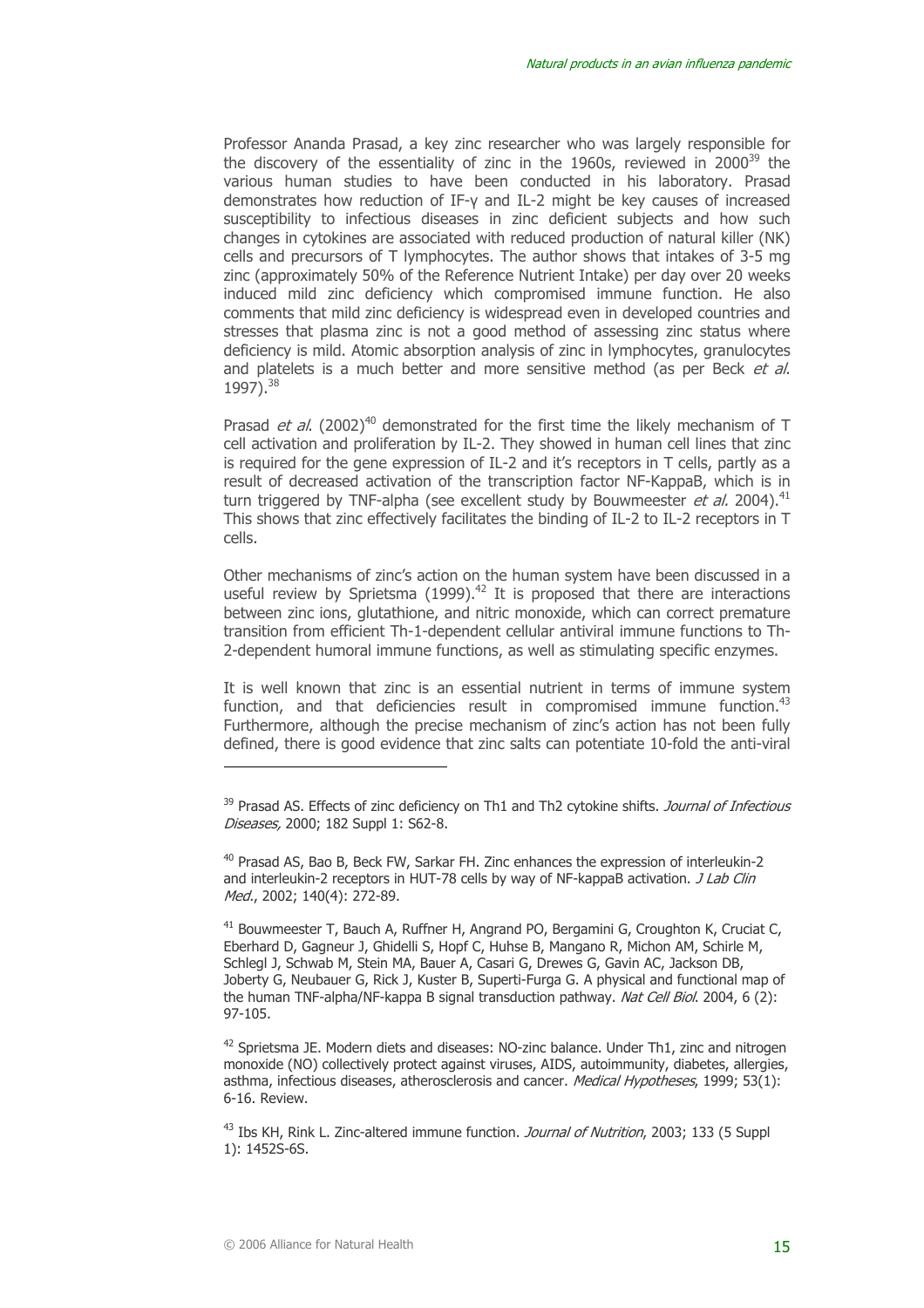Professor Ananda Prasad, a key zinc researcher who was largely responsible for the discovery of the essentiality of zinc in the 1960s, reviewed in  $2000^{39}$  the various human studies to have been conducted in his laboratory. Prasad demonstrates how reduction of IF-γ and IL-2 might be key causes of increased susceptibility to infectious diseases in zinc deficient subjects and how such changes in cytokines are associated with reduced production of natural killer (NK) cells and precursors of T lymphocytes. The author shows that intakes of 3-5 mg zinc (approximately 50% of the Reference Nutrient Intake) per day over 20 weeks induced mild zinc deficiency which compromised immune function. He also comments that mild zinc deficiency is widespread even in developed countries and stresses that plasma zinc is not a good method of assessing zinc status where deficiency is mild. Atomic absorption analysis of zinc in lymphocytes, granulocytes and platelets is a much better and more sensitive method (as per Beck et al. 1997).38

Prasad *et al.* (2002)<sup>40</sup> demonstrated for the first time the likely mechanism of T cell activation and proliferation by IL-2. They showed in human cell lines that zinc is required for the gene expression of IL-2 and it's receptors in T cells, partly as a result of decreased activation of the transcription factor NF-KappaB, which is in turn triggered by TNF-alpha (see excellent study by Bouwmeester et al. 2004).<sup>41</sup> This shows that zinc effectively facilitates the binding of IL-2 to IL-2 receptors in T cells.

Other mechanisms of zinc's action on the human system have been discussed in a useful review by Sprietsma  $(1999)^{42}$  It is proposed that there are interactions between zinc ions, glutathione, and nitric monoxide, which can correct premature transition from efficient Th-1-dependent cellular antiviral immune functions to Th-2-dependent humoral immune functions, as well as stimulating specific enzymes.

It is well known that zinc is an essential nutrient in terms of immune system function, and that deficiencies result in compromised immune function.<sup>43</sup> Furthermore, although the precise mechanism of zinc's action has not been fully defined, there is good evidence that zinc salts can potentiate 10-fold the anti-viral

41 Bouwmeester T, Bauch A, Ruffner H, Angrand PO, Bergamini G, Croughton K, Cruciat C, Eberhard D, Gagneur J, Ghidelli S, Hopf C, Huhse B, Mangano R, Michon AM, Schirle M, Schlegl J, Schwab M, Stein MA, Bauer A, Casari G, Drewes G, Gavin AC, Jackson DB, Joberty G, Neubauer G, Rick J, Kuster B, Superti-Furga G. A physical and functional map of the human TNF-alpha/NF-kappa B signal transduction pathway. Nat Cell Biol. 2004, 6 (2): 97-105.

<sup>42</sup> Sprietsma JE. Modern diets and diseases: NO-zinc balance. Under Th1, zinc and nitrogen monoxide (NO) collectively protect against viruses, AIDS, autoimmunity, diabetes, allergies, asthma, infectious diseases, atherosclerosis and cancer. Medical Hypotheses, 1999; 53(1): 6-16. Review.

<sup>43</sup> Ibs KH, Rink L. Zinc-altered immune function. *Journal of Nutrition*, 2003; 133 (5 Suppl 1): 1452S-6S.

<sup>&</sup>lt;sup>39</sup> Prasad AS. Effects of zinc deficiency on Th1 and Th2 cytokine shifts. Journal of Infectious Diseases, 2000; 182 Suppl 1: S62-8.

<sup>40</sup> Prasad AS, Bao B, Beck FW, Sarkar FH. Zinc enhances the expression of interleukin-2 and interleukin-2 receptors in HUT-78 cells by way of NF-kappaB activation. *J Lab Clin* Med., 2002; 140(4); 272-89.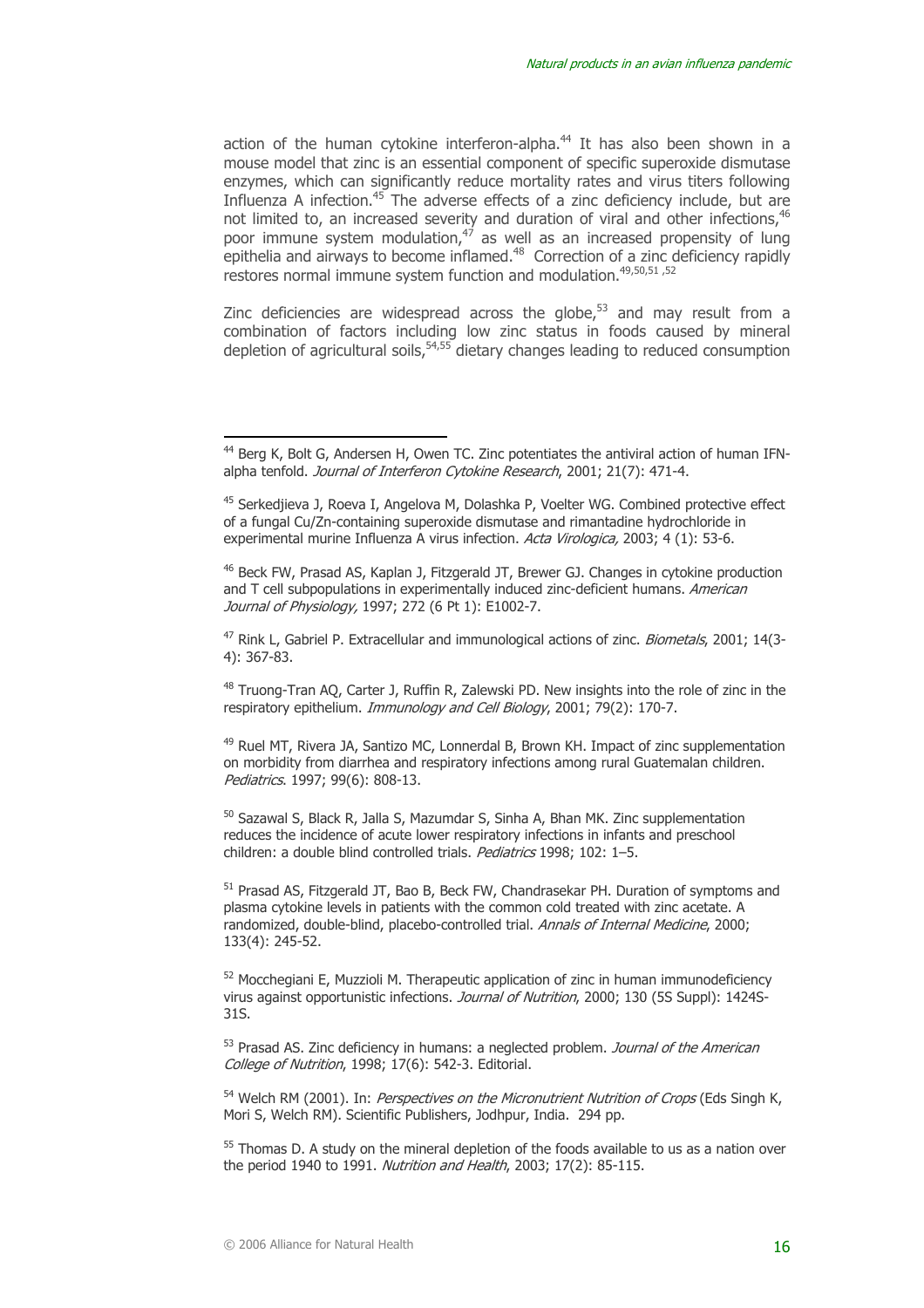action of the human cytokine interferon-alpha.<sup>44</sup> It has also been shown in a mouse model that zinc is an essential component of specific superoxide dismutase enzymes, which can significantly reduce mortality rates and virus titers following Influenza A infection.<sup>45</sup> The adverse effects of a zinc deficiency include, but are not limited to, an increased severity and duration of viral and other infections,<sup>46</sup> poor immune system modulation, $47$  as well as an increased propensity of lung epithelia and airways to become inflamed.<sup>48</sup> Correction of a zinc deficiency rapidly restores normal immune system function and modulation.49,50,51 ,52

Zinc deficiencies are widespread across the globe, $53$  and may result from a combination of factors including low zinc status in foods caused by mineral depletion of agricultural soils,  $54,55$  dietary changes leading to reduced consumption

46 Beck FW, Prasad AS, Kaplan J, Fitzgerald JT, Brewer GJ. Changes in cytokine production and T cell subpopulations in experimentally induced zinc-deficient humans. American Journal of Physiology, 1997; 272 (6 Pt 1): E1002-7.

<sup>47</sup> Rink L, Gabriel P. Extracellular and immunological actions of zinc. *Biometals*, 2001; 14(3-4): 367-83.

48 Truong-Tran AQ, Carter J, Ruffin R, Zalewski PD. New insights into the role of zinc in the respiratory epithelium. *Immunology and Cell Biology,* 2001; 79(2): 170-7.

<sup>49</sup> Ruel MT, Rivera JA, Santizo MC, Lonnerdal B, Brown KH. Impact of zinc supplementation on morbidity from diarrhea and respiratory infections among rural Guatemalan children. Pediatrics. 1997; 99(6): 808-13.

<sup>50</sup> Sazawal S, Black R, Jalla S, Mazumdar S, Sinha A, Bhan MK. Zinc supplementation reduces the incidence of acute lower respiratory infections in infants and preschool children: a double blind controlled trials. Pediatrics 1998; 102: 1-5.

51 Prasad AS, Fitzgerald JT, Bao B, Beck FW, Chandrasekar PH. Duration of symptoms and plasma cytokine levels in patients with the common cold treated with zinc acetate. A randomized, double-blind, placebo-controlled trial. Annals of Internal Medicine, 2000; 133(4): 245-52.

 $52$  Mocchegiani E, Muzzioli M. Therapeutic application of zinc in human immunodeficiency virus against opportunistic infections. Journal of Nutrition. 2000: 130 (5S Suppl): 1424S-31S.

 $53$  Prasad AS. Zinc deficiency in humans: a neglected problem. *Journal of the American* College of Nutrition, 1998; 17(6): 542-3. Editorial.

<sup>54</sup> Welch RM (2001). In: *Perspectives on the Micronutrient Nutrition of Crops* (Eds Singh K, Mori S, Welch RM). Scientific Publishers, Jodhpur, India. 294 pp.

<sup>55</sup> Thomas D. A study on the mineral depletion of the foods available to us as a nation over the period 1940 to 1991. Nutrition and Health, 2003; 17(2): 85-115.

<sup>&</sup>lt;sup>44</sup> Berg K, Bolt G, Andersen H, Owen TC. Zinc potentiates the antiviral action of human IFNalpha tenfold. Journal of Interferon Cytokine Research, 2001; 21(7): 471-4.

<sup>45</sup> Serkedjieva J, Roeva I, Angelova M, Dolashka P, Voelter WG. Combined protective effect of a fungal Cu/Zn-containing superoxide dismutase and rimantadine hydrochloride in experimental murine Influenza A virus infection. Acta Virologica, 2003; 4 (1): 53-6.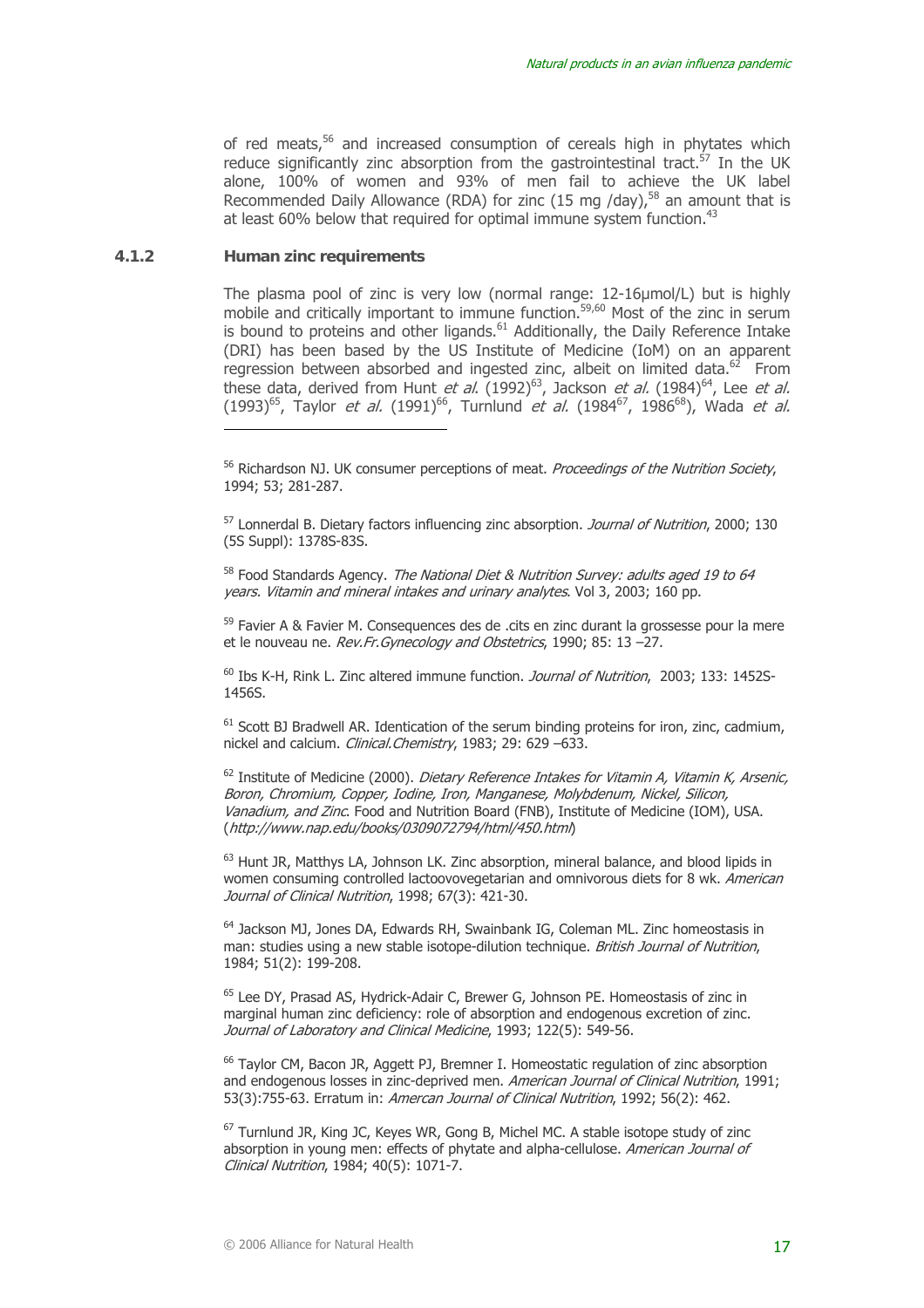of red meats,<sup>56</sup> and increased consumption of cereals high in phytates which reduce significantly zinc absorption from the gastrointestinal tract.<sup>57</sup> In the UK alone, 100% of women and 93% of men fail to achieve the UK label Recommended Daily Allowance (RDA) for zinc (15 mg /day),<sup>58</sup> an amount that is at least 60% below that required for optimal immune system function.<sup>43</sup>

#### **4.1.2 Human zinc requirements**

 $\overline{a}$ 

The plasma pool of zinc is very low (normal range: 12-16µmol/L) but is highly mobile and critically important to immune function.<sup>59,60</sup> Most of the zinc in serum is bound to proteins and other ligands.<sup>61</sup> Additionally, the Daily Reference Intake (DRI) has been based by the US Institute of Medicine (IoM) on an apparent regression between absorbed and ingested zinc, albeit on limited data. $62$  From these data, derived from Hunt *et al.*  $(1992)^{63}$ , Jackson *et al.*  $(1984)^{64}$ , Lee *et al.*  $(1993)^{65}$ , Taylor *et al.*  $(1991)^{66}$ , Turnlund *et al.*  $(1984^{67}, 1986^{68})$ , Wada *et al.* 

<sup>56</sup> Richardson NJ. UK consumer perceptions of meat. Proceedings of the Nutrition Society, 1994; 53; 281-287.

<sup>57</sup> Lonnerdal B. Dietary factors influencing zinc absorption. *Journal of Nutrition*, 2000; 130 (5S Suppl): 1378S-83S.

<sup>58</sup> Food Standards Agency. The National Diet & Nutrition Survey: adults aged 19 to 64 years. Vitamin and mineral intakes and urinary analytes. Vol 3, 2003; 160 pp.

<sup>59</sup> Favier A & Favier M. Consequences des de .cits en zinc durant la grossesse pour la mere et le nouveau ne. Rev. Fr. Gynecology and Obstetrics, 1990; 85: 13 –27.

<sup>60</sup> Ibs K-H, Rink L. Zinc altered immune function. *Journal of Nutrition*, 2003; 133: 1452S-1456S.

 $<sup>61</sup>$  Scott BJ Bradwell AR. Identication of the serum binding proteins for iron, zinc, cadmium,</sup> nickel and calcium. *Clinical.Chemistry*, 1983; 29: 629 –633.

 $62$  Institute of Medicine (2000). *Dietary Reference Intakes for Vitamin A, Vitamin K, Arsenic,* Boron, Chromium, Copper, Iodine, Iron, Manganese, Molybdenum, Nickel, Silicon, Vanadium, and Zinc. Food and Nutrition Board (FNB), Institute of Medicine (IOM), USA. (http://www.nap.edu/books/0309072794/html/450.html)

<sup>63</sup> Hunt JR, Matthys LA, Johnson LK, Zinc absorption, mineral balance, and blood lipids in women consuming controlled lactoovovegetarian and omnivorous diets for 8 wk. American Journal of Clinical Nutrition, 1998; 67(3); 421-30.

64 Jackson MJ, Jones DA, Edwards RH, Swainbank IG, Coleman ML. Zinc homeostasis in man: studies using a new stable isotope-dilution technique. British Journal of Nutrition, 1984; 51(2): 199-208.

65 Lee DY, Prasad AS, Hydrick-Adair C, Brewer G, Johnson PE. Homeostasis of zinc in marginal human zinc deficiency: role of absorption and endogenous excretion of zinc. Journal of Laboratory and Clinical Medicine, 1993; 122(5); 549-56.

66 Taylor CM, Bacon JR, Aggett PJ, Bremner I. Homeostatic regulation of zinc absorption and endogenous losses in zinc-deprived men. American Journal of Clinical Nutrition, 1991; 53(3):755-63. Erratum in: Amercan Journal of Clinical Nutrition, 1992; 56(2): 462.

 $67$  Turnlund JR, King JC, Keyes WR, Gong B, Michel MC, A stable isotope study of zinc absorption in young men: effects of phytate and alpha-cellulose. American Journal of Clinical Nutrition, 1984; 40(5): 1071-7.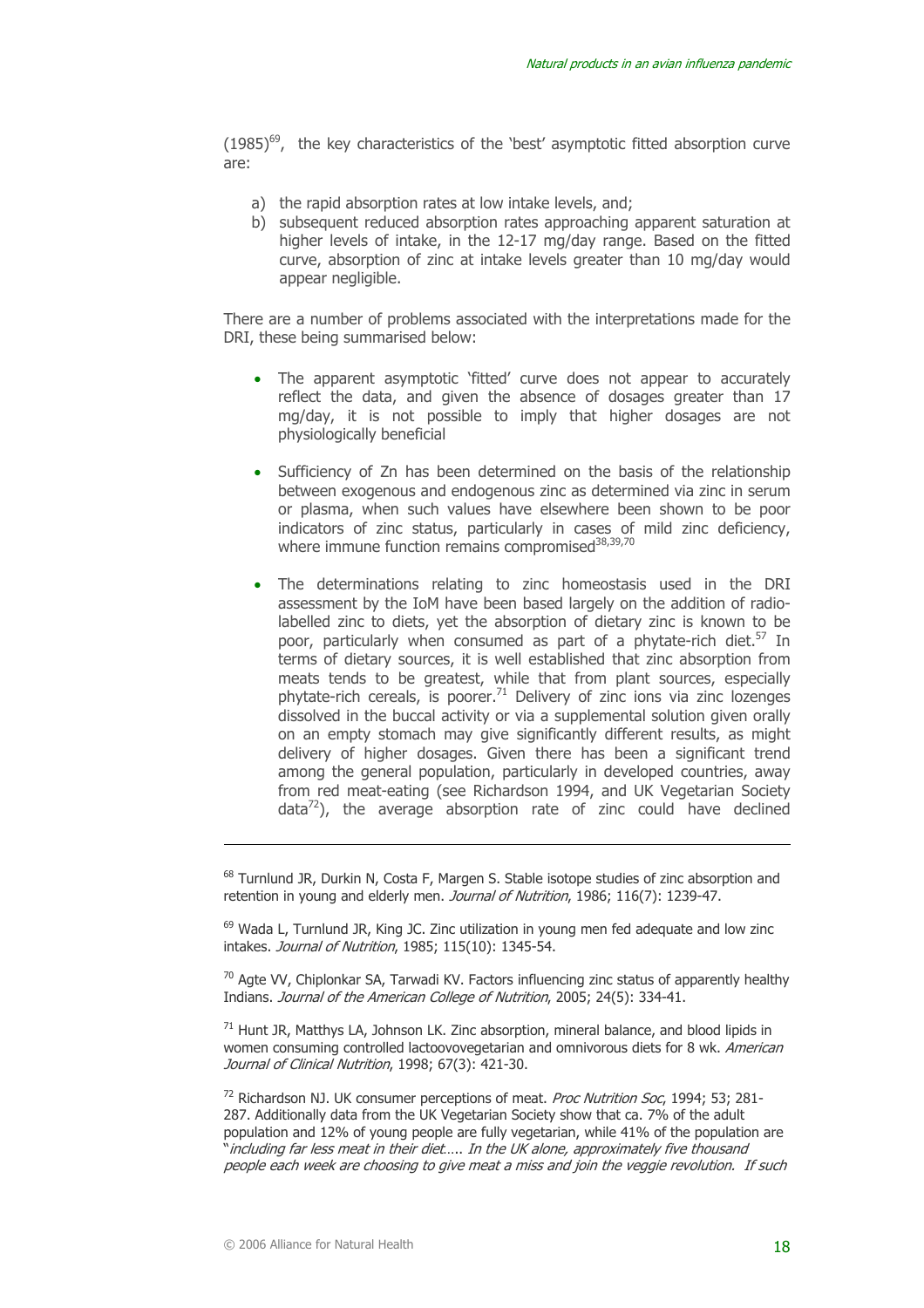$(1985)^{69}$ , the key characteristics of the 'best' asymptotic fitted absorption curve are:

- a) the rapid absorption rates at low intake levels, and;
- b) subsequent reduced absorption rates approaching apparent saturation at higher levels of intake, in the 12-17 mg/day range. Based on the fitted curve, absorption of zinc at intake levels greater than 10 mg/day would appear negligible.

There are a number of problems associated with the interpretations made for the DRI, these being summarised below:

- The apparent asymptotic 'fitted' curve does not appear to accurately reflect the data, and given the absence of dosages greater than 17 mg/day, it is not possible to imply that higher dosages are not physiologically beneficial
- Sufficiency of Zn has been determined on the basis of the relationship between exogenous and endogenous zinc as determined via zinc in serum or plasma, when such values have elsewhere been shown to be poor indicators of zinc status, particularly in cases of mild zinc deficiency, where immune function remains compromised $38,39,70$
- The determinations relating to zinc homeostasis used in the DRI assessment by the IoM have been based largely on the addition of radiolabelled zinc to diets, yet the absorption of dietary zinc is known to be poor, particularly when consumed as part of a phytate-rich diet.<sup>57</sup> In terms of dietary sources, it is well established that zinc absorption from meats tends to be greatest, while that from plant sources, especially phytate-rich cereals, is poorer.<sup>71</sup> Delivery of zinc ions via zinc lozenges dissolved in the buccal activity or via a supplemental solution given orally on an empty stomach may give significantly different results, as might delivery of higher dosages. Given there has been a significant trend among the general population, particularly in developed countries, away from red meat-eating (see Richardson 1994, and UK Vegetarian Society  $data^{72}$ ), the average absorption rate of zinc could have declined

<sup>68</sup> Turnlund JR, Durkin N, Costa F, Margen S. Stable isotope studies of zinc absorption and retention in young and elderly men. Journal of Nutrition, 1986; 116(7): 1239-47.

 $<sup>69</sup>$  Wada L, Turnlund JR, King JC, Zinc utilization in young men fed adequate and low zinc</sup> intakes. Journal of Nutrition, 1985; 115(10): 1345-54.

 $70$  Agte VV, Chiplonkar SA, Tarwadi KV. Factors influencing zinc status of apparently healthy Indians. Journal of the American College of Nutrition, 2005; 24(5): 334-41.

 $71$  Hunt JR, Matthys LA, Johnson LK. Zinc absorption, mineral balance, and blood lipids in women consuming controlled lactoovovegetarian and omnivorous diets for 8 wk. American Journal of Clinical Nutrition, 1998; 67(3); 421-30.

<sup>72</sup> Richardson NJ. UK consumer perceptions of meat. Proc Nutrition Soc, 1994; 53; 281-287. Additionally data from the UK Vegetarian Society show that ca. 7% of the adult population and 12% of young people are fully vegetarian, while 41% of the population are "including far less meat in their diet….. In the UK alone, approximately five thousand people each week are choosing to give meat a miss and join the veggie revolution. If such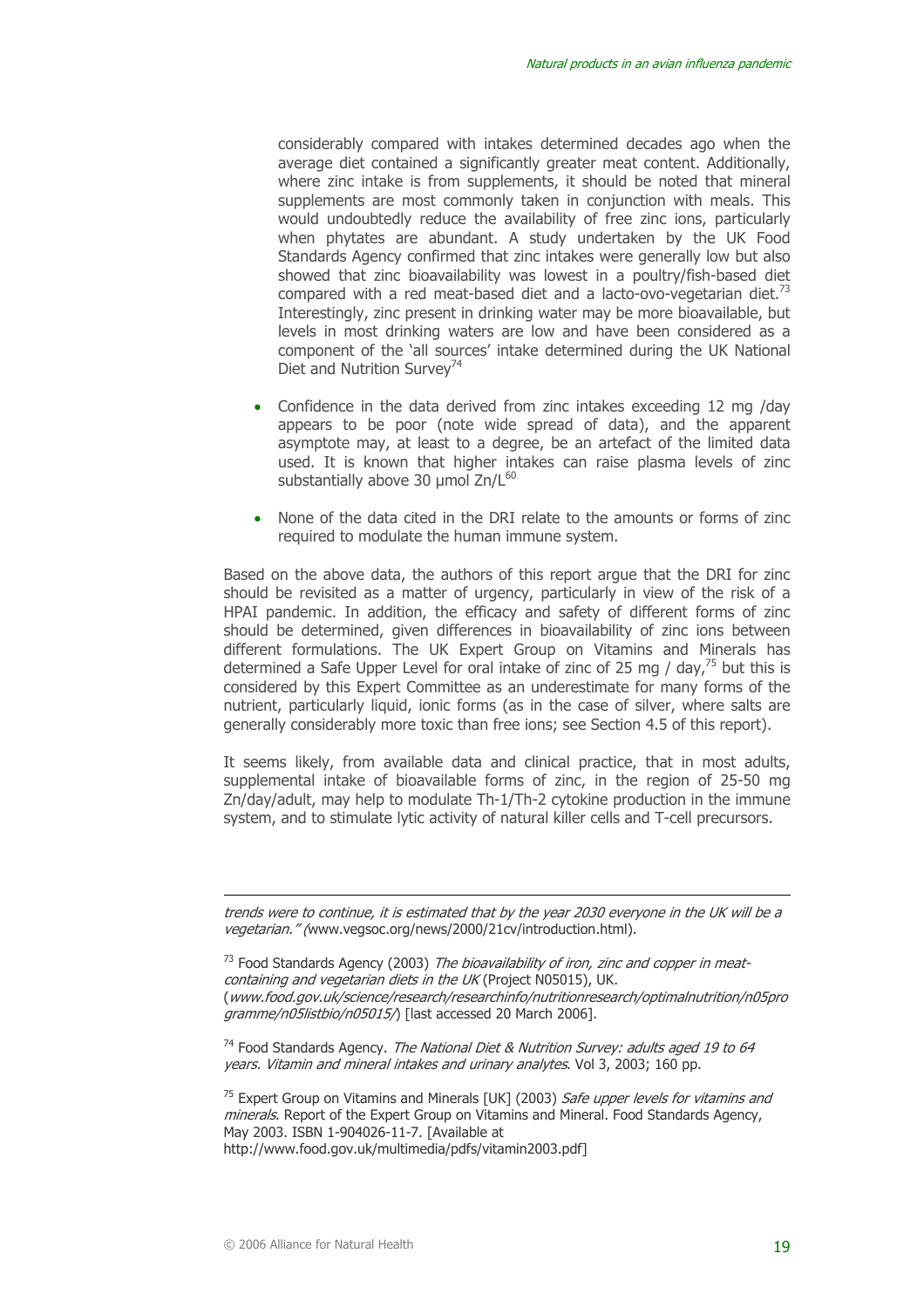considerably compared with intakes determined decades ago when the average diet contained a significantly greater meat content. Additionally, where zinc intake is from supplements, it should be noted that mineral supplements are most commonly taken in conjunction with meals. This would undoubtedly reduce the availability of free zinc ions, particularly when phytates are abundant. A study undertaken by the UK Food Standards Agency confirmed that zinc intakes were generally low but also showed that zinc bioavailability was lowest in a poultry/fish-based diet compared with a red meat-based diet and a lacto-ovo-vegetarian diet. $73$ Interestingly, zinc present in drinking water may be more bioavailable, but levels in most drinking waters are low and have been considered as a component of the 'all sources' intake determined during the UK National Diet and Nutrition Survey<sup>74</sup>

- Confidence in the data derived from zinc intakes exceeding 12 mg /day appears to be poor (note wide spread of data), and the apparent asymptote may, at least to a degree, be an artefact of the limited data used. It is known that higher intakes can raise plasma levels of zinc substantially above 30 µmol Zn/L<sup>60</sup>
- None of the data cited in the DRI relate to the amounts or forms of zinc required to modulate the human immune system.

Based on the above data, the authors of this report argue that the DRI for zinc should be revisited as a matter of urgency, particularly in view of the risk of a HPAI pandemic. In addition, the efficacy and safety of different forms of zinc should be determined, given differences in bioavailability of zinc ions between different formulations. The UK Expert Group on Vitamins and Minerals has determined a Safe Upper Level for oral intake of zinc of 25 mg / day, $^{75}$  but this is considered by this Expert Committee as an underestimate for many forms of the nutrient, particularly liquid, ionic forms (as in the case of silver, where salts are generally considerably more toxic than free ions; see Section 4.5 of this report).

It seems likely, from available data and clinical practice, that in most adults, supplemental intake of bioavailable forms of zinc, in the region of 25-50 mg Zn/day/adult, may help to modulate Th-1/Th-2 cytokine production in the immune system, and to stimulate lytic activity of natural killer cells and T-cell precursors.

trends were to continue, it is estimated that by the year 2030 everyone in the UK will be a vegetarian." (www.vegsoc.org/news/2000/21cv/introduction.html).

 $<sup>73</sup>$  Food Standards Agency (2003) The bioavailability of iron, zinc and copper in meat-</sup> containing and vegetarian diets in the UK (Project N05015), UK. (www.food.gov.uk/science/research/researchinfo/nutritionresearch/optimalnutrition/n05pro gramme/n05listbio/n05015/) [last accessed 20 March 2006].

 $74$  Food Standards Agency. The National Diet & Nutrition Survey: adults aged 19 to 64 years. Vitamin and mineral intakes and urinary analytes. Vol 3, 2003; 160 pp.

<sup>&</sup>lt;sup>75</sup> Expert Group on Vitamins and Minerals [UK] (2003) Safe upper levels for vitamins and minerals. Report of the Expert Group on Vitamins and Mineral. Food Standards Agency, May 2003. ISBN 1-904026-11-7. [Available at

http://www.food.gov.uk/multimedia/pdfs/vitamin2003.pdf]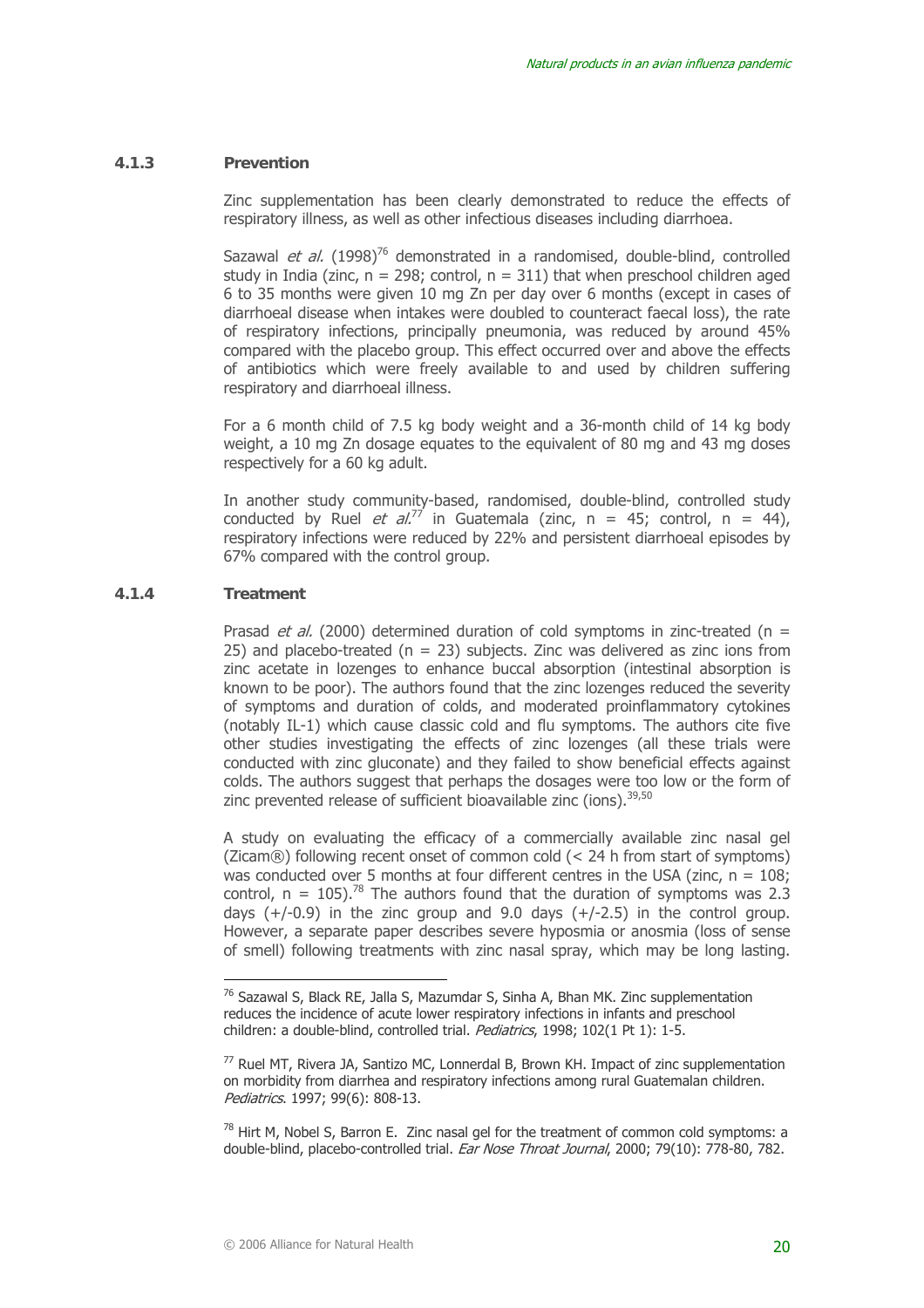#### **4.1.3 Prevention**

Zinc supplementation has been clearly demonstrated to reduce the effects of respiratory illness, as well as other infectious diseases including diarrhoea.

Sazawal et al.  $(1998)^{76}$  demonstrated in a randomised, double-blind, controlled study in India (zinc,  $n = 298$ ; control,  $n = 311$ ) that when preschool children aged 6 to 35 months were given 10 mg Zn per day over 6 months (except in cases of diarrhoeal disease when intakes were doubled to counteract faecal loss), the rate of respiratory infections, principally pneumonia, was reduced by around 45% compared with the placebo group. This effect occurred over and above the effects of antibiotics which were freely available to and used by children suffering respiratory and diarrhoeal illness.

For a 6 month child of 7.5 kg body weight and a 36-month child of 14 kg body weight, a 10 mg Zn dosage equates to the equivalent of 80 mg and 43 mg doses respectively for a 60 kg adult.

In another study community-based, randomised, double-blind, controlled study conducted by Ruel *et al.*<sup>77</sup> in Guatemala (zinc, n = 45; control, n = 44), respiratory infections were reduced by 22% and persistent diarrhoeal episodes by 67% compared with the control group.

#### **4.1.4 Treatment**

 $\overline{a}$ 

Prasad *et al.* (2000) determined duration of cold symptoms in zinc-treated (n = 25) and placebo-treated  $(n = 23)$  subjects. Zinc was delivered as zinc ions from zinc acetate in lozenges to enhance buccal absorption (intestinal absorption is known to be poor). The authors found that the zinc lozenges reduced the severity of symptoms and duration of colds, and moderated proinflammatory cytokines (notably IL-1) which cause classic cold and flu symptoms. The authors cite five other studies investigating the effects of zinc lozenges (all these trials were conducted with zinc gluconate) and they failed to show beneficial effects against colds. The authors suggest that perhaps the dosages were too low or the form of zinc prevented release of sufficient bioavailable zinc (ions).<sup>39,50</sup>

A study on evaluating the efficacy of a commercially available zinc nasal gel (Zicam®) following recent onset of common cold (< 24 h from start of symptoms) was conducted over 5 months at four different centres in the USA (zinc,  $n = 108$ ; control,  $n = 105$ ).<sup>78</sup> The authors found that the duration of symptoms was 2.3 days  $(+/-0.9)$  in the zinc group and 9.0 days  $(+/-2.5)$  in the control group. However, a separate paper describes severe hyposmia or anosmia (loss of sense of smell) following treatments with zinc nasal spray, which may be long lasting.

 $78$  Hirt M, Nobel S, Barron E. Zinc nasal gel for the treatment of common cold symptoms: a double-blind, placebo-controlled trial. Ear Nose Throat Journal, 2000; 79(10): 778-80, 782.

<sup>76</sup> Sazawal S, Black RE, Jalla S, Mazumdar S, Sinha A, Bhan MK. Zinc supplementation reduces the incidence of acute lower respiratory infections in infants and preschool children: a double-blind, controlled trial. *Pediatrics*, 1998; 102(1 Pt 1): 1-5.

<sup>77</sup> Ruel MT, Rivera JA, Santizo MC, Lonnerdal B, Brown KH. Impact of zinc supplementation on morbidity from diarrhea and respiratory infections among rural Guatemalan children. Pediatrics. 1997; 99(6): 808-13.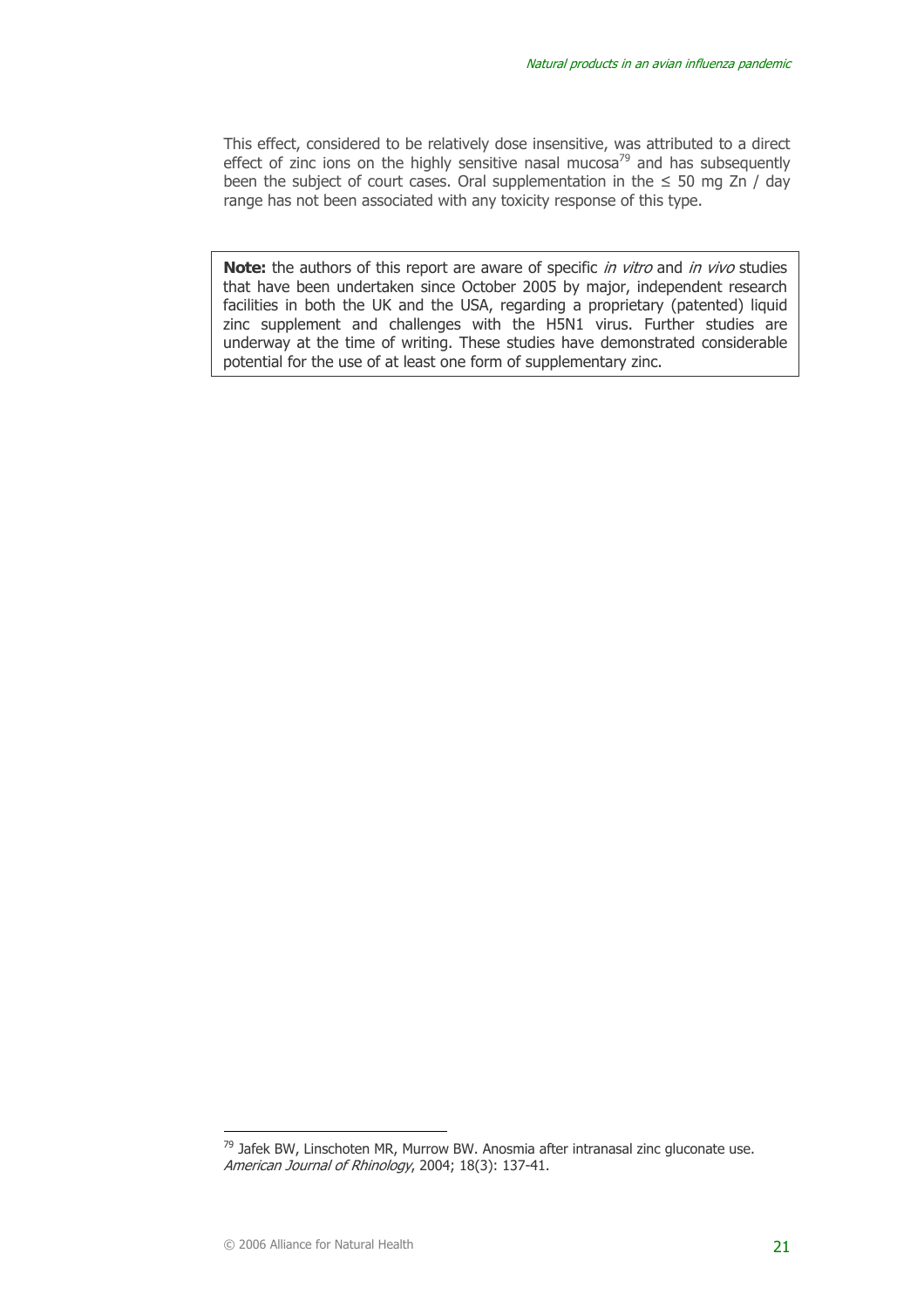This effect, considered to be relatively dose insensitive, was attributed to a direct effect of zinc ions on the highly sensitive nasal mucosa<sup>79</sup> and has subsequently been the subject of court cases. Oral supplementation in the  $\leq$  50 mg Zn / day range has not been associated with any toxicity response of this type.

Note: the authors of this report are aware of specific *in vitro* and *in vivo* studies that have been undertaken since October 2005 by major, independent research facilities in both the UK and the USA, regarding a proprietary (patented) liquid zinc supplement and challenges with the H5N1 virus. Further studies are underway at the time of writing. These studies have demonstrated considerable potential for the use of at least one form of supplementary zinc.

 $79$  Jafek BW, Linschoten MR, Murrow BW. Anosmia after intranasal zinc gluconate use. American Journal of Rhinology, 2004; 18(3): 137-41.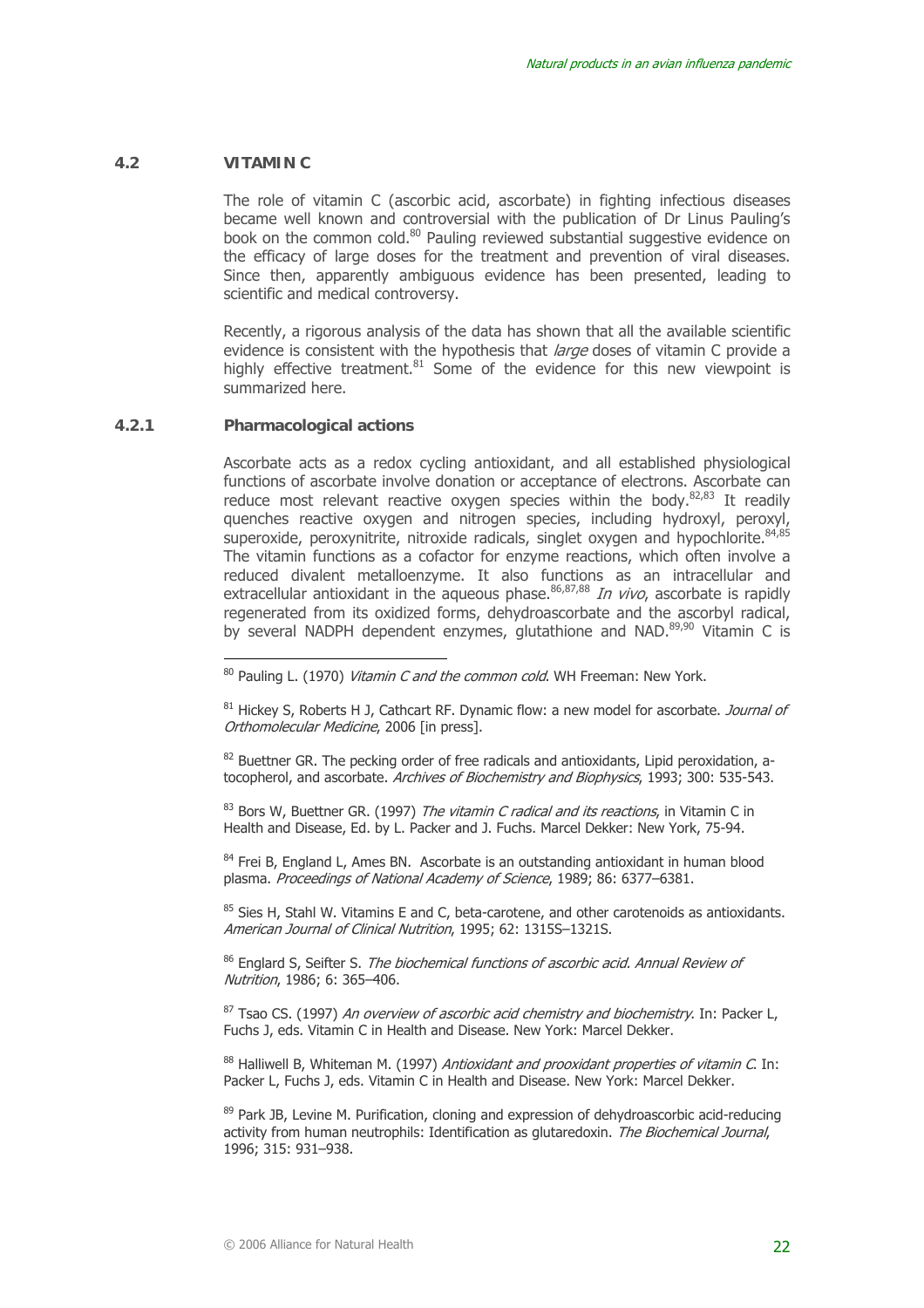#### **4.2 VITAMIN C**

The role of vitamin C (ascorbic acid, ascorbate) in fighting infectious diseases became well known and controversial with the publication of Dr Linus Pauling's book on the common cold.<sup>80</sup> Pauling reviewed substantial suggestive evidence on the efficacy of large doses for the treatment and prevention of viral diseases. Since then, apparently ambiguous evidence has been presented, leading to scientific and medical controversy.

Recently, a rigorous analysis of the data has shown that all the available scientific evidence is consistent with the hypothesis that *large* doses of vitamin C provide a highly effective treatment.<sup>81</sup> Some of the evidence for this new viewpoint is summarized here.

#### **4.2.1 Pharmacological actions**

 $\overline{a}$ 

Ascorbate acts as a redox cycling antioxidant, and all established physiological functions of ascorbate involve donation or acceptance of electrons. Ascorbate can reduce most relevant reactive oxygen species within the body.<sup>82,83</sup> It readily quenches reactive oxygen and nitrogen species, including hydroxyl, peroxyl, superoxide, peroxynitrite, nitroxide radicals, singlet oxygen and hypochlorite.<sup>84,85</sup> The vitamin functions as a cofactor for enzyme reactions, which often involve a reduced divalent metalloenzyme. It also functions as an intracellular and reduced divalent includentlying. It also renewed to the accretion and extracellular antioxidant in the aqueous phase.<sup>86,87,88</sup> In vivo, ascorbate is rapidly regenerated from its oxidized forms, dehydroascorbate and the ascorbyl radical, by several NADPH dependent enzymes, glutathione and NAD.<sup>89,90</sup> Vitamin C is

 $82$  Buettner GR. The pecking order of free radicals and antioxidants, Lipid peroxidation, atocopherol, and ascorbate. Archives of Biochemistry and Biophysics, 1993; 300: 535-543.

 $83$  Bors W, Buettner GR, (1997) *The vitamin C radical and its reactions*, in Vitamin C in Health and Disease, Ed. by L. Packer and J. Fuchs. Marcel Dekker: New York, 75-94.

 $84$  Frei B, England L, Ames BN. Ascorbate is an outstanding antioxidant in human blood plasma. Proceedings of National Academy of Science, 1989; 86: 6377–6381.

 $85$  Sies H, Stahl W. Vitamins E and C, beta-carotene, and other carotenoids as antioxidants. American Journal of Clinical Nutrition, 1995; 62: 1315S–1321S.

<sup>86</sup> Englard S, Seifter S, *The biochemical functions of ascorbic acid. Annual Review of* Nutrition, 1986; 6: 365–406.

 $87$  Tsao CS. (1997) An overview of ascorbic acid chemistry and biochemistry. In: Packer L, Fuchs J, eds. Vitamin C in Health and Disease. New York: Marcel Dekker.

 $88$  Halliwell B, Whiteman M. (1997) Antioxidant and prooxidant properties of vitamin C. In: Packer L, Fuchs J, eds. Vitamin C in Health and Disease. New York: Marcel Dekker.

 $89$  Park JB, Levine M. Purification, cloning and expression of dehydroascorbic acid-reducing activity from human neutrophils: Identification as glutaredoxin. The Biochemical Journal. 1996; 315: 931–938.

 $80$  Pauling L. (1970) *Vitamin C and the common cold*. WH Freeman: New York.

 $81$  Hickey S, Roberts H J, Cathcart RF. Dynamic flow: a new model for ascorbate. *Journal of* Orthomolecular Medicine, 2006 [in press].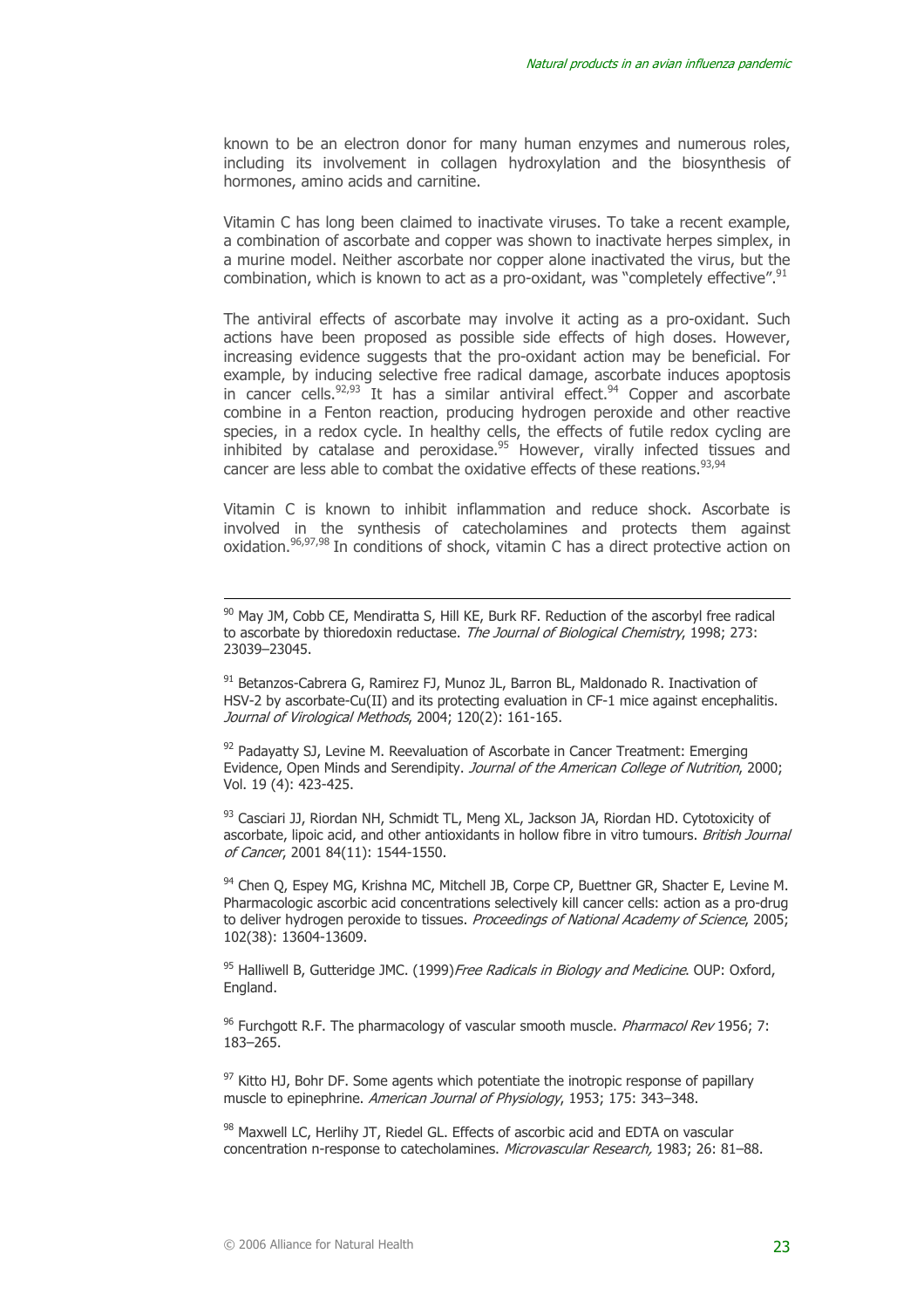known to be an electron donor for many human enzymes and numerous roles, including its involvement in collagen hydroxylation and the biosynthesis of hormones, amino acids and carnitine.

Vitamin C has long been claimed to inactivate viruses. To take a recent example, a combination of ascorbate and copper was shown to inactivate herpes simplex, in a murine model. Neither ascorbate nor copper alone inactivated the virus, but the combination, which is known to act as a pro-oxidant, was "completely effective".<sup>91</sup>

The antiviral effects of ascorbate may involve it acting as a pro-oxidant. Such actions have been proposed as possible side effects of high doses. However, increasing evidence suggests that the pro-oxidant action may be beneficial. For example, by inducing selective free radical damage, ascorbate induces apoptosis in cancer cells. $92,93$  It has a similar antiviral effect. $94$  Copper and ascorbate combine in a Fenton reaction, producing hydrogen peroxide and other reactive species, in a redox cycle. In healthy cells, the effects of futile redox cycling are inhibited by catalase and peroxidase.<sup>95</sup> However, virally infected tissues and cancer are less able to combat the oxidative effects of these reations.93,94

Vitamin C is known to inhibit inflammation and reduce shock. Ascorbate is involved in the synthesis of catecholamines and protects them against oxidation.<sup>96,97,98</sup> In conditions of shock, vitamin C has a direct protective action on

91 Betanzos-Cabrera G, Ramirez FJ, Munoz JL, Barron BL, Maldonado R. Inactivation of HSV-2 by ascorbate-Cu(II) and its protecting evaluation in CF-1 mice against encephalitis. Journal of Virological Methods, 2004; 120(2): 161-165.

 $92$  Padayatty SJ, Levine M. Reevaluation of Ascorbate in Cancer Treatment: Emerging Evidence, Open Minds and Serendipity. Journal of the American College of Nutrition, 2000; Vol. 19 (4): 423-425.

93 Casciari JJ, Riordan NH, Schmidt TL, Meng XL, Jackson JA, Riordan HD. Cytotoxicity of ascorbate, lipoic acid, and other antioxidants in hollow fibre in vitro tumours. British Journal of Cancer, 2001 84(11): 1544-1550.

94 Chen Q, Espey MG, Krishna MC, Mitchell JB, Corpe CP, Buettner GR, Shacter E, Levine M. Pharmacologic ascorbic acid concentrations selectively kill cancer cells: action as a pro-drug to deliver hydrogen peroxide to tissues. Proceedings of National Academy of Science, 2005; 102(38): 13604-13609.

<sup>95</sup> Halliwell B, Gutteridge JMC. (1999) Free Radicals in Biology and Medicine. OUP: Oxford, England.

 $96$  Furchgott R.F. The pharmacology of vascular smooth muscle. *Pharmacol Rev* 1956; 7: 183–265.

 $97$  Kitto HJ, Bohr DF. Some agents which potentiate the inotropic response of papillary muscle to epinephrine. American Journal of Physiology, 1953; 175: 343–348.

98 Maxwell LC, Herlihy JT, Riedel GL, Effects of ascorbic acid and EDTA on vascular concentration n-response to catecholamines. Microvascular Research, 1983; 26: 81–88.

 $90$  May JM, Cobb CE, Mendiratta S, Hill KE, Burk RF. Reduction of the ascorbyl free radical to ascorbate by thioredoxin reductase. The Journal of Biological Chemistry, 1998; 273: 23039–23045.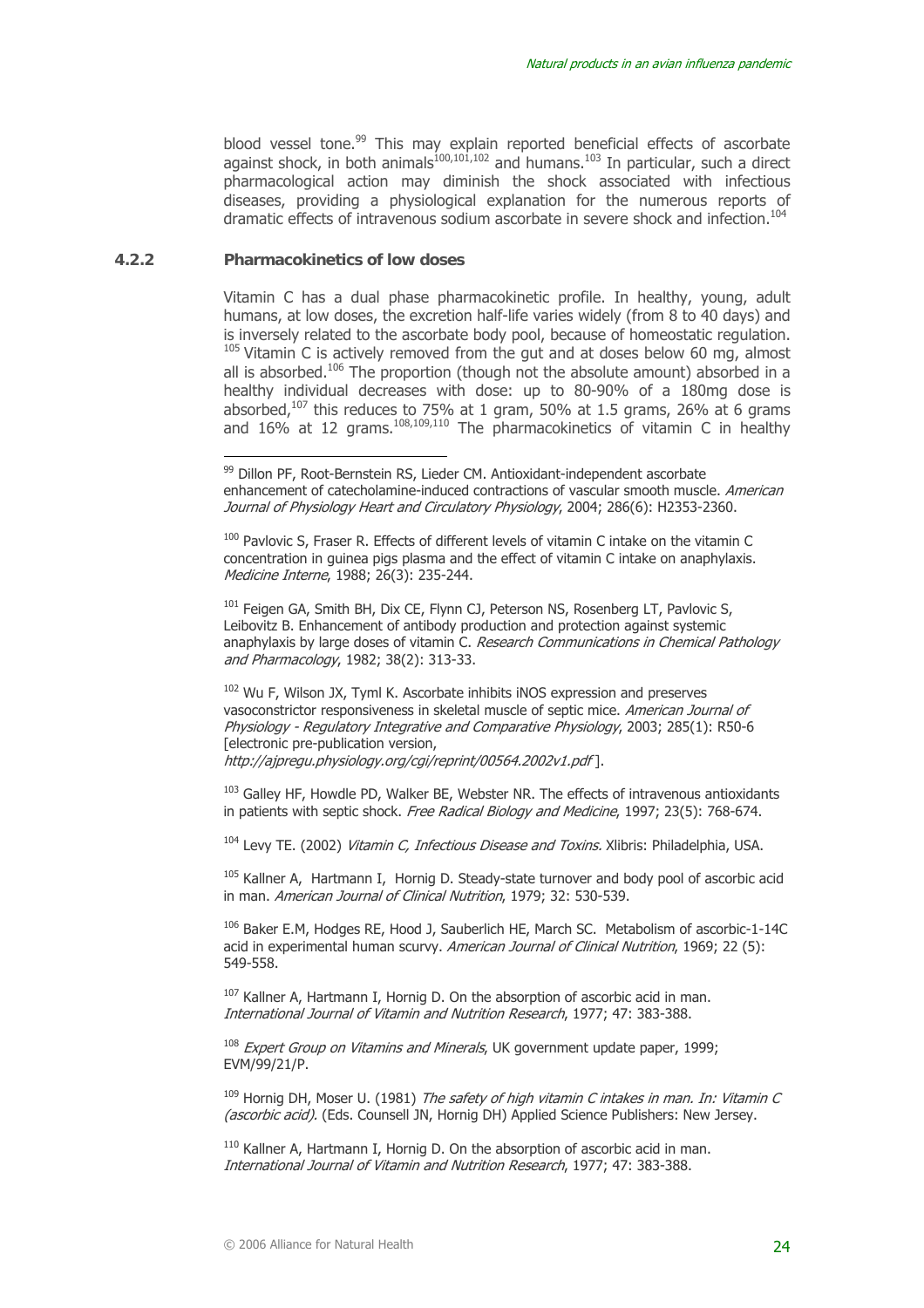blood vessel tone.<sup>99</sup> This may explain reported beneficial effects of ascorbate against shock, in both animals $^{100,101,102}$  and humans. $^{103}$  In particular, such a direct pharmacological action may diminish the shock associated with infectious diseases, providing a physiological explanation for the numerous reports of dramatic effects of intravenous sodium ascorbate in severe shock and infection.<sup>104</sup>

#### **4.2.2 Pharmacokinetics of low doses**

 $\overline{a}$ 

Vitamin C has a dual phase pharmacokinetic profile. In healthy, young, adult humans, at low doses, the excretion half-life varies widely (from 8 to 40 days) and is inversely related to the ascorbate body pool, because of homeostatic regulation.  $105$  Vitamin C is actively removed from the gut and at doses below 60 mg, almost all is absorbed.<sup>106</sup> The proportion (though not the absolute amount) absorbed in a healthy individual decreases with dose: up to 80-90% of a 180mg dose is absorbed, $107$  this reduces to 75% at 1 gram, 50% at 1.5 grams, 26% at 6 grams and 16% at 12 grams.<sup>108,109,110</sup> The pharmacokinetics of vitamin C in healthy

<sup>100</sup> Pavlovic S, Fraser R. Effects of different levels of vitamin C intake on the vitamin C concentration in guinea pigs plasma and the effect of vitamin C intake on anaphylaxis. Medicine Interne, 1988; 26(3): 235-244.

<sup>101</sup> Feigen GA, Smith BH, Dix CE, Flynn CJ, Peterson NS, Rosenberg LT, Pavlovic S, Leibovitz B. Enhancement of antibody production and protection against systemic anaphylaxis by large doses of vitamin C. Research Communications in Chemical Pathology and Pharmacology, 1982; 38(2): 313-33.

<sup>102</sup> Wu F, Wilson JX, Tyml K. Ascorbate inhibits iNOS expression and preserves vasoconstrictor responsiveness in skeletal muscle of septic mice. American Journal of Physiology - Regulatory Integrative and Comparative Physiology, 2003; 285(1): R50-6 [electronic pre-publication version,

http://ajpregu.physiology.org/cgi/reprint/00564.2002v1.pdf ].

<sup>103</sup> Galley HF, Howdle PD, Walker BE, Webster NR. The effects of intravenous antioxidants in patients with septic shock. Free Radical Biology and Medicine, 1997; 23(5): 768-674.

 $104$  Levy TE. (2002) *Vitamin C, Infectious Disease and Toxins*. Xlibris: Philadelphia, USA.

 $105$  Kallner A, Hartmann I, Hornig D. Steady-state turnover and body pool of ascorbic acid in man. American Journal of Clinical Nutrition, 1979; 32: 530-539.

106 Baker E.M, Hodges RE, Hood J, Sauberlich HE, March SC. Metabolism of ascorbic-1-14C acid in experimental human scurvy. American Journal of Clinical Nutrition, 1969; 22 (5): 549-558.

 $107$  Kallner A, Hartmann I, Hornig D, On the absorption of ascorbic acid in man. International Journal of Vitamin and Nutrition Research, 1977; 47: 383-388.

 $108$  Expert Group on Vitamins and Minerals, UK government update paper, 1999; EVM/99/21/P.

 $109$  Hornig DH, Moser U, (1981) The safety of high vitamin C intakes in man. In: Vitamin C (ascorbic acid). (Eds. Counsell JN, Hornig DH) Applied Science Publishers: New Jersey.

 $110$  Kallner A, Hartmann I, Hornig D, On the absorption of ascorbic acid in man. International Journal of Vitamin and Nutrition Research, 1977; 47: 383-388.

<sup>99</sup> Dillon PF, Root-Bernstein RS, Lieder CM. Antioxidant-independent ascorbate enhancement of catecholamine-induced contractions of vascular smooth muscle. American Journal of Physiology Heart and Circulatory Physiology, 2004; 286(6): H2353-2360.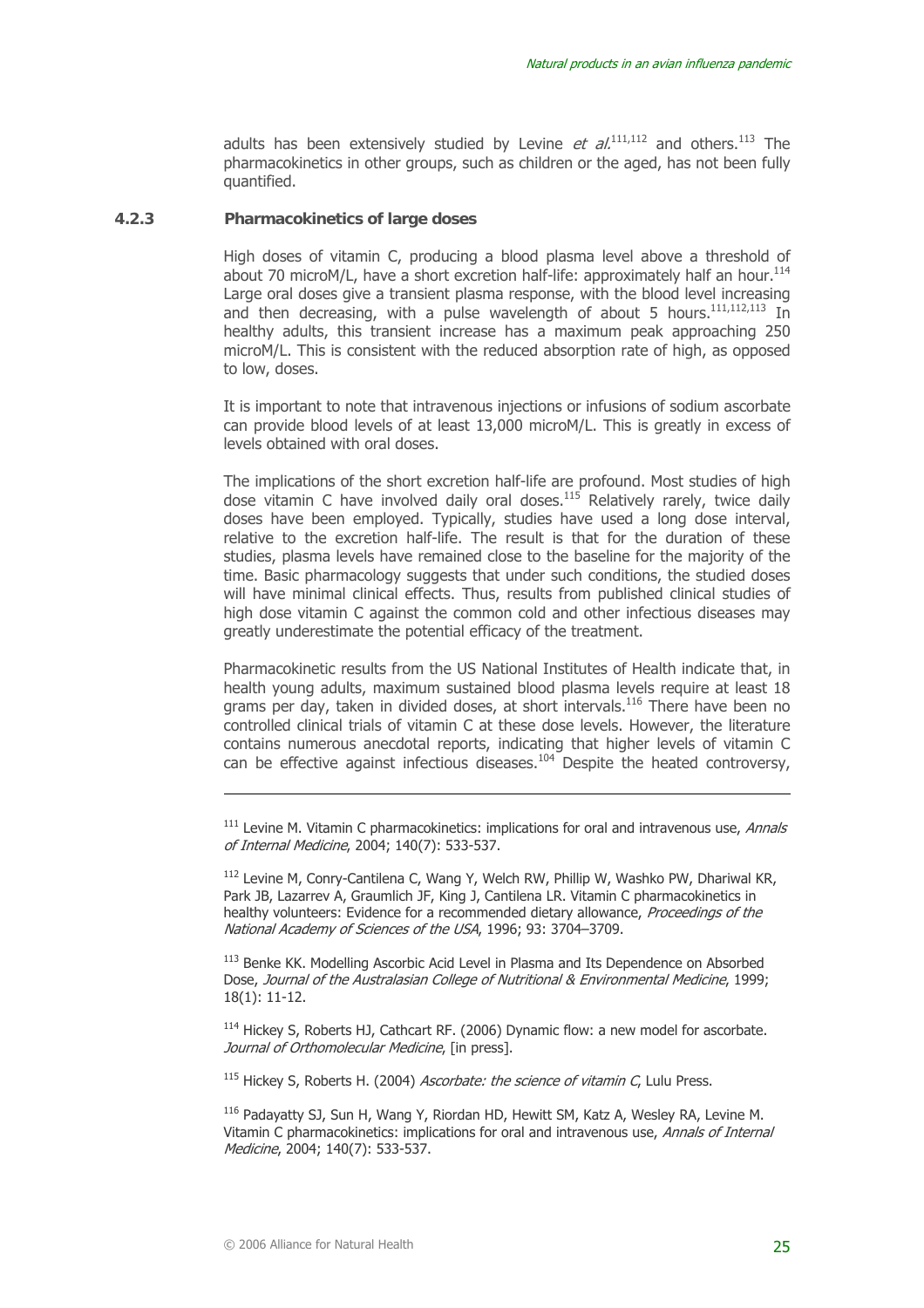adults has been extensively studied by Levine et  $al^{111,112}$  and others.<sup>113</sup> The pharmacokinetics in other groups, such as children or the aged, has not been fully quantified.

#### **4.2.3 Pharmacokinetics of large doses**

High doses of vitamin C, producing a blood plasma level above a threshold of about 70 microM/L, have a short excretion half-life: approximately half an hour.<sup>114</sup> Large oral doses give a transient plasma response, with the blood level increasing and then decreasing, with a pulse wavelength of about 5 hours.<sup>111,112,113</sup> In healthy adults, this transient increase has a maximum peak approaching 250 microM/L. This is consistent with the reduced absorption rate of high, as opposed to low, doses.

It is important to note that intravenous injections or infusions of sodium ascorbate can provide blood levels of at least 13,000 microM/L. This is greatly in excess of levels obtained with oral doses.

The implications of the short excretion half-life are profound. Most studies of high dose vitamin C have involved daily oral doses.<sup>115</sup> Relatively rarely, twice daily doses have been employed. Typically, studies have used a long dose interval, relative to the excretion half-life. The result is that for the duration of these studies, plasma levels have remained close to the baseline for the majority of the time. Basic pharmacology suggests that under such conditions, the studied doses will have minimal clinical effects. Thus, results from published clinical studies of high dose vitamin C against the common cold and other infectious diseases may greatly underestimate the potential efficacy of the treatment.

Pharmacokinetic results from the US National Institutes of Health indicate that, in health young adults, maximum sustained blood plasma levels require at least 18 grams per day, taken in divided doses, at short intervals.<sup>116</sup> There have been no controlled clinical trials of vitamin C at these dose levels. However, the literature contains numerous anecdotal reports, indicating that higher levels of vitamin C can be effective against infectious diseases.104 Despite the heated controversy,

<sup>112</sup> Levine M, Conry-Cantilena C, Wang Y, Welch RW, Phillip W, Washko PW, Dhariwal KR, Park JB, Lazarrev A, Graumlich JF, King J, Cantilena LR. Vitamin C pharmacokinetics in healthy volunteers: Evidence for a recommended dietary allowance, *Proceedings of the* National Academy of Sciences of the USA, 1996; 93: 3704–3709.

<sup>113</sup> Benke KK. Modelling Ascorbic Acid Level in Plasma and Its Dependence on Absorbed Dose, Journal of the Australasian College of Nutritional & Environmental Medicine, 1999; 18(1): 11-12.

 $114$  Hickey S, Roberts HJ, Cathcart RF. (2006) Dynamic flow: a new model for ascorbate. Journal of Orthomolecular Medicine, [in press].

 $115$  Hickey S, Roberts H. (2004) *Ascorbate: the science of vitamin C*, Lulu Press.

116 Padayatty SJ, Sun H, Wang Y, Riordan HD, Hewitt SM, Katz A, Wesley RA, Levine M. Vitamin C pharmacokinetics: implications for oral and intravenous use, Annals of Internal Medicine, 2004; 140(7): 533-537.

 $111$  Levine M. Vitamin C pharmacokinetics: implications for oral and intravenous use, *Annals* of Internal Medicine, 2004; 140(7): 533-537.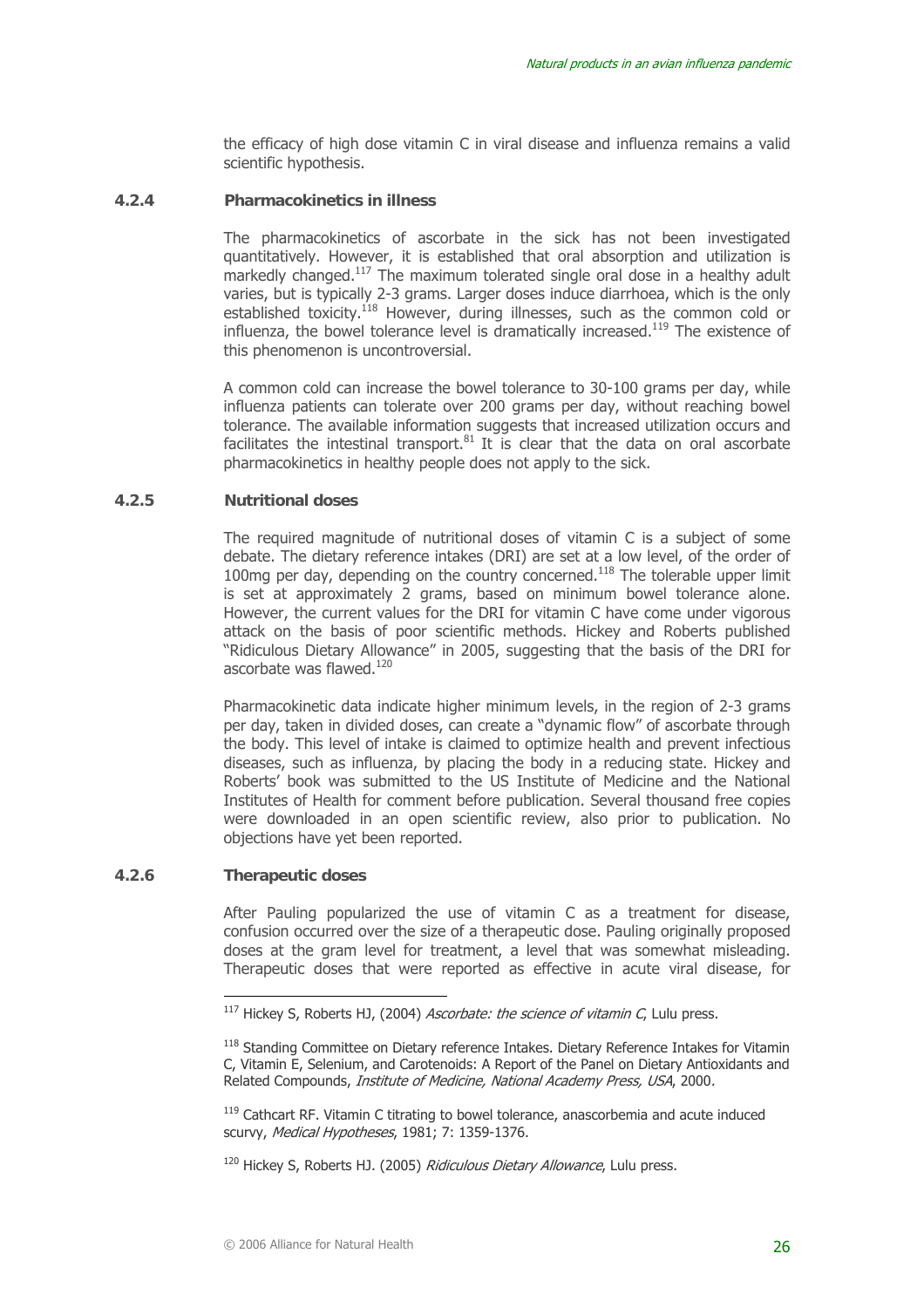the efficacy of high dose vitamin C in viral disease and influenza remains a valid scientific hypothesis.

#### **4.2.4 Pharmacokinetics in illness**

The pharmacokinetics of ascorbate in the sick has not been investigated quantitatively. However, it is established that oral absorption and utilization is markedly changed.117 The maximum tolerated single oral dose in a healthy adult varies, but is typically 2-3 grams. Larger doses induce diarrhoea, which is the only established toxicity.<sup>118</sup> However, during illnesses, such as the common cold or influenza, the bowel tolerance level is dramatically increased.<sup>119</sup> The existence of this phenomenon is uncontroversial.

A common cold can increase the bowel tolerance to 30-100 grams per day, while influenza patients can tolerate over 200 grams per day, without reaching bowel tolerance. The available information suggests that increased utilization occurs and facilitates the intestinal transport.<sup>81</sup> It is clear that the data on oral ascorbate pharmacokinetics in healthy people does not apply to the sick.

#### **4.2.5 Nutritional doses**

The required magnitude of nutritional doses of vitamin C is a subject of some debate. The dietary reference intakes (DRI) are set at a low level, of the order of 100mg per day, depending on the country concerned.<sup>118</sup> The tolerable upper limit is set at approximately 2 grams, based on minimum bowel tolerance alone. However, the current values for the DRI for vitamin C have come under vigorous attack on the basis of poor scientific methods. Hickey and Roberts published "Ridiculous Dietary Allowance" in 2005, suggesting that the basis of the DRI for ascorbate was flawed. $120$ 

Pharmacokinetic data indicate higher minimum levels, in the region of 2-3 grams per day, taken in divided doses, can create a "dynamic flow" of ascorbate through the body. This level of intake is claimed to optimize health and prevent infectious diseases, such as influenza, by placing the body in a reducing state. Hickey and Roberts' book was submitted to the US Institute of Medicine and the National Institutes of Health for comment before publication. Several thousand free copies were downloaded in an open scientific review, also prior to publication. No objections have yet been reported.

#### **4.2.6 Therapeutic doses**

 $\overline{a}$ 

After Pauling popularized the use of vitamin C as a treatment for disease, confusion occurred over the size of a therapeutic dose. Pauling originally proposed doses at the gram level for treatment, a level that was somewhat misleading. Therapeutic doses that were reported as effective in acute viral disease, for

 $^{117}$  Hickey S, Roberts HJ, (2004) *Ascorbate: the science of vitamin C*, Lulu press.

<sup>118</sup> Standing Committee on Dietary reference Intakes. Dietary Reference Intakes for Vitamin C, Vitamin E, Selenium, and Carotenoids: A Report of the Panel on Dietary Antioxidants and Related Compounds, Institute of Medicine, National Academy Press, USA, 2000.

<sup>&</sup>lt;sup>119</sup> Cathcart RF. Vitamin C titrating to bowel tolerance, anascorbemia and acute induced scurvy, Medical Hypotheses, 1981; 7: 1359-1376.

<sup>&</sup>lt;sup>120</sup> Hickey S, Roberts HJ, (2005) *Ridiculous Dietary Allowance*, Lulu press,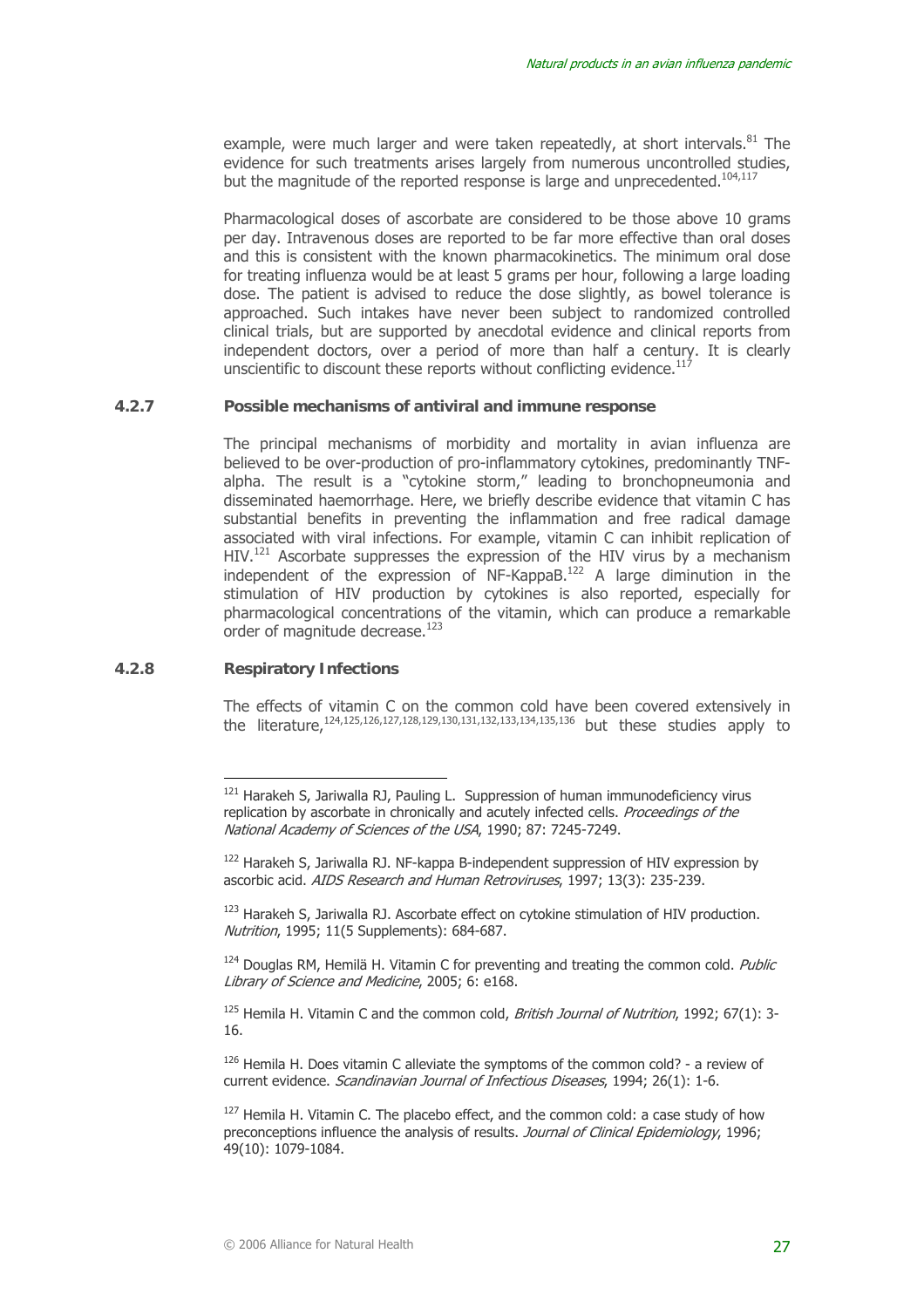example, were much larger and were taken repeatedly, at short intervals. $81$  The evidence for such treatments arises largely from numerous uncontrolled studies, but the magnitude of the reported response is large and unprecedented.<sup>104,117</sup>

Pharmacological doses of ascorbate are considered to be those above 10 grams per day. Intravenous doses are reported to be far more effective than oral doses and this is consistent with the known pharmacokinetics. The minimum oral dose for treating influenza would be at least 5 grams per hour, following a large loading dose. The patient is advised to reduce the dose slightly, as bowel tolerance is approached. Such intakes have never been subject to randomized controlled clinical trials, but are supported by anecdotal evidence and clinical reports from independent doctors, over a period of more than half a century. It is clearly unscientific to discount these reports without conflicting evidence. $^{11}$ 

#### **4.2.7 Possible mechanisms of antiviral and immune response**

The principal mechanisms of morbidity and mortality in avian influenza are believed to be over-production of pro-inflammatory cytokines, predominantly TNFalpha. The result is a "cytokine storm," leading to bronchopneumonia and disseminated haemorrhage. Here, we briefly describe evidence that vitamin C has substantial benefits in preventing the inflammation and free radical damage associated with viral infections. For example, vitamin C can inhibit replication of HIV.<sup>121</sup> Ascorbate suppresses the expression of the HIV virus by a mechanism interestigate the expression of NF-KappaB.<sup>122</sup> A large diminution in the stimulation of HIV production by cytokines is also reported, especially for pharmacological concentrations of the vitamin, which can produce a remarkable order of magnitude decrease. $123$ 

#### **4.2.8 Respiratory Infections**

 $\overline{a}$ 

The effects of vitamin C on the common cold have been covered extensively in the literature,<sup>124,125,126,127,128,129,130,131,132,133,134,135,136</sup> but these studies apply to

<sup>123</sup> Harakeh S, Jariwalla RJ. Ascorbate effect on cytokine stimulation of HIV production. Nutrition, 1995; 11(5 Supplements): 684-687.

 $124$  Douglas RM, Hemilä H. Vitamin C for preventing and treating the common cold. Public Library of Science and Medicine, 2005; 6: e168.

 $125$  Hemila H. Vitamin C and the common cold, *British Journal of Nutrition*, 1992; 67(1): 3-16.

<sup>126</sup> Hemila H. Does vitamin C alleviate the symptoms of the common cold? - a review of current evidence. Scandinavian Journal of Infectious Diseases, 1994; 26(1): 1-6.

 $127$  Hemila H. Vitamin C. The placebo effect, and the common cold: a case study of how preconceptions influence the analysis of results. Journal of Clinical Epidemiology, 1996; 49(10): 1079-1084.

<sup>&</sup>lt;sup>121</sup> Harakeh S, Jariwalla RJ, Pauling L. Suppression of human immunodeficiency virus replication by ascorbate in chronically and acutely infected cells. Proceedings of the National Academy of Sciences of the USA, 1990; 87: 7245-7249.

<sup>&</sup>lt;sup>122</sup> Harakeh S, Jariwalla RJ. NF-kappa B-independent suppression of HIV expression by ascorbic acid. AIDS Research and Human Retroviruses, 1997; 13(3): 235-239.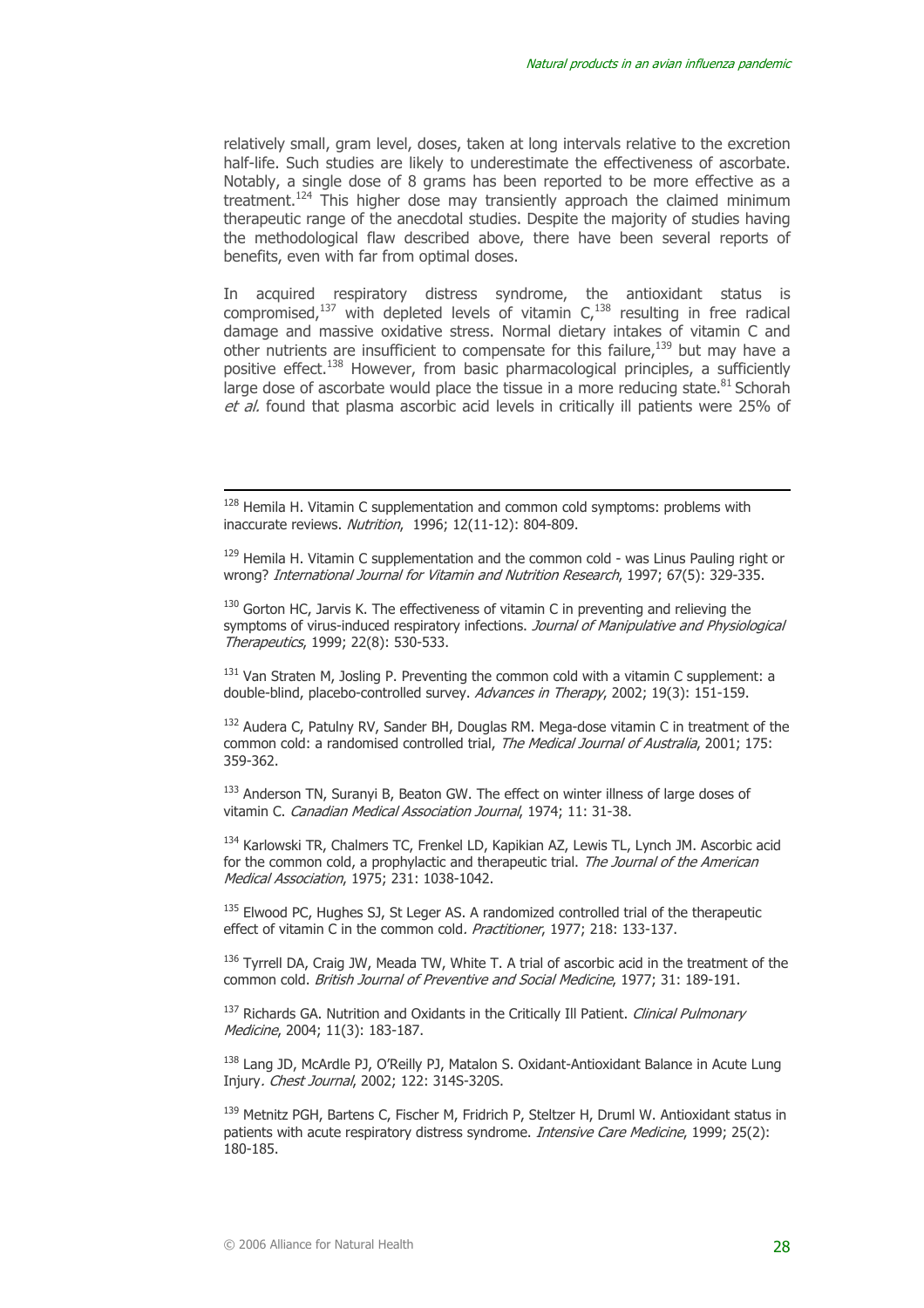relatively small, gram level, doses, taken at long intervals relative to the excretion half-life. Such studies are likely to underestimate the effectiveness of ascorbate. Notably, a single dose of 8 grams has been reported to be more effective as a treatment.<sup>124</sup> This higher dose may transiently approach the claimed minimum therapeutic range of the anecdotal studies. Despite the majority of studies having the methodological flaw described above, there have been several reports of benefits, even with far from optimal doses.

In acquired respiratory distress syndrome, the antioxidant status is compromised,<sup>137</sup> with depleted levels of vitamin  $C<sub>1</sub>$ <sup>138</sup> resulting in free radical damage and massive oxidative stress. Normal dietary intakes of vitamin C and other nutrients are insufficient to compensate for this failure, $139$  but may have a positive effect.<sup>138</sup> However, from basic pharmacological principles, a sufficiently large dose of ascorbate would place the tissue in a more reducing state.  $81$  Schorah et al. found that plasma ascorbic acid levels in critically ill patients were 25% of

 $131$  Van Straten M, Josling P. Preventing the common cold with a vitamin C supplement: a double-blind, placebo-controlled survey. Advances in Therapy, 2002; 19(3): 151-159.

<sup>132</sup> Audera C, Patulny RV, Sander BH, Douglas RM. Mega-dose vitamin C in treatment of the common cold: a randomised controlled trial, The Medical Journal of Australia, 2001; 175: 359-362.

133 Anderson TN, Suranyi B, Beaton GW. The effect on winter illness of large doses of vitamin C. Canadian Medical Association Journal, 1974; 11: 31-38.

<sup>134</sup> Karlowski TR, Chalmers TC, Frenkel LD, Kapikian AZ, Lewis TL, Lynch JM. Ascorbic acid for the common cold, a prophylactic and therapeutic trial. The Journal of the American Medical Association, 1975; 231: 1038-1042.

<sup>135</sup> Elwood PC, Hughes SJ, St Leger AS, A randomized controlled trial of the therapeutic effect of vitamin C in the common cold. *Practitioner*, 1977; 218: 133-137.

<sup>136</sup> Tyrrell DA, Craig JW, Meada TW, White T. A trial of ascorbic acid in the treatment of the common cold. British Journal of Preventive and Social Medicine, 1977; 31: 189-191.

<sup>137</sup> Richards GA. Nutrition and Oxidants in the Critically Ill Patient. *Clinical Pulmonary* Medicine, 2004; 11(3): 183-187.

<sup>138</sup> Lang JD, McArdle PJ, O'Reilly PJ, Matalon S, Oxidant-Antioxidant Balance in Acute Lung Injury. Chest Journal, 2002; 122: 314S-320S.

139 Metnitz PGH, Bartens C, Fischer M, Fridrich P, Steltzer H, Druml W. Antioxidant status in patients with acute respiratory distress syndrome. *Intensive Care Medicine*, 1999; 25(2): 180-185.

 $128$  Hemila H. Vitamin C supplementation and common cold symptoms: problems with inaccurate reviews. Nutrition, 1996; 12(11-12): 804-809.

<sup>&</sup>lt;sup>129</sup> Hemila H. Vitamin C supplementation and the common cold - was Linus Pauling right or wrong? International Journal for Vitamin and Nutrition Research, 1997; 67(5): 329-335.

 $130$  Gorton HC, Jarvis K. The effectiveness of vitamin C in preventing and relieving the symptoms of virus-induced respiratory infections. Journal of Manipulative and Physiological Therapeutics, 1999; 22(8): 530-533.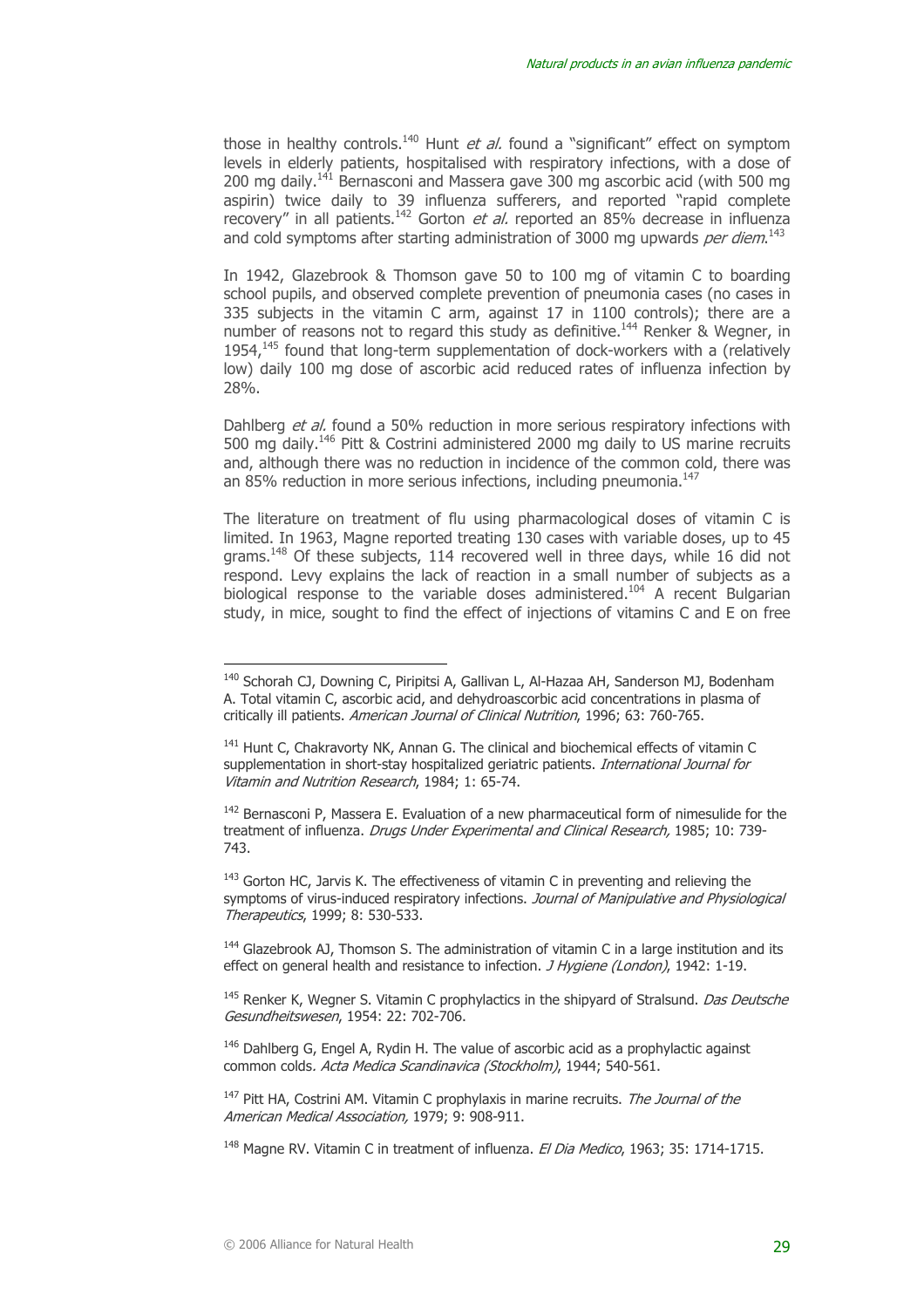those in healthy controls.<sup>140</sup> Hunt *et al.* found a "significant" effect on symptom levels in elderly patients, hospitalised with respiratory infections, with a dose of 200 mg daily.<sup>141</sup> Bernasconi and Massera gave 300 mg ascorbic acid (with 500 mg aspirin) twice daily to 39 influenza sufferers, and reported "rapid complete recovery" in all patients.<sup>142</sup> Gorton *et al.* reported an 85% decrease in influenza and cold symptoms after starting administration of 3000 mg upwards per diem.<sup>143</sup>

In 1942, Glazebrook & Thomson gave 50 to 100 mg of vitamin C to boarding school pupils, and observed complete prevention of pneumonia cases (no cases in 335 subjects in the vitamin C arm, against 17 in 1100 controls); there are a number of reasons not to regard this study as definitive.<sup>144</sup> Renker & Wegner, in  $1954<sub>145</sub>$  found that long-term supplementation of dock-workers with a (relatively low) daily 100 mg dose of ascorbic acid reduced rates of influenza infection by 28%.

Dahlberg et al. found a 50% reduction in more serious respiratory infections with 500 mg daily.146 Pitt & Costrini administered 2000 mg daily to US marine recruits and, although there was no reduction in incidence of the common cold, there was an 85% reduction in more serious infections, including pneumonia.<sup>147</sup>

The literature on treatment of flu using pharmacological doses of vitamin C is limited. In 1963, Magne reported treating 130 cases with variable doses, up to 45 grams.148 Of these subjects, 114 recovered well in three days, while 16 did not respond. Levy explains the lack of reaction in a small number of subjects as a biological response to the variable doses administered.<sup>104</sup> A recent Bulgarian study, in mice, sought to find the effect of injections of vitamins C and E on free

<sup>&</sup>lt;sup>140</sup> Schorah CJ, Downing C, Piripitsi A, Gallivan L, Al-Hazaa AH, Sanderson MJ, Bodenham A. Total vitamin C, ascorbic acid, and dehydroascorbic acid concentrations in plasma of critically ill patients. American Journal of Clinical Nutrition, 1996; 63: 760-765.

<sup>&</sup>lt;sup>141</sup> Hunt C, Chakravorty NK, Annan G. The clinical and biochemical effects of vitamin C supplementation in short-stay hospitalized geriatric patients. *International Journal for* Vitamin and Nutrition Research, 1984; 1: 65-74.

 $142$  Bernasconi P, Massera E. Evaluation of a new pharmaceutical form of nimesulide for the treatment of influenza. Drugs Under Experimental and Clinical Research, 1985; 10: 739-743.

 $143$  Gorton HC, Jarvis K. The effectiveness of vitamin C in preventing and relieving the symptoms of virus-induced respiratory infections. Journal of Manipulative and Physiological Therapeutics, 1999; 8: 530-533.

 $144$  Glazebrook AJ, Thomson S. The administration of vitamin C in a large institution and its effect on general health and resistance to infection. *J Hygiene (London)*, 1942: 1-19.

<sup>&</sup>lt;sup>145</sup> Renker K, Wegner S. Vitamin C prophylactics in the shipyard of Stralsund. *Das Deutsche* Gesundheitswesen, 1954: 22: 702-706.

 $146$  Dahlberg G, Engel A, Rydin H. The value of ascorbic acid as a prophylactic against common colds. Acta Medica Scandinavica (Stockholm), 1944; 540-561.

 $147$  Pitt HA, Costrini AM. Vitamin C prophylaxis in marine recruits. The Journal of the American Medical Association, 1979; 9: 908-911.

 $148$  Magne RV. Vitamin C in treatment of influenza. El Dia Medico, 1963; 35: 1714-1715.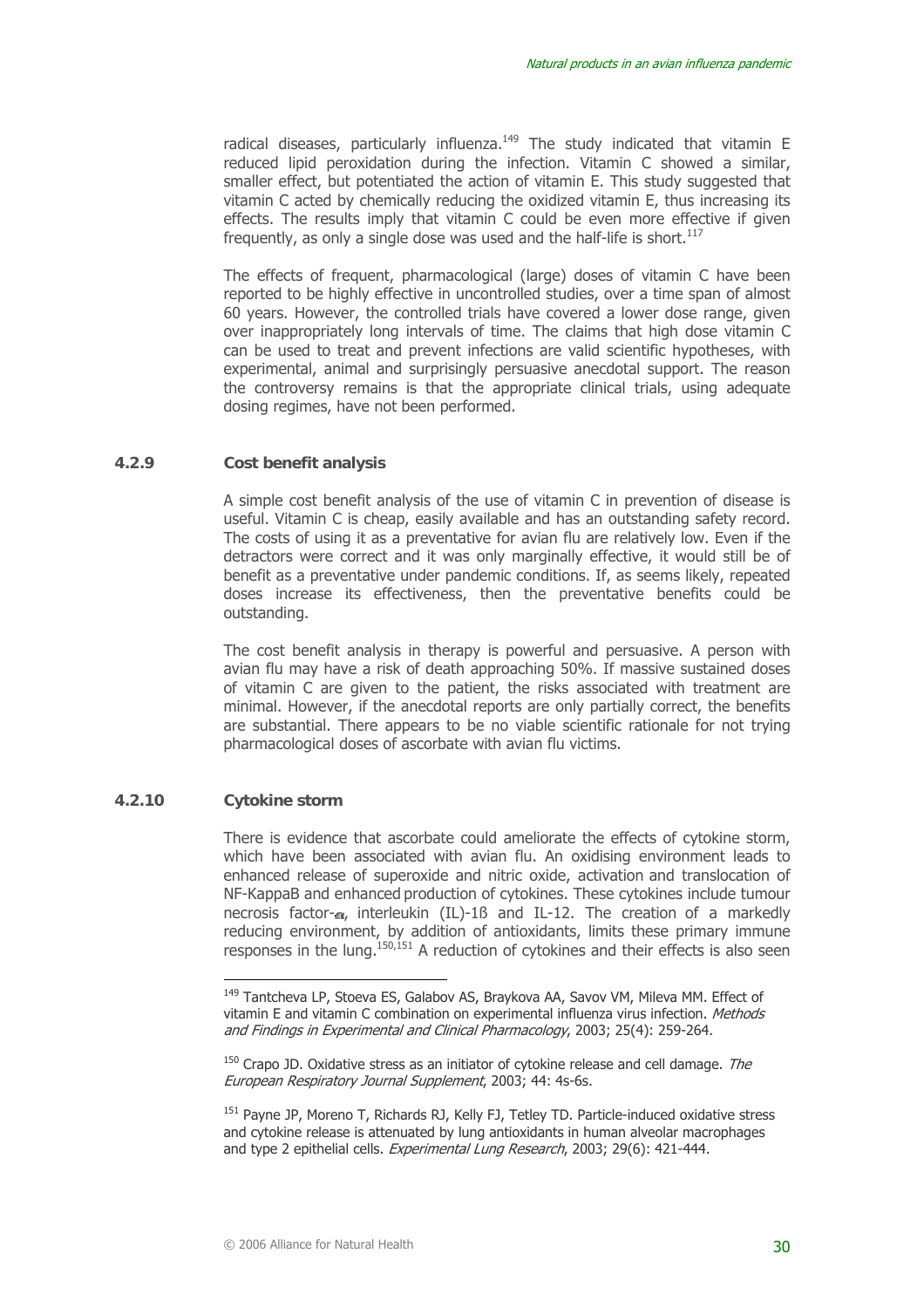radical diseases, particularly influenza.<sup>149</sup> The study indicated that vitamin E reduced lipid peroxidation during the infection. Vitamin C showed a similar, smaller effect, but potentiated the action of vitamin E. This study suggested that vitamin C acted by chemically reducing the oxidized vitamin E, thus increasing its effects. The results imply that vitamin C could be even more effective if given frequently, as only a single dose was used and the half-life is short.<sup>117</sup>

The effects of frequent, pharmacological (large) doses of vitamin C have been reported to be highly effective in uncontrolled studies, over a time span of almost 60 years. However, the controlled trials have covered a lower dose range, given over inappropriately long intervals of time. The claims that high dose vitamin C can be used to treat and prevent infections are valid scientific hypotheses, with experimental, animal and surprisingly persuasive anecdotal support. The reason the controversy remains is that the appropriate clinical trials, using adequate dosing regimes, have not been performed.

#### **4.2.9 Cost benefit analysis**

A simple cost benefit analysis of the use of vitamin C in prevention of disease is useful. Vitamin C is cheap, easily available and has an outstanding safety record. The costs of using it as a preventative for avian flu are relatively low. Even if the detractors were correct and it was only marginally effective, it would still be of benefit as a preventative under pandemic conditions. If, as seems likely, repeated doses increase its effectiveness, then the preventative benefits could be outstanding.

The cost benefit analysis in therapy is powerful and persuasive. A person with avian flu may have a risk of death approaching 50%. If massive sustained doses of vitamin C are given to the patient, the risks associated with treatment are minimal. However, if the anecdotal reports are only partially correct, the benefits are substantial. There appears to be no viable scientific rationale for not trying pharmacological doses of ascorbate with avian flu victims.

#### **4.2.10 Cytokine storm**

 $\overline{a}$ 

There is evidence that ascorbate could ameliorate the effects of cytokine storm, which have been associated with avian flu. An oxidising environment leads to enhanced release of superoxide and nitric oxide, activation and translocation of NF-KappaB and enhanced production of cytokines. These cytokines include tumour necrosis factor- $\alpha$ , interleukin (IL)-1ß and IL-12. The creation of a markedly reducing environment, by addition of antioxidants, limits these primary immune responses in the lung.<sup>150,151</sup> A reduction of cytokines and their effects is also seen

<sup>&</sup>lt;sup>149</sup> Tantcheva LP, Stoeva ES, Galabov AS, Braykova AA, Savov VM, Mileva MM, Effect of vitamin E and vitamin C combination on experimental influenza virus infection. Methods and Findings in Experimental and Clinical Pharmacology, 2003; 25(4): 259-264.

 $150$  Crapo JD. Oxidative stress as an initiator of cytokine release and cell damage. The European Respiratory Journal Supplement, 2003; 44: 4s-6s.

<sup>&</sup>lt;sup>151</sup> Payne JP, Moreno T, Richards RJ, Kelly FJ, Tetley TD. Particle-induced oxidative stress and cytokine release is attenuated by lung antioxidants in human alveolar macrophages and type 2 epithelial cells. Experimental Lung Research, 2003; 29(6): 421-444.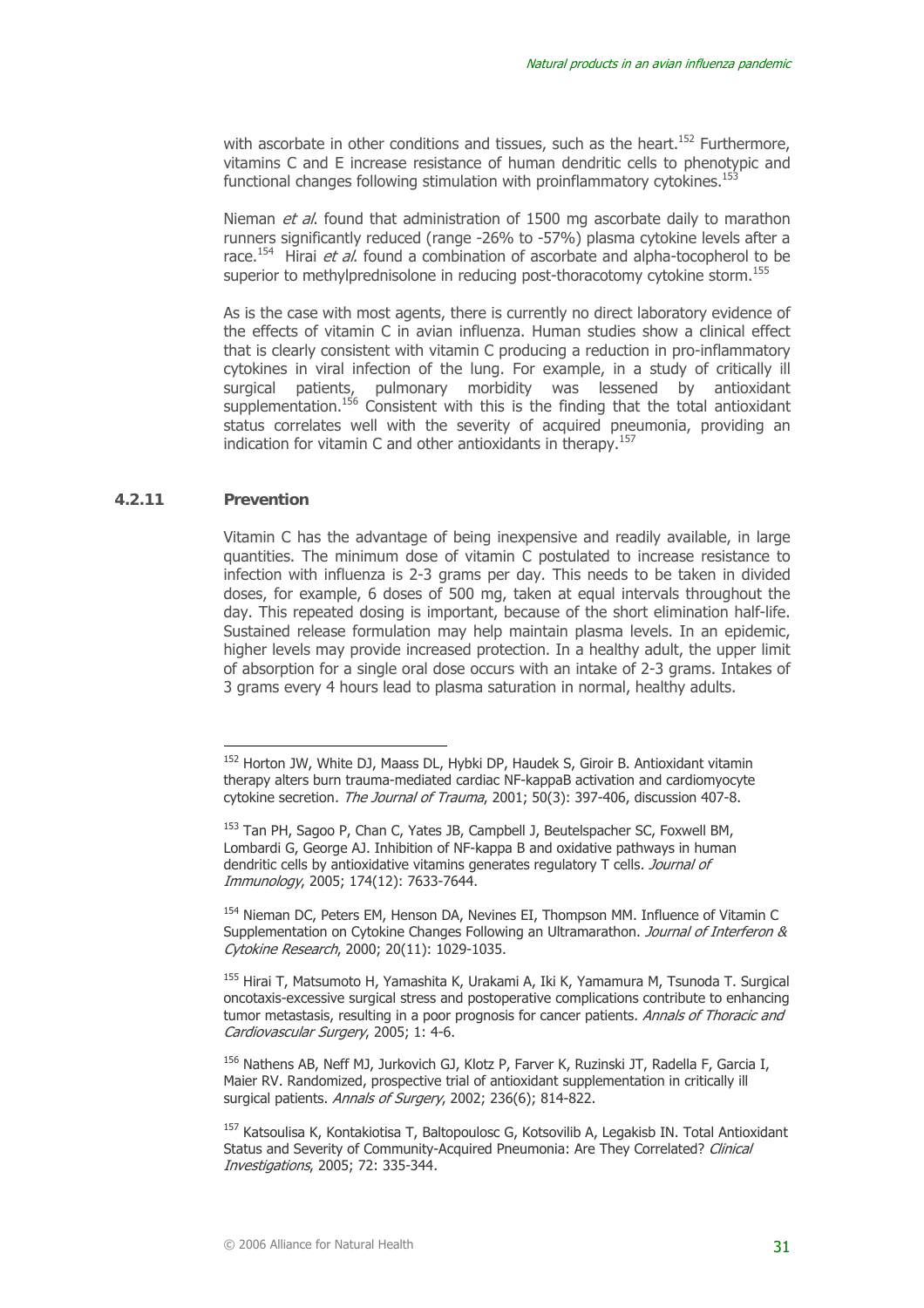with ascorbate in other conditions and tissues, such as the heart.<sup>152</sup> Furthermore, vitamins C and E increase resistance of human dendritic cells to phenotypic and functional changes following stimulation with proinflammatory cytokines.<sup>153</sup>

Nieman et al. found that administration of 1500 mg ascorbate daily to marathon runners significantly reduced (range -26% to -57%) plasma cytokine levels after a race.<sup>154</sup> Hirai *et al.* found a combination of ascorbate and alpha-tocopherol to be superior to methylprednisolone in reducing post-thoracotomy cytokine storm.<sup>155</sup>

As is the case with most agents, there is currently no direct laboratory evidence of the effects of vitamin C in avian influenza. Human studies show a clinical effect that is clearly consistent with vitamin C producing a reduction in pro-inflammatory cytokines in viral infection of the lung. For example, in a study of critically ill surgical patients, pulmonary morbidity was lessened by antioxidant supplementation.<sup>156</sup> Consistent with this is the finding that the total antioxidant status correlates well with the severity of acquired pneumonia, providing an indication for vitamin C and other antioxidants in therapy.<sup>157</sup>

#### **4.2.11 Prevention**

 $\overline{a}$ 

Vitamin C has the advantage of being inexpensive and readily available, in large quantities. The minimum dose of vitamin C postulated to increase resistance to infection with influenza is 2-3 grams per day. This needs to be taken in divided doses, for example, 6 doses of 500 mg, taken at equal intervals throughout the day. This repeated dosing is important, because of the short elimination half-life. Sustained release formulation may help maintain plasma levels. In an epidemic, higher levels may provide increased protection. In a healthy adult, the upper limit of absorption for a single oral dose occurs with an intake of 2-3 grams. Intakes of 3 grams every 4 hours lead to plasma saturation in normal, healthy adults.

<sup>154</sup> Nieman DC, Peters EM, Henson DA, Nevines EI, Thompson MM. Influence of Vitamin C Supplementation on Cytokine Changes Following an Ultramarathon. Journal of Interferon & Cytokine Research, 2000; 20(11): 1029-1035.

<sup>156</sup> Nathens AB, Neff MJ, Jurkovich GJ, Klotz P, Farver K, Ruzinski JT, Radella F, Garcia I, Maier RV. Randomized, prospective trial of antioxidant supplementation in critically ill surgical patients. Annals of Surgery, 2002; 236(6): 814-822.

<sup>152</sup> Horton JW, White DJ, Maass DL, Hybki DP, Haudek S, Giroir B. Antioxidant vitamin therapy alters burn trauma-mediated cardiac NF-kappaB activation and cardiomyocyte cytokine secretion. The Journal of Trauma, 2001; 50(3): 397-406, discussion 407-8.

<sup>153</sup> Tan PH, Sagoo P, Chan C, Yates JB, Campbell J, Beutelspacher SC, Foxwell BM, Lombardi G, George AJ. Inhibition of NF-kappa B and oxidative pathways in human dendritic cells by antioxidative vitamins generates regulatory T cells. Journal of Immunology, 2005; 174(12): 7633-7644.

<sup>155</sup> Hirai T, Matsumoto H, Yamashita K, Urakami A, Iki K, Yamamura M, Tsunoda T. Surgical oncotaxis-excessive surgical stress and postoperative complications contribute to enhancing tumor metastasis, resulting in a poor prognosis for cancer patients. Annals of Thoracic and Cardiovascular Surgery, 2005; 1: 4-6.

<sup>&</sup>lt;sup>157</sup> Katsoulisa K, Kontakiotisa T, Baltopoulosc G, Kotsovilib A, Legakisb IN, Total Antioxidant Status and Severity of Community-Acquired Pneumonia: Are They Correlated? Clinical Investigations, 2005; 72: 335-344.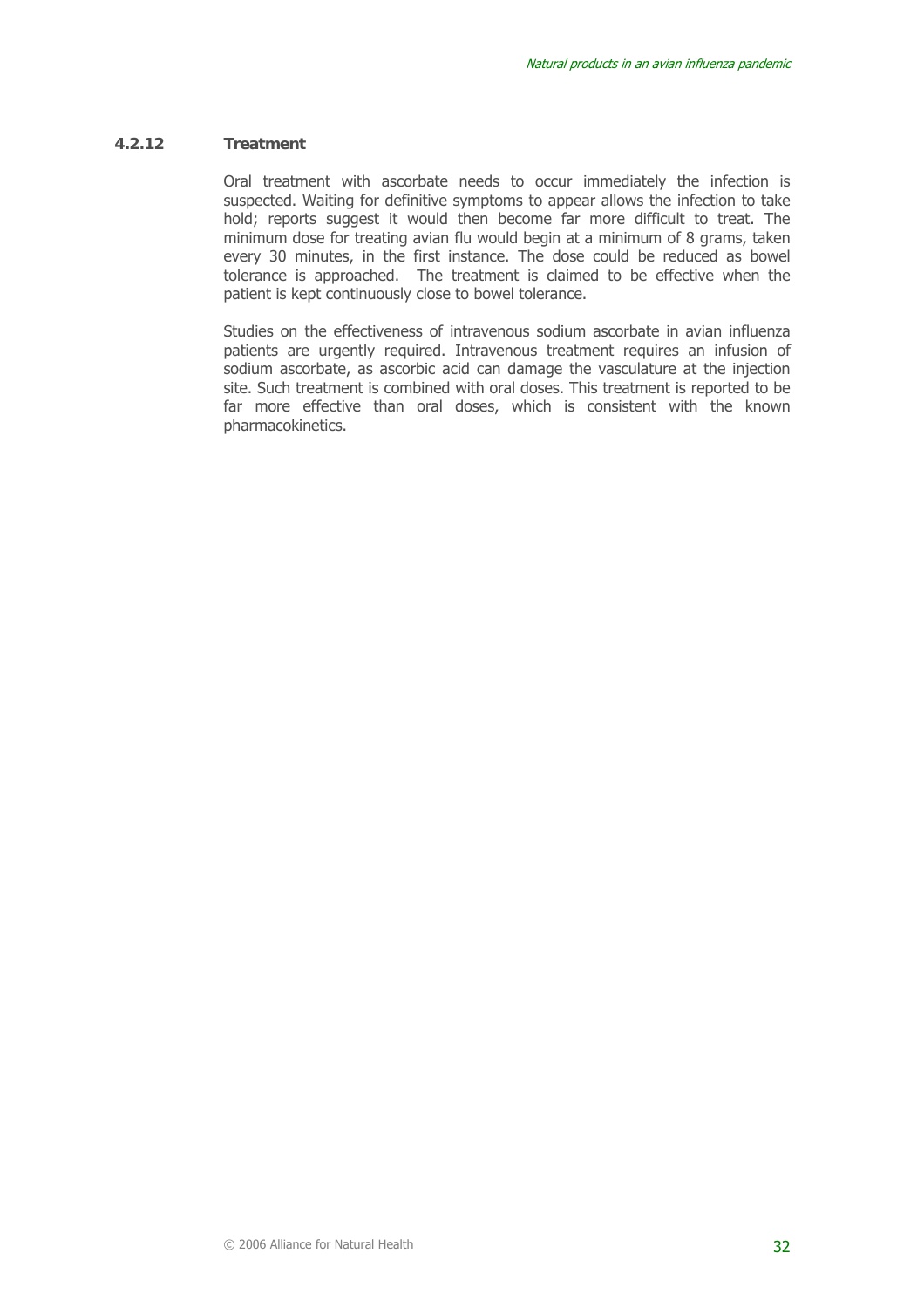#### **4.2.12 Treatment**

Oral treatment with ascorbate needs to occur immediately the infection is suspected. Waiting for definitive symptoms to appear allows the infection to take hold; reports suggest it would then become far more difficult to treat. The minimum dose for treating avian flu would begin at a minimum of 8 grams, taken every 30 minutes, in the first instance. The dose could be reduced as bowel tolerance is approached. The treatment is claimed to be effective when the patient is kept continuously close to bowel tolerance.

Studies on the effectiveness of intravenous sodium ascorbate in avian influenza patients are urgently required. Intravenous treatment requires an infusion of sodium ascorbate, as ascorbic acid can damage the vasculature at the injection site. Such treatment is combined with oral doses. This treatment is reported to be far more effective than oral doses, which is consistent with the known pharmacokinetics.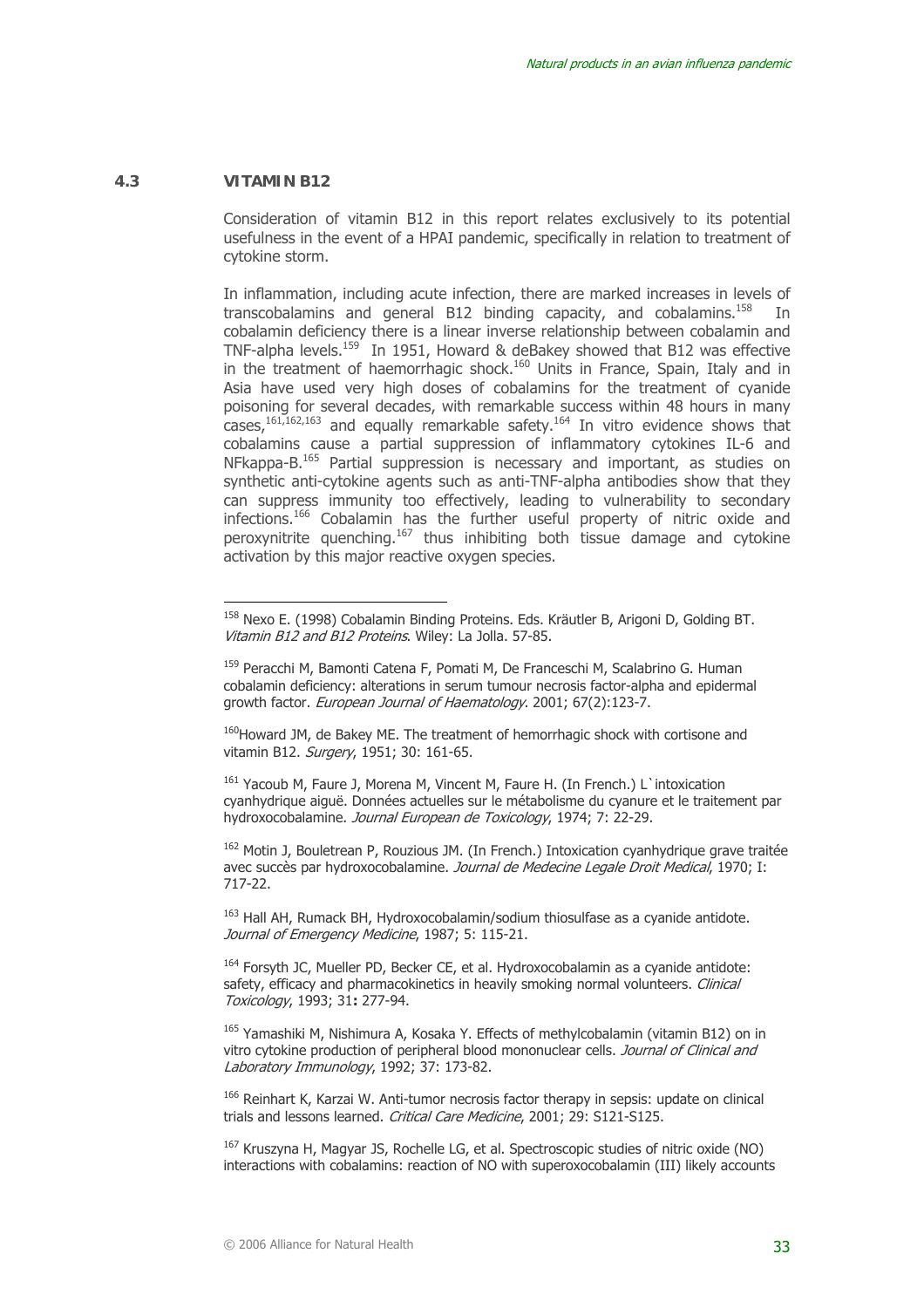#### **4.3 VITAMIN B12**

 $\overline{a}$ 

Consideration of vitamin B12 in this report relates exclusively to its potential usefulness in the event of a HPAI pandemic, specifically in relation to treatment of cytokine storm.

In inflammation, including acute infection, there are marked increases in levels of transcobalamins and general B12 binding capacity, and cobalamins.<sup>158</sup> In cobalamin deficiency there is a linear inverse relationship between cobalamin and TNF-alpha levels.<sup>159</sup> In 1951, Howard & deBakey showed that B12 was effective in the treatment of haemorrhagic shock.<sup>160</sup> Units in France, Spain, Italy and in Asia have used very high doses of cobalamins for the treatment of cyanide poisoning for several decades, with remarkable success within 48 hours in many  $\cos^2(161,162,163)$  and equally remarkable safety.<sup>164</sup> In vitro evidence shows that cobalamins cause a partial suppression of inflammatory cytokines IL-6 and NFkappa-B.165 Partial suppression is necessary and important, as studies on synthetic anti-cytokine agents such as anti-TNF-alpha antibodies show that they can suppress immunity too effectively, leading to vulnerability to secondary infections.166 Cobalamin has the further useful property of nitric oxide and peroxynitrite quenching.167 thus inhibiting both tissue damage and cytokine activation by this major reactive oxygen species.

<sup>163</sup> Hall AH, Rumack BH, Hydroxocobalamin/sodium thiosulfase as a cyanide antidote. Journal of Emergency Medicine, 1987; 5: 115-21.

 $164$  Forsyth JC, Mueller PD, Becker CE, et al. Hydroxocobalamin as a cyanide antidote: safety, efficacy and pharmacokinetics in heavily smoking normal volunteers. *Clinical* Toxicology, 1993; 31**:** 277-94.

<sup>165</sup> Yamashiki M, Nishimura A, Kosaka Y. Effects of methylcobalamin (vitamin B12) on in vitro cytokine production of peripheral blood mononuclear cells. Journal of Clinical and Laboratory Immunology, 1992; 37: 173-82.

166 Reinhart K, Karzai W. Anti-tumor necrosis factor therapy in sepsis: update on clinical trials and lessons learned. Critical Care Medicine, 2001; 29: S121-S125.

 $167$  Kruszyna H, Magyar JS, Rochelle LG, et al. Spectroscopic studies of nitric oxide (NO) interactions with cobalamins: reaction of NO with superoxocobalamin (III) likely accounts

<sup>158</sup> Nexo E. (1998) Cobalamin Binding Proteins. Eds. Kräutler B, Arigoni D, Golding BT. Vitamin B12 and B12 Proteins. Wiley: La Jolla. 57-85.

<sup>&</sup>lt;sup>159</sup> Peracchi M, Bamonti Catena F, Pomati M, De Franceschi M, Scalabrino G. Human cobalamin deficiency: alterations in serum tumour necrosis factor-alpha and epidermal growth factor. European Journal of Haematology. 2001; 67(2):123-7.

<sup>&</sup>lt;sup>160</sup>Howard JM, de Bakey ME. The treatment of hemorrhagic shock with cortisone and vitamin B12. Surgery, 1951; 30: 161-65.

<sup>161</sup> Yacoub M, Faure J, Morena M, Vincent M, Faure H. (In French.) L'intoxication cyanhydrique aiguë. Données actuelles sur le métabolisme du cyanure et le traitement par hydroxocobalamine. Journal European de Toxicology, 1974; 7: 22-29.

<sup>&</sup>lt;sup>162</sup> Motin J, Bouletrean P, Rouzious JM. (In French.) Intoxication cyanhydrique grave traitée avec succès par hydroxocobalamine. Journal de Medecine Legale Droit Medical, 1970; I: 717-22.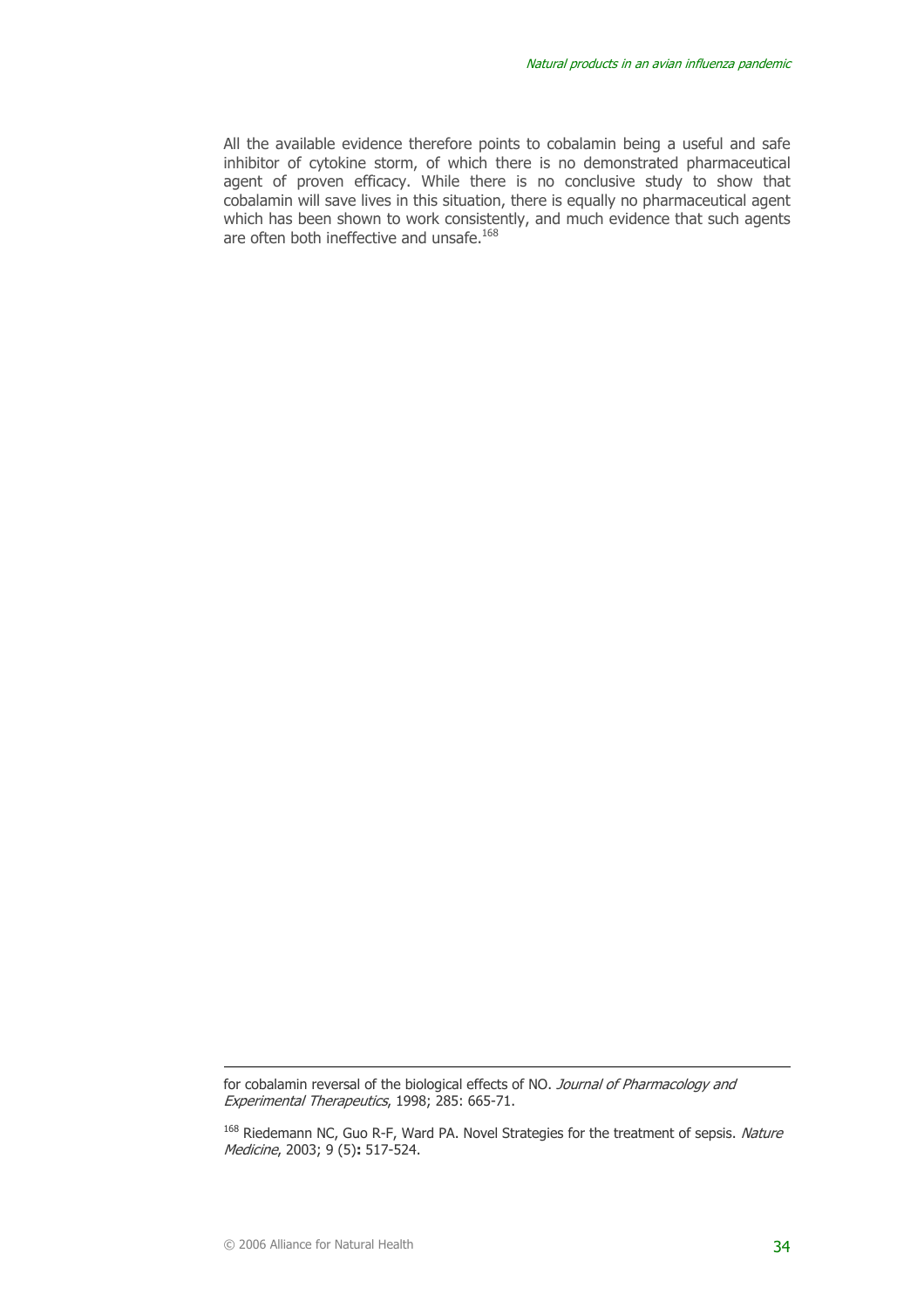All the available evidence therefore points to cobalamin being a useful and safe inhibitor of cytokine storm, of which there is no demonstrated pharmaceutical agent of proven efficacy. While there is no conclusive study to show that cobalamin will save lives in this situation, there is equally no pharmaceutical agent which has been shown to work consistently, and much evidence that such agents are often both ineffective and unsafe.<sup>168</sup>

for cobalamin reversal of the biological effects of NO. Journal of Pharmacology and Experimental Therapeutics, 1998; 285: 665-71.

<sup>&</sup>lt;sup>168</sup> Riedemann NC, Guo R-F, Ward PA. Novel Strategies for the treatment of sepsis. Nature Medicine, 2003; 9 (5)**:** 517-524.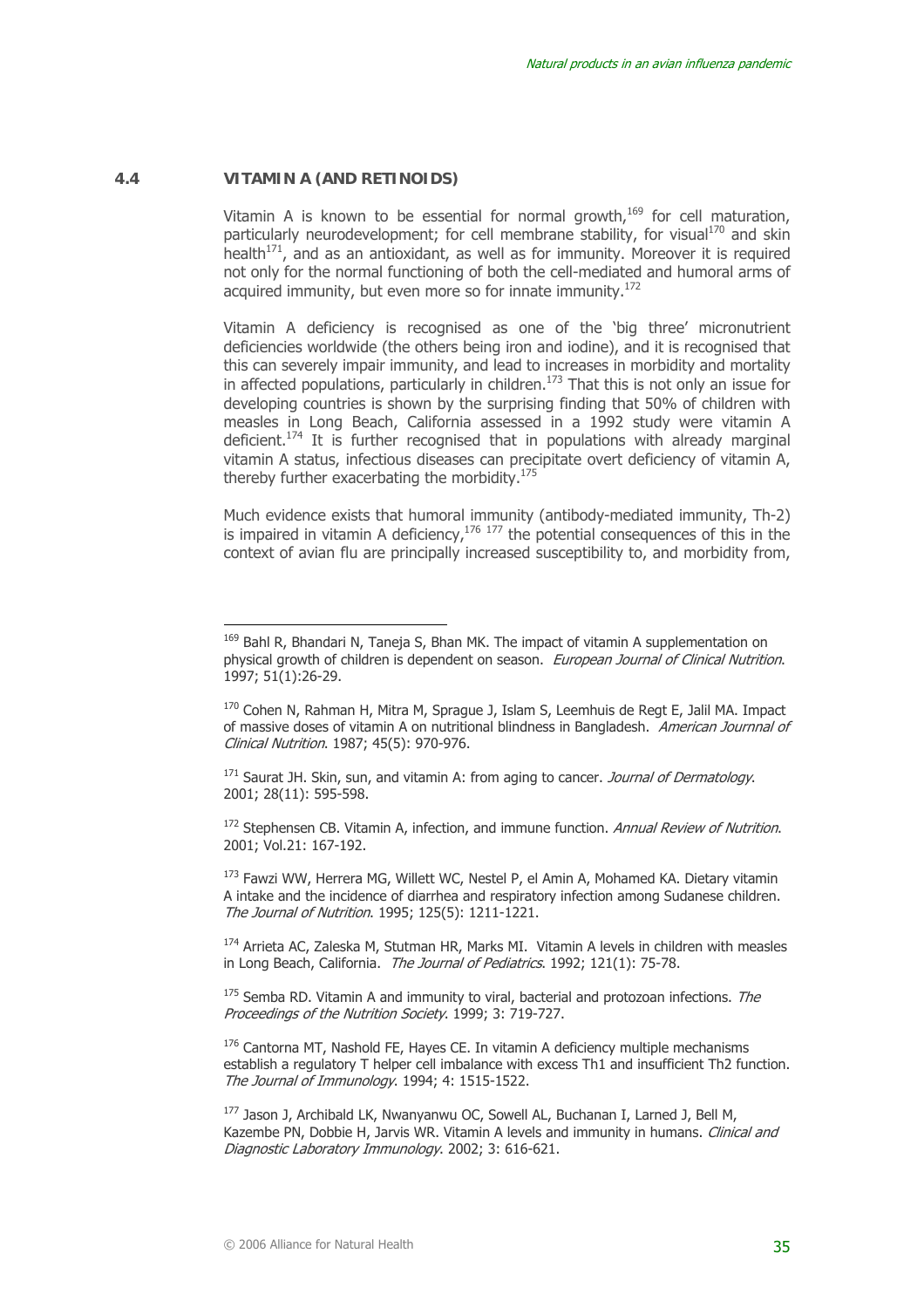#### **4.4 VITAMIN A (AND RETINOIDS)**

 $\overline{a}$ 

Vitamin A is known to be essential for normal growth, $169$  for cell maturation, particularly neurodevelopment; for cell membrane stability, for visual<sup>170</sup> and skin health $171$ , and as an antioxidant, as well as for immunity. Moreover it is required not only for the normal functioning of both the cell-mediated and humoral arms of acquired immunity, but even more so for innate immunity.<sup>172</sup>

Vitamin A deficiency is recognised as one of the 'big three' micronutrient deficiencies worldwide (the others being iron and iodine), and it is recognised that this can severely impair immunity, and lead to increases in morbidity and mortality in affected populations, particularly in children.<sup>173</sup> That this is not only an issue for developing countries is shown by the surprising finding that 50% of children with measles in Long Beach, California assessed in a 1992 study were vitamin A deficient.174 It is further recognised that in populations with already marginal vitamin A status, infectious diseases can precipitate overt deficiency of vitamin A, thereby further exacerbating the morbidity.<sup>175</sup>

Much evidence exists that humoral immunity (antibody-mediated immunity, Th-2) is impaired in vitamin A deficiency, $176 \frac{177}{177}$  the potential consequences of this in the context of avian flu are principally increased susceptibility to, and morbidity from,

<sup>&</sup>lt;sup>169</sup> Bahl R, Bhandari N, Taneja S, Bhan MK. The impact of vitamin A supplementation on physical growth of children is dependent on season. European Journal of Clinical Nutrition. 1997; 51(1):26-29.

<sup>&</sup>lt;sup>170</sup> Cohen N, Rahman H, Mitra M, Sprague J, Islam S, Leemhuis de Regt E, Jalil MA. Impact of massive doses of vitamin A on nutritional blindness in Bangladesh. American Journnal of Clinical Nutrition. 1987; 45(5): 970-976.

<sup>&</sup>lt;sup>171</sup> Saurat JH. Skin, sun, and vitamin A: from aging to cancer. *Journal of Dermatology*. 2001; 28(11): 595-598.

 $172$  Stephensen CB. Vitamin A, infection, and immune function. Annual Review of Nutrition. 2001; Vol.21: 167-192.

<sup>&</sup>lt;sup>173</sup> Fawzi WW, Herrera MG, Willett WC, Nestel P, el Amin A, Mohamed KA. Dietary vitamin A intake and the incidence of diarrhea and respiratory infection among Sudanese children. The Journal of Nutrition. 1995; 125(5): 1211-1221.

<sup>174</sup> Arrieta AC, Zaleska M, Stutman HR, Marks MI. Vitamin A levels in children with measles in Long Beach, California. The Journal of Pediatrics. 1992; 121(1): 75-78.

 $175$  Semba RD. Vitamin A and immunity to viral, bacterial and protozoan infections. The Proceedings of the Nutrition Society. 1999; 3: 719-727.

 $176$  Cantorna MT, Nashold FE, Hayes CE. In vitamin A deficiency multiple mechanisms establish a regulatory T helper cell imbalance with excess Th1 and insufficient Th2 function. The Journal of Immunology. 1994; 4: 1515-1522.

<sup>&</sup>lt;sup>177</sup> Jason J, Archibald LK, Nwanyanwu OC, Sowell AL, Buchanan I, Larned J, Bell M, Kazembe PN, Dobbie H, Jarvis WR. Vitamin A levels and immunity in humans. *Clinical and* Diagnostic Laboratory Immunology. 2002; 3: 616-621.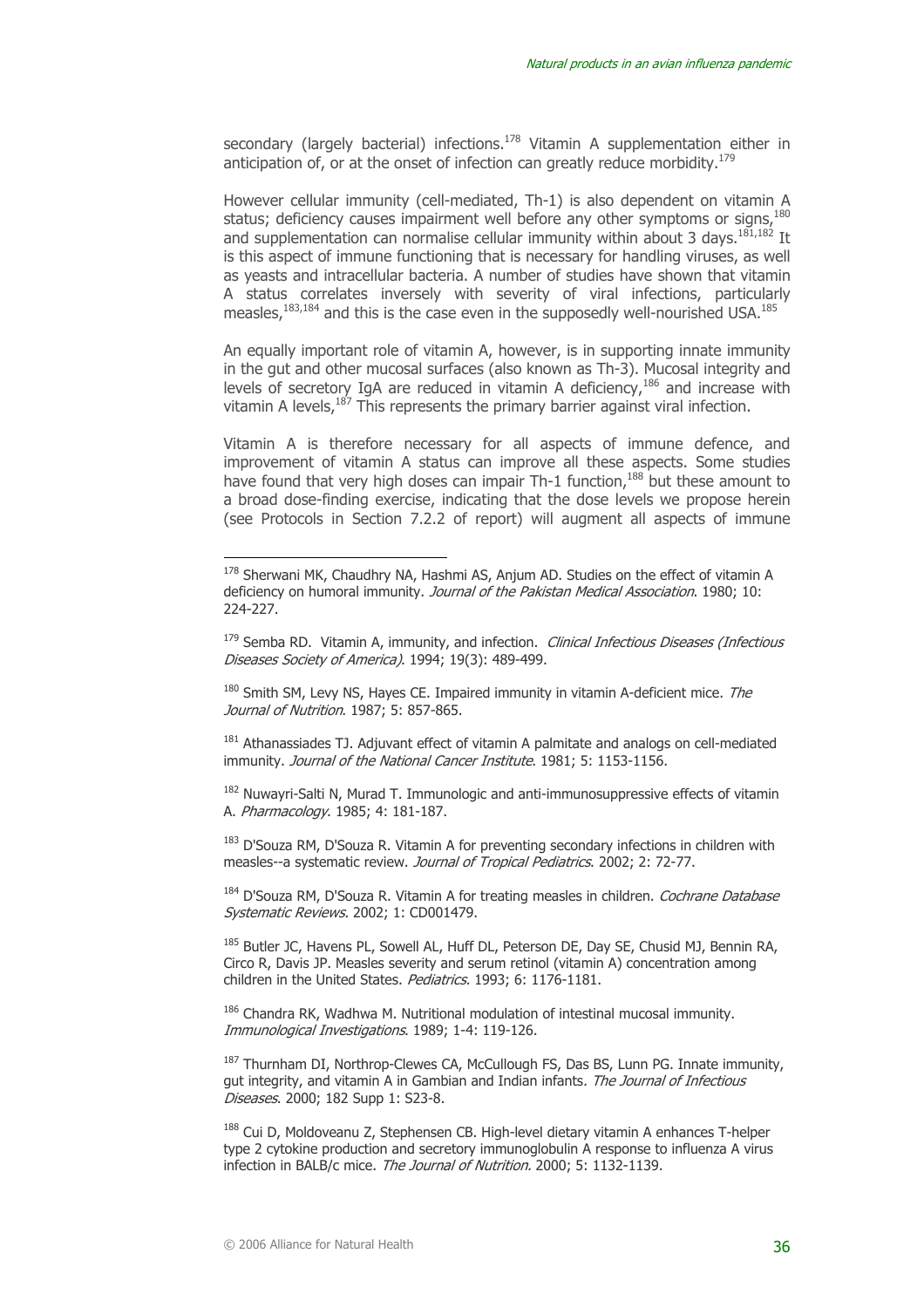secondary (largely bacterial) infections.<sup>178</sup> Vitamin A supplementation either in anticipation of, or at the onset of infection can greatly reduce morbidity.<sup>179</sup>

However cellular immunity (cell-mediated, Th-1) is also dependent on vitamin A status; deficiency causes impairment well before any other symptoms or signs.<sup>180</sup> and supplementation can normalise cellular immunity within about 3 days.<sup>181,182</sup> It is this aspect of immune functioning that is necessary for handling viruses, as well as yeasts and intracellular bacteria. A number of studies have shown that vitamin A status correlates inversely with severity of viral infections, particularly measles.<sup>183,184</sup> and this is the case even in the supposedly well-nourished USA.<sup>185</sup>

An equally important role of vitamin A, however, is in supporting innate immunity in the gut and other mucosal surfaces (also known as Th-3). Mucosal integrity and levels of secretory IgA are reduced in vitamin A deficiency,  $186$  and increase with vitamin A levels,187 This represents the primary barrier against viral infection.

Vitamin A is therefore necessary for all aspects of immune defence, and improvement of vitamin A status can improve all these aspects. Some studies have found that very high doses can impair Th-1 function, $188$  but these amount to a broad dose-finding exercise, indicating that the dose levels we propose herein (see Protocols in Section 7.2.2 of report) will augment all aspects of immune

<sup>181</sup> Athanassiades TJ. Adjuvant effect of vitamin A palmitate and analogs on cell-mediated immunity. Journal of the National Cancer Institute. 1981; 5: 1153-1156.

<sup>182</sup> Nuwayri-Salti N, Murad T. Immunologic and anti-immunosuppressive effects of vitamin A. Pharmacology. 1985; 4: 181-187.

<sup>183</sup> D'Souza RM, D'Souza R. Vitamin A for preventing secondary infections in children with measles--a systematic review. *Journal of Tropical Pediatrics*, 2002; 2: 72-77.

<sup>184</sup> D'Souza RM, D'Souza R. Vitamin A for treating measles in children. *Cochrane Database* Systematic Reviews. 2002; 1: CD001479.

<sup>185</sup> Butler JC, Havens PL, Sowell AL, Huff DL, Peterson DE, Day SE, Chusid MJ, Bennin RA, Circo R, Davis JP. Measles severity and serum retinol (vitamin A) concentration among children in the United States. Pediatrics. 1993; 6: 1176-1181.

<sup>186</sup> Chandra RK, Wadhwa M. Nutritional modulation of intestinal mucosal immunity. Immunological Investigations. 1989; 1-4: 119-126.

<sup>187</sup> Thurnham DI, Northrop-Clewes CA, McCullough FS, Das BS, Lunn PG. Innate immunity, gut integrity, and vitamin A in Gambian and Indian infants. The Journal of Infectious Diseases. 2000; 182 Supp 1: S23-8.

188 Cui D, Moldoveanu Z, Stephensen CB. High-level dietary vitamin A enhances T-helper type 2 cytokine production and secretory immunoglobulin A response to influenza A virus infection in BALB/c mice. The Journal of Nutrition. 2000; 5: 1132-1139.

<sup>178</sup> Sherwani MK, Chaudhry NA, Hashmi AS, Anjum AD. Studies on the effect of vitamin A deficiency on humoral immunity. Journal of the Pakistan Medical Association. 1980; 10: 224-227.

 $179$  Semba RD. Vitamin A, immunity, and infection. *Clinical Infectious Diseases (Infectious* Diseases Society of America). 1994; 19(3): 489-499.

 $180$  Smith SM, Levy NS, Hayes CE. Impaired immunity in vitamin A-deficient mice. The Journal of Nutrition. 1987; 5: 857-865.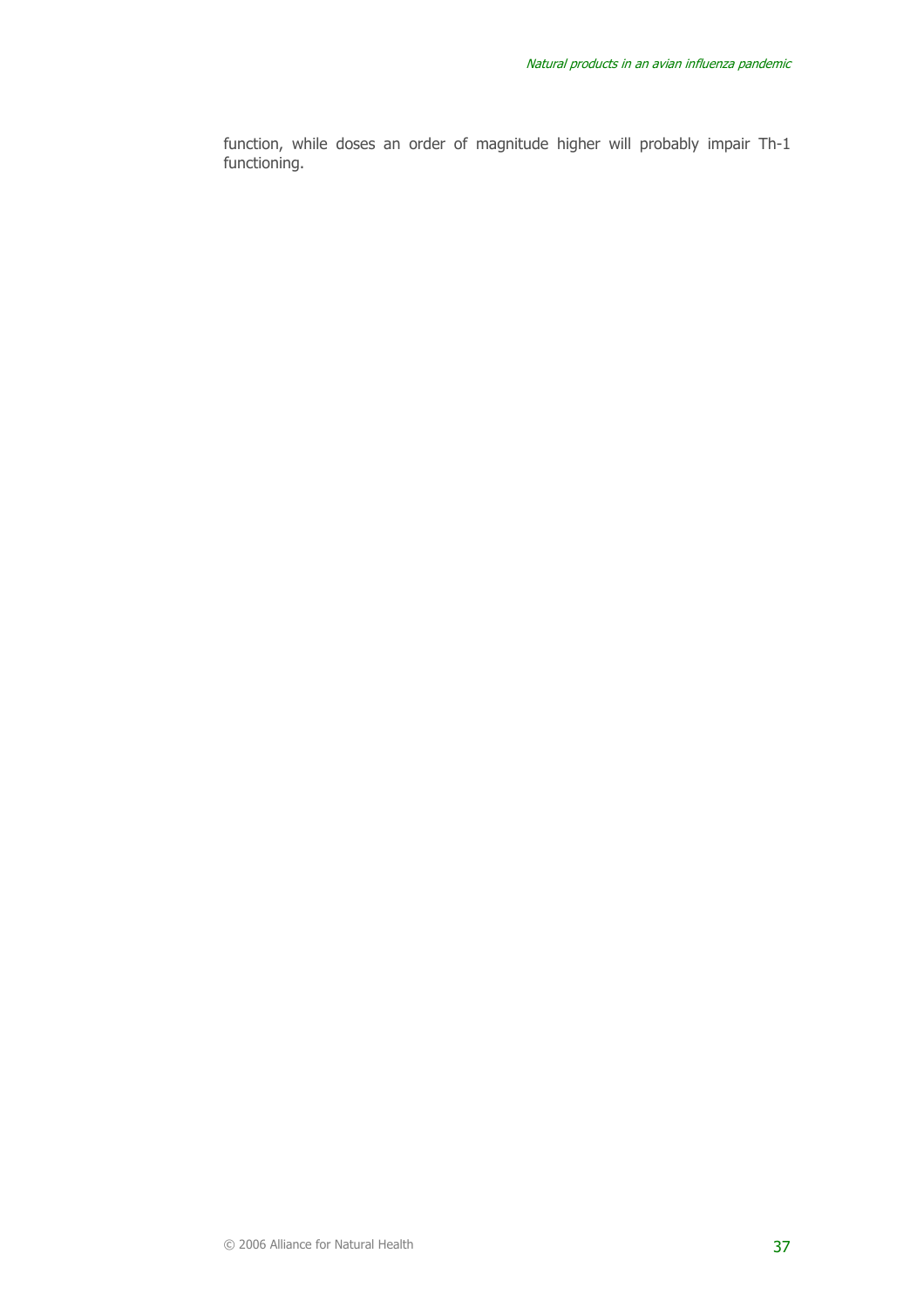function, while doses an order of magnitude higher will probably impair Th-1 functioning.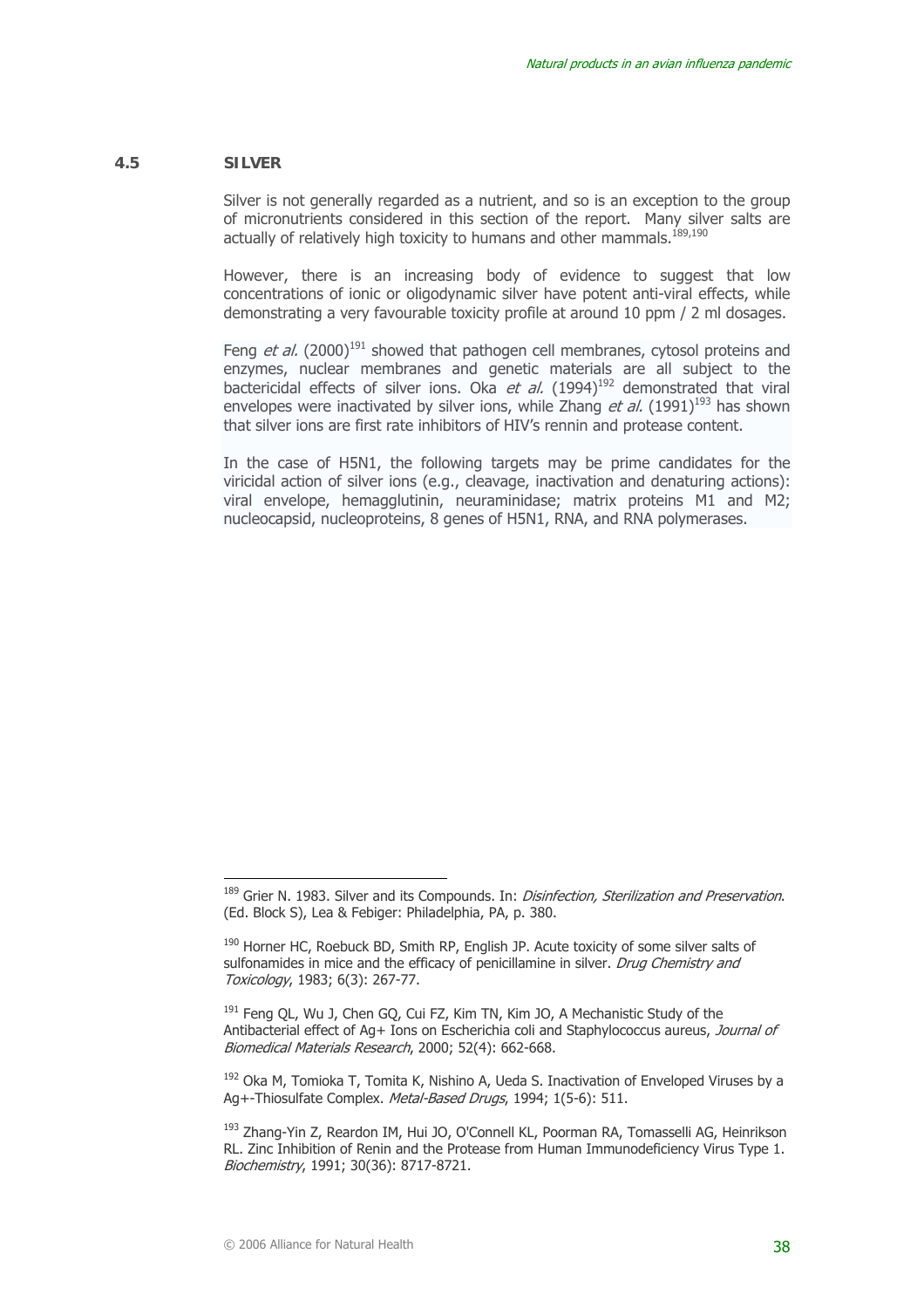#### **4.5 SILVER**

Silver is not generally regarded as a nutrient, and so is an exception to the group of micronutrients considered in this section of the report. Many silver salts are actually of relatively high toxicity to humans and other mammals. $189,190$ 

However, there is an increasing body of evidence to suggest that low concentrations of ionic or oligodynamic silver have potent anti-viral effects, while demonstrating a very favourable toxicity profile at around 10 ppm / 2 ml dosages.

Feng et al. (2000)<sup>191</sup> showed that pathogen cell membranes, cytosol proteins and enzymes, nuclear membranes and genetic materials are all subject to the bactericidal effects of silver ions. Oka et al.  $(1994)^{192}$  demonstrated that viral envelopes were inactivated by silver ions, while Zhang *et al.* (1991)<sup>193</sup> has shown that silver ions are first rate inhibitors of HIV's rennin and protease content.

In the case of H5N1, the following targets may be prime candidates for the viricidal action of silver ions (e.g., cleavage, inactivation and denaturing actions): viral envelope, hemagglutinin, neuraminidase; matrix proteins M1 and M2; nucleocapsid, nucleoproteins, 8 genes of H5N1, RNA, and RNA polymerases.

<sup>&</sup>lt;sup>189</sup> Grier N. 1983. Silver and its Compounds. In: *Disinfection, Sterilization and Preservation*. (Ed. Block S), Lea & Febiger: Philadelphia, PA, p. 380.

<sup>&</sup>lt;sup>190</sup> Horner HC, Roebuck BD, Smith RP, English JP. Acute toxicity of some silver salts of sulfonamides in mice and the efficacy of penicillamine in silver. *Drug Chemistry and* Toxicology, 1983; 6(3): 267-77.

<sup>&</sup>lt;sup>191</sup> Feng QL, Wu J, Chen GQ, Cui FZ, Kim TN, Kim JO, A Mechanistic Study of the Antibacterial effect of Ag+ Ions on Escherichia coli and Staphylococcus aureus, Journal of Biomedical Materials Research, 2000; 52(4): 662-668.

<sup>&</sup>lt;sup>192</sup> Oka M, Tomioka T, Tomita K, Nishino A, Ueda S. Inactivation of Enveloped Viruses by a Ag+-Thiosulfate Complex. Metal-Based Drugs, 1994; 1(5-6); 511.

<sup>&</sup>lt;sup>193</sup> Zhang-Yin Z, Reardon IM, Hui JO, O'Connell KL, Poorman RA, Tomasselli AG, Heinrikson RL. Zinc Inhibition of Renin and the Protease from Human Immunodeficiency Virus Type 1. Biochemistry, 1991; 30(36): 8717-8721.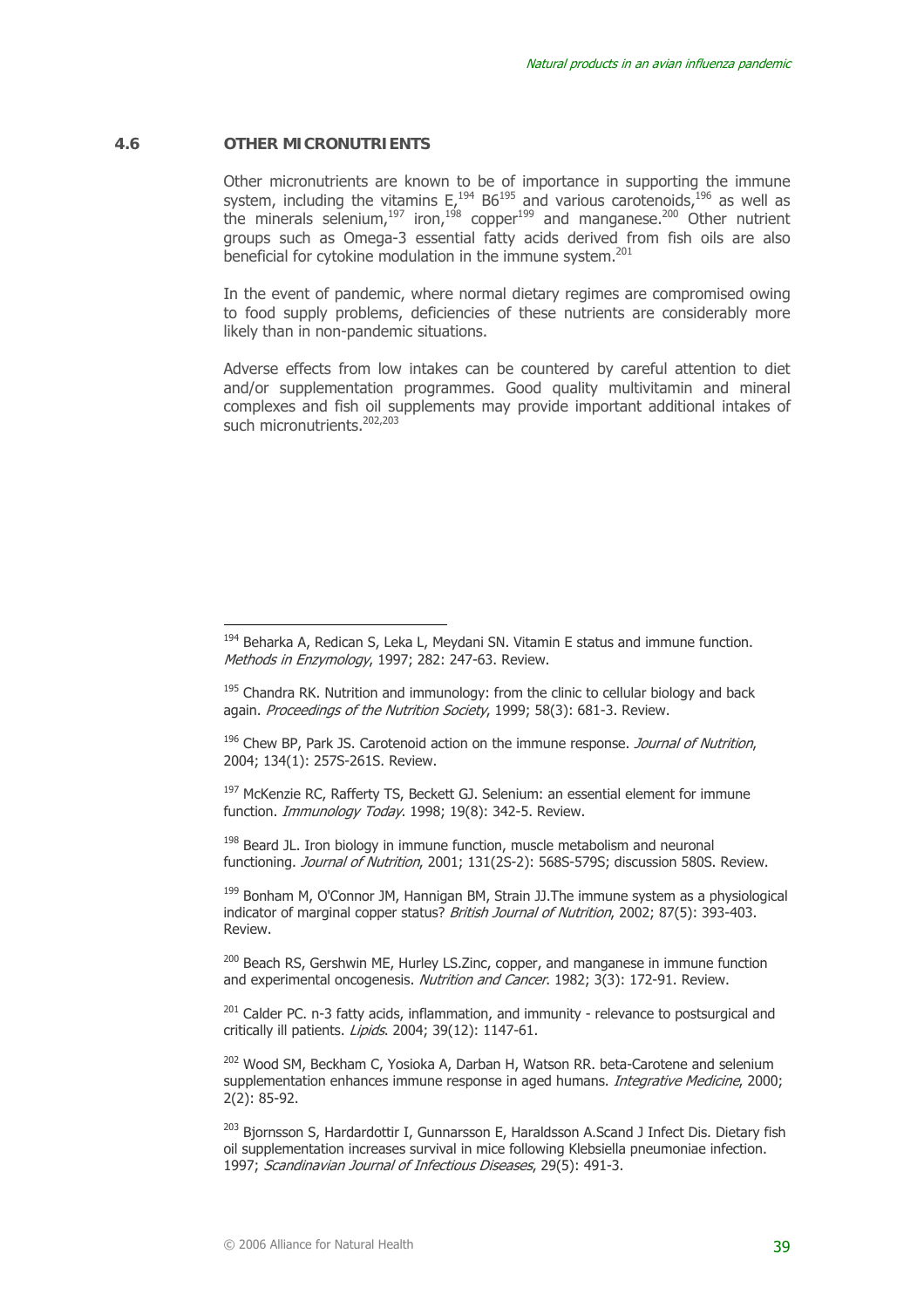#### **4.6 OTHER MICRONUTRIENTS**

 $\overline{a}$ 

Other micronutrients are known to be of importance in supporting the immune system, including the vitamins  $E_t^{194}$  B6<sup>195</sup> and various carotenoids, <sup>196</sup> as well as the minerals selenium,<sup>197</sup> iron,<sup>198</sup> copper<sup>199</sup> and manganese.<sup>200</sup> Other nutrient groups such as Omega-3 essential fatty acids derived from fish oils are also beneficial for cytokine modulation in the immune system.<sup>201</sup>

In the event of pandemic, where normal dietary regimes are compromised owing to food supply problems, deficiencies of these nutrients are considerably more likely than in non-pandemic situations.

Adverse effects from low intakes can be countered by careful attention to diet and/or supplementation programmes. Good quality multivitamin and mineral complexes and fish oil supplements may provide important additional intakes of such micronutrients.<sup>202,203</sup>

 $196$  Chew BP, Park JS. Carotenoid action on the immune response. *Journal of Nutrition*, 2004; 134(1): 257S-261S. Review.

<sup>197</sup> McKenzie RC, Rafferty TS, Beckett GJ. Selenium: an essential element for immune function. *Immunology Today*. 1998; 19(8): 342-5. Review.

 $198$  Beard JL. Iron biology in immune function, muscle metabolism and neuronal functioning. Journal of Nutrition, 2001; 131(2S-2): 568S-579S; discussion 580S. Review.

<sup>199</sup> Bonham M, O'Connor JM, Hannigan BM, Strain JJ. The immune system as a physiological indicator of marginal copper status? *British Journal of Nutrition*, 2002; 87(5): 393-403. Review.

<sup>200</sup> Beach RS, Gershwin ME, Hurley LS.Zinc, copper, and manganese in immune function and experimental oncogenesis. Nutrition and Cancer. 1982; 3(3): 172-91. Review.

 $201$  Calder PC. n-3 fatty acids, inflammation, and immunity - relevance to postsurgical and critically ill patients. Lipids. 2004; 39(12): 1147-61.

202 Wood SM, Beckham C, Yosioka A, Darban H, Watson RR. beta-Carotene and selenium supplementation enhances immune response in aged humans. *Integrative Medicine*, 2000; 2(2): 85-92.

<sup>203</sup> Biornsson S, Hardardottir I, Gunnarsson E, Haraldsson A.Scand J Infect Dis. Dietary fish oil supplementation increases survival in mice following Klebsiella pneumoniae infection. 1997; Scandinavian Journal of Infectious Diseases, 29(5): 491-3.

<sup>&</sup>lt;sup>194</sup> Beharka A, Redican S, Leka L, Meydani SN. Vitamin E status and immune function. Methods in Enzymology, 1997; 282; 247-63. Review.

 $195$  Chandra RK. Nutrition and immunology: from the clinic to cellular biology and back again. Proceedings of the Nutrition Society, 1999; 58(3): 681-3. Review.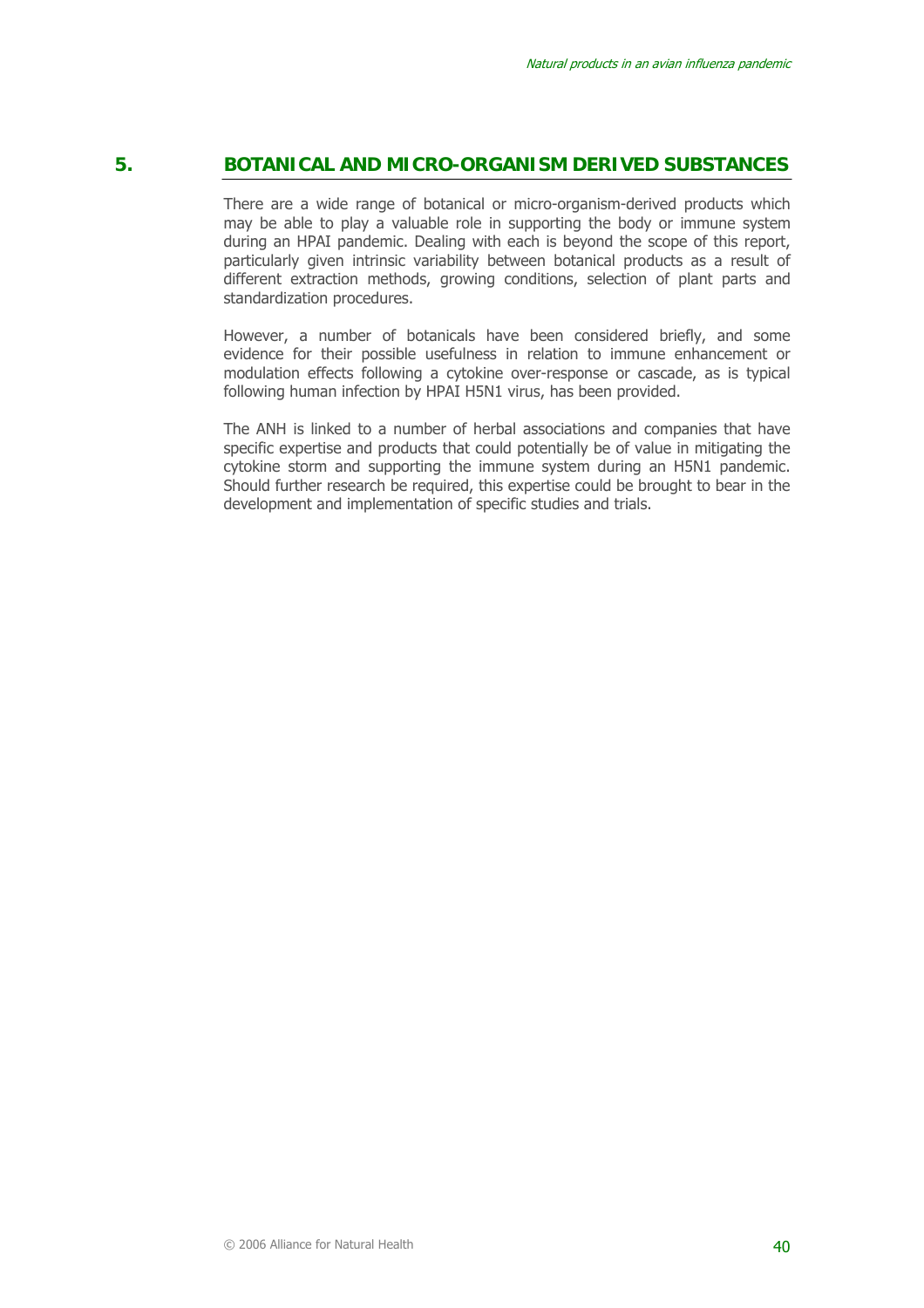# **5. BOTANICAL AND MICRO-ORGANISM DERIVED SUBSTANCES**

There are a wide range of botanical or micro-organism-derived products which may be able to play a valuable role in supporting the body or immune system during an HPAI pandemic. Dealing with each is beyond the scope of this report, particularly given intrinsic variability between botanical products as a result of different extraction methods, growing conditions, selection of plant parts and standardization procedures.

However, a number of botanicals have been considered briefly, and some evidence for their possible usefulness in relation to immune enhancement or modulation effects following a cytokine over-response or cascade, as is typical following human infection by HPAI H5N1 virus, has been provided.

The ANH is linked to a number of herbal associations and companies that have specific expertise and products that could potentially be of value in mitigating the cytokine storm and supporting the immune system during an H5N1 pandemic. Should further research be required, this expertise could be brought to bear in the development and implementation of specific studies and trials.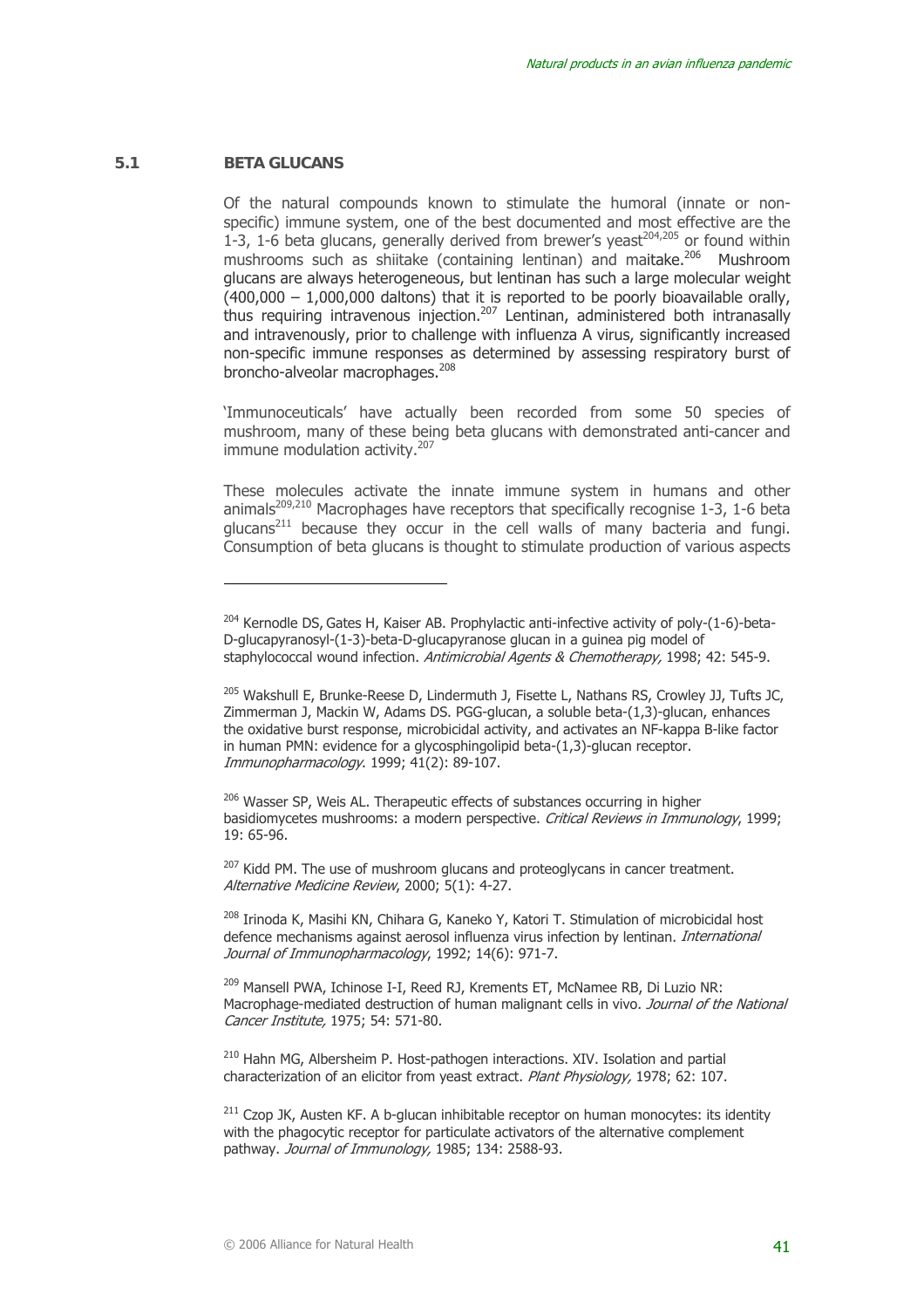#### **5.1 BETA GLUCANS**

 $\overline{a}$ 

Of the natural compounds known to stimulate the humoral (innate or nonspecific) immune system, one of the best documented and most effective are the 1-3, 1-6 beta glucans, generally derived from brewer's yeast<sup>204,205</sup> or found within mushrooms such as shiitake (containing lentinan) and maitake.<sup>206</sup> Mushroom glucans are always heterogeneous, but lentinan has such a large molecular weight  $(400,000 - 1,000,000$  daltons) that it is reported to be poorly bioavailable orally, thus requiring intravenous injection.207 Lentinan, administered both intranasally and intravenously, prior to challenge with influenza A virus, significantly increased non-specific immune responses as determined by assessing respiratory burst of broncho-alveolar macrophages.<sup>208</sup>

'Immunoceuticals' have actually been recorded from some 50 species of mushroom, many of these being beta glucans with demonstrated anti-cancer and immune modulation activity.<sup>207</sup>

These molecules activate the innate immune system in humans and other animals<sup>209,210</sup> Macrophages have receptors that specifically recognise 1-3, 1-6 beta  $q$  ducans<sup>211</sup> because they occur in the cell walls of many bacteria and fungi. Consumption of beta glucans is thought to stimulate production of various aspects

<sup>206</sup> Wasser SP, Weis AL. Therapeutic effects of substances occurring in higher basidiomycetes mushrooms: a modern perspective. Critical Reviews in Immunology, 1999; 19: 65-96.

<sup>207</sup> Kidd PM. The use of mushroom glucans and proteoglycans in cancer treatment. Alternative Medicine Review, 2000; 5(1): 4-27.

<sup>208</sup> Irinoda K, Masihi KN, Chihara G, Kaneko Y, Katori T. Stimulation of microbicidal host defence mechanisms against aerosol influenza virus infection by lentinan. International Journal of Immunopharmacology, 1992; 14(6): 971-7.

<sup>209</sup> Mansell PWA, Ichinose I-I, Reed RJ, Krements ET, McNamee RB, Di Luzio NR: Macrophage-mediated destruction of human malignant cells in vivo. Journal of the National Cancer Institute, 1975; 54: 571-80.

<sup>210</sup> Hahn MG, Albersheim P. Host-pathogen interactions. XIV. Isolation and partial characterization of an elicitor from yeast extract. Plant Physiology, 1978; 62: 107.

 $211$  Czop JK, Austen KF. A b-glucan inhibitable receptor on human monocytes: its identity with the phagocytic receptor for particulate activators of the alternative complement pathway. Journal of Immunology, 1985; 134: 2588-93.

 $204$  Kernodle DS, Gates H, Kaiser AB. Prophylactic anti-infective activity of poly- $(1-6)$ -beta-D-glucapyranosyl-(1-3)-beta-D-glucapyranose glucan in a guinea pig model of staphylococcal wound infection. Antimicrobial Agents & Chemotherapy, 1998; 42: 545-9.

<sup>&</sup>lt;sup>205</sup> Wakshull E, Brunke-Reese D, Lindermuth J, Fisette L, Nathans RS, Crowley JJ, Tufts JC, Zimmerman J, Mackin W, Adams DS. PGG-glucan, a soluble beta-(1,3)-glucan, enhances the oxidative burst response, microbicidal activity, and activates an NF-kappa B-like factor in human PMN: evidence for a glycosphingolipid beta-(1,3)-glucan receptor. Immunopharmacology. 1999; 41(2): 89-107.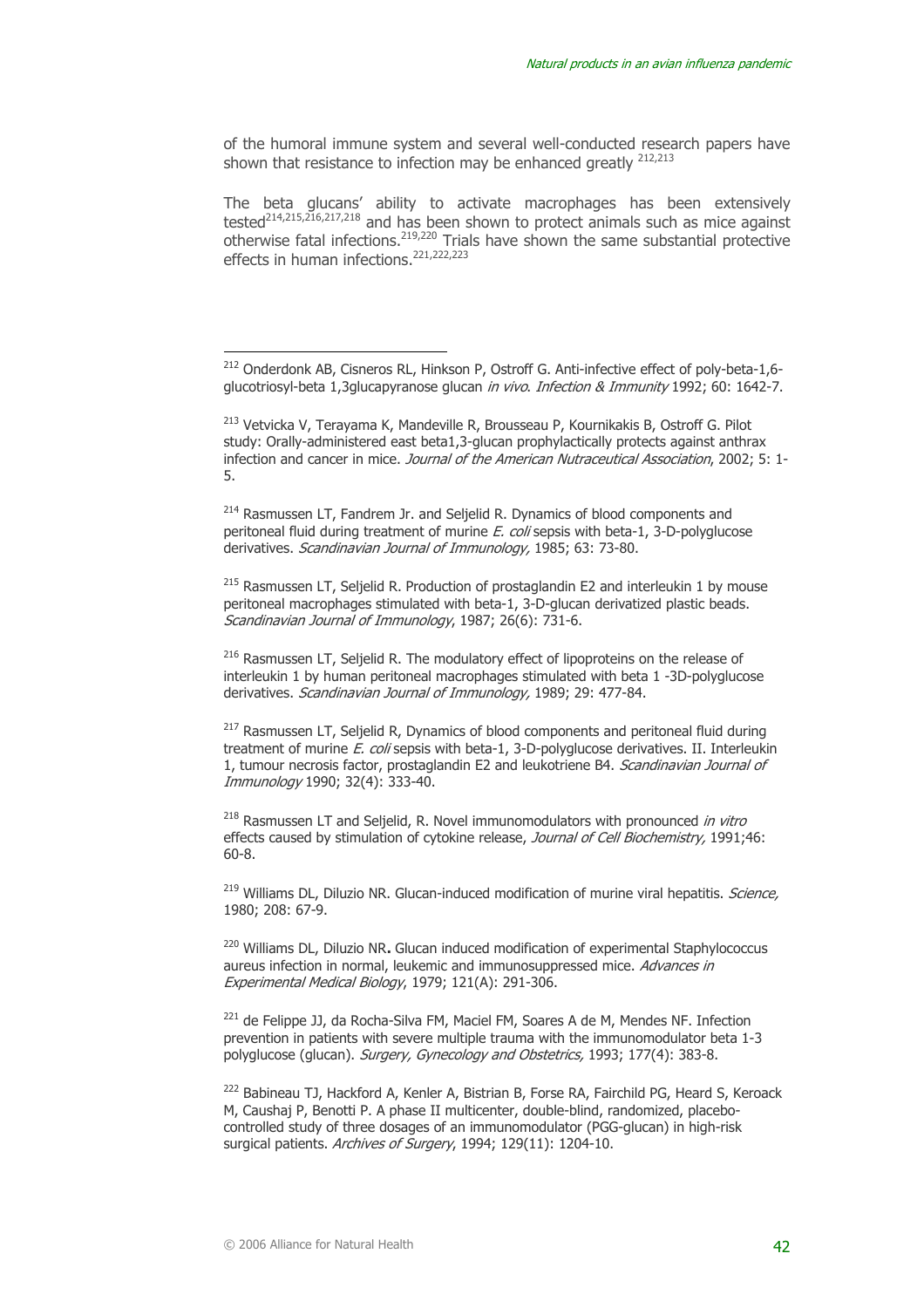of the humoral immune system and several well-conducted research papers have shown that resistance to infection may be enhanced greatly  $212,213$ 

The beta glucans' ability to activate macrophages has been extensively tested214,215,216,217,218 and has been shown to protect animals such as mice against otherwise fatal infections.219,220 Trials have shown the same substantial protective effects in human infections.<sup>221,222,223</sup>

<sup>214</sup> Rasmussen LT, Fandrem Jr. and Seljelid R. Dynamics of blood components and peritoneal fluid during treatment of murine E. coli sepsis with beta-1, 3-D-polyglucose derivatives. Scandinavian Journal of Immunology, 1985; 63: 73-80.

<sup>215</sup> Rasmussen LT, Seljelid R. Production of prostaglandin E2 and interleukin 1 by mouse peritoneal macrophages stimulated with beta-1, 3-D-glucan derivatized plastic beads. Scandinavian Journal of Immunology, 1987; 26(6): 731-6.

<sup>216</sup> Rasmussen LT, Seljelid R. The modulatory effect of lipoproteins on the release of interleukin 1 by human peritoneal macrophages stimulated with beta 1 -3D-polyglucose derivatives. *Scandinavian Journal of Immunology,* 1989; 29: 477-84.

 $217$  Rasmussen LT, Seljelid R, Dynamics of blood components and peritoneal fluid during treatment of murine *E. coli* sepsis with beta-1, 3-D-polyglucose derivatives. II. Interleukin 1, tumour necrosis factor, prostaglandin E2 and leukotriene B4. Scandinavian Journal of Immunology 1990; 32(4): 333-40.

 $^{218}$  Rasmussen LT and Seljelid, R. Novel immunomodulators with pronounced in vitro effects caused by stimulation of cytokine release, Journal of Cell Biochemistry, 1991;46: 60-8.

<sup>219</sup> Williams DL, Diluzio NR. Glucan-induced modification of murine viral hepatitis. Science, 1980; 208: 67-9.

220 Williams DL, Diluzio NR**.** Glucan induced modification of experimental Staphylococcus aureus infection in normal, leukemic and immunosuppressed mice. Advances in Experimental Medical Biology, 1979; 121(A): 291-306.

<sup>221</sup> de Felippe JJ, da Rocha-Silva FM, Maciel FM, Soares A de M, Mendes NF. Infection prevention in patients with severe multiple trauma with the immunomodulator beta 1-3 polyglucose (glucan). Surgery, Gynecology and Obstetrics, 1993; 177(4): 383-8.

<sup>222</sup> Babineau TJ, Hackford A, Kenler A, Bistrian B, Forse RA, Fairchild PG, Heard S, Keroack M, Caushaj P, Benotti P. A phase II multicenter, double-blind, randomized, placebocontrolled study of three dosages of an immunomodulator (PGG-glucan) in high-risk surgical patients. Archives of Surgery, 1994; 129(11): 1204-10.

<sup>&</sup>lt;sup>212</sup> Onderdonk AB, Cisneros RL, Hinkson P, Ostroff G. Anti-infective effect of poly-beta-1,6glucotriosyl-beta 1,3glucapyranose glucan *in vivo. Infection & Immunity* 1992; 60: 1642-7.

<sup>213</sup> Vetvicka V, Terayama K, Mandeville R, Brousseau P, Kournikakis B, Ostroff G. Pilot study: Orally-administered east beta1,3-glucan prophylactically protects against anthrax infection and cancer in mice. Journal of the American Nutraceutical Association, 2002; 5: 1-5.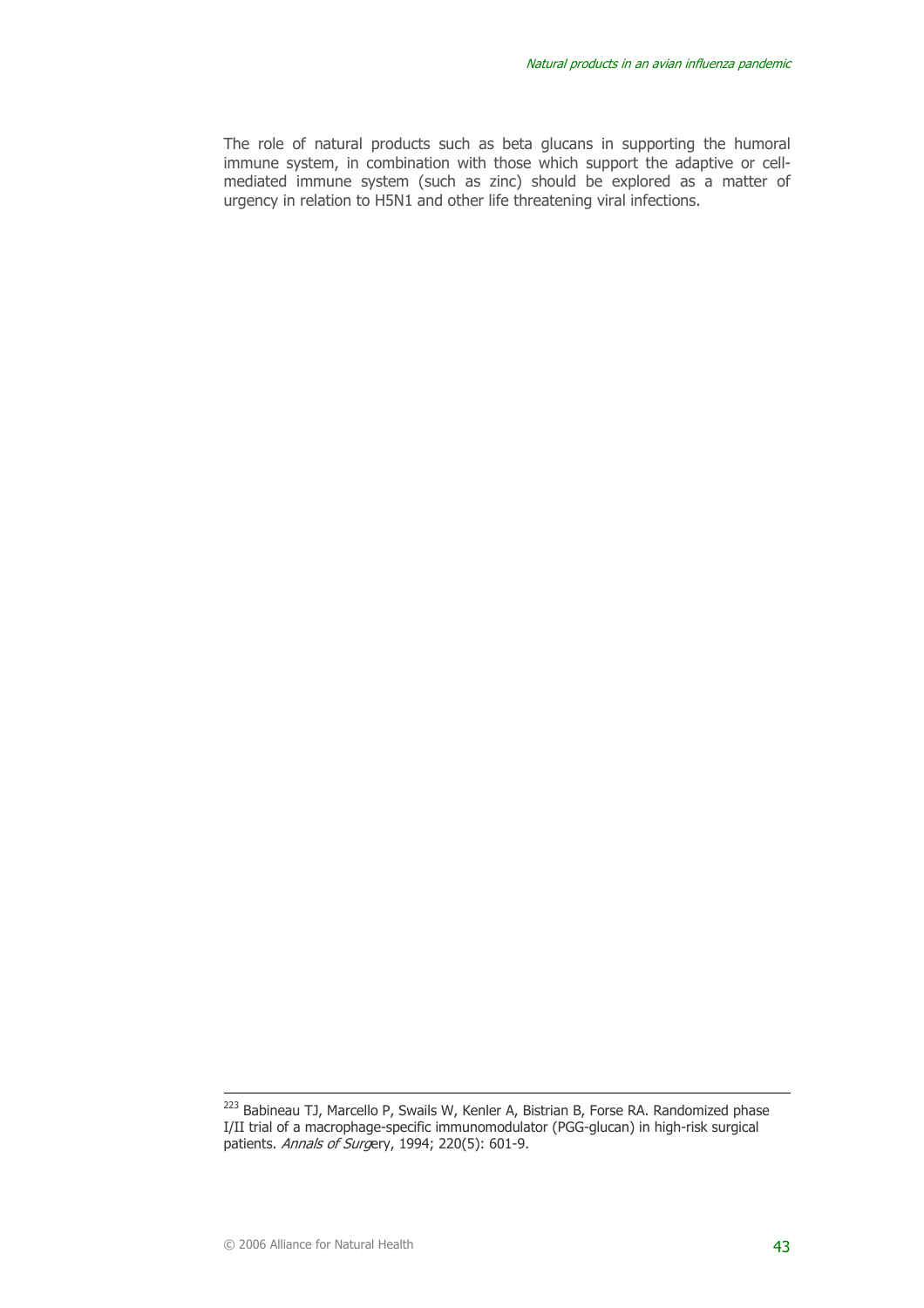The role of natural products such as beta glucans in supporting the humoral immune system, in combination with those which support the adaptive or cellmediated immune system (such as zinc) should be explored as a matter of urgency in relation to H5N1 and other life threatening viral infections.

<sup>&</sup>lt;sup>223</sup> Babineau TJ, Marcello P, Swails W, Kenler A, Bistrian B, Forse RA. Randomized phase I/II trial of a macrophage-specific immunomodulator (PGG-glucan) in high-risk surgical patients. Annals of Surgery, 1994; 220(5): 601-9.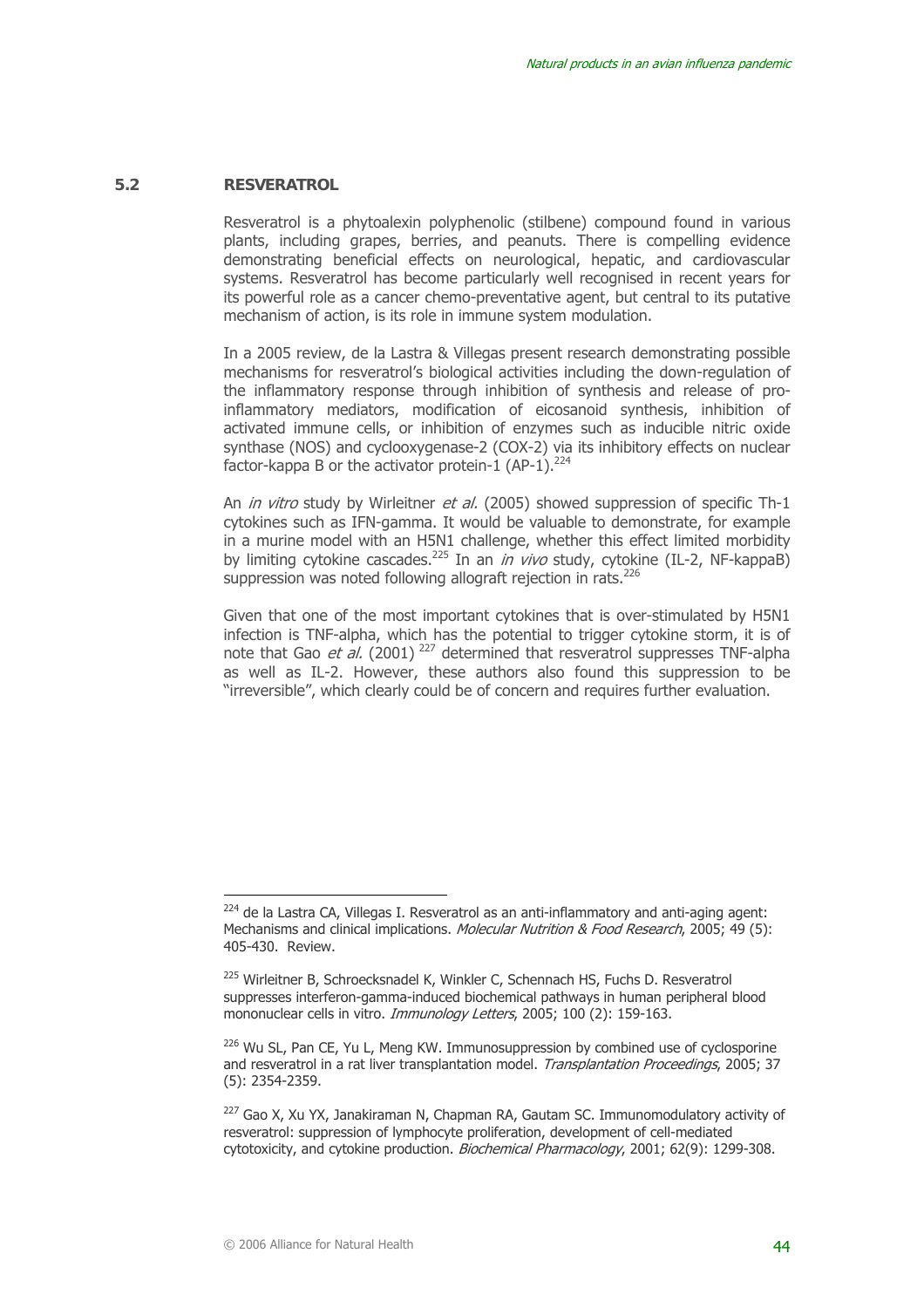#### **5.2 RESVERATROL**

 $\overline{a}$ 

Resveratrol is a phytoalexin polyphenolic (stilbene) compound found in various plants, including grapes, berries, and peanuts. There is compelling evidence demonstrating beneficial effects on neurological, hepatic, and cardiovascular systems. Resveratrol has become particularly well recognised in recent years for its powerful role as a cancer chemo-preventative agent, but central to its putative mechanism of action, is its role in immune system modulation.

In a 2005 review, de la Lastra & Villegas present research demonstrating possible mechanisms for resveratrol's biological activities including the down-regulation of the inflammatory response through inhibition of synthesis and release of proinflammatory mediators, modification of eicosanoid synthesis, inhibition of activated immune cells, or inhibition of enzymes such as inducible nitric oxide synthase (NOS) and cyclooxygenase-2 (COX-2) via its inhibitory effects on nuclear factor-kappa B or the activator protein-1 (AP-1).<sup>224</sup>

An *in vitro* study by Wirleitner *et al.* (2005) showed suppression of specific Th-1 cytokines such as IFN-gamma. It would be valuable to demonstrate, for example in a murine model with an H5N1 challenge, whether this effect limited morbidity by limiting cytokine cascades.<sup>225</sup> In an *in vivo* study, cytokine (IL-2, NF-kappaB) suppression was noted following allograft rejection in rats.<sup>226</sup>

Given that one of the most important cytokines that is over-stimulated by H5N1 infection is TNF-alpha, which has the potential to trigger cytokine storm, it is of note that Gao *et al.* (2001)<sup>227</sup> determined that resveratrol suppresses TNF-alpha as well as IL-2. However, these authors also found this suppression to be "irreversible", which clearly could be of concern and requires further evaluation.

 $224$  de la Lastra CA, Villegas I. Resveratrol as an anti-inflammatory and anti-aging agent: Mechanisms and clinical implications. *Molecular Nutrition & Food Research*, 2005; 49 (5): 405-430. Review.

<sup>&</sup>lt;sup>225</sup> Wirleitner B, Schroecksnadel K, Winkler C, Schennach HS, Fuchs D. Resveratrol suppresses interferon-gamma-induced biochemical pathways in human peripheral blood mononuclear cells in vitro. Immunology Letters, 2005; 100 (2): 159-163.

 $226$  Wu SL, Pan CE, Yu L, Meng KW. Immunosuppression by combined use of cyclosporine and resveratrol in a rat liver transplantation model. Transplantation Proceedings, 2005; 37 (5): 2354-2359.

<sup>&</sup>lt;sup>227</sup> Gao X, Xu YX, Janakiraman N, Chapman RA, Gautam SC. Immunomodulatory activity of resveratrol: suppression of lymphocyte proliferation, development of cell-mediated cytotoxicity, and cytokine production. Biochemical Pharmacology, 2001; 62(9): 1299-308.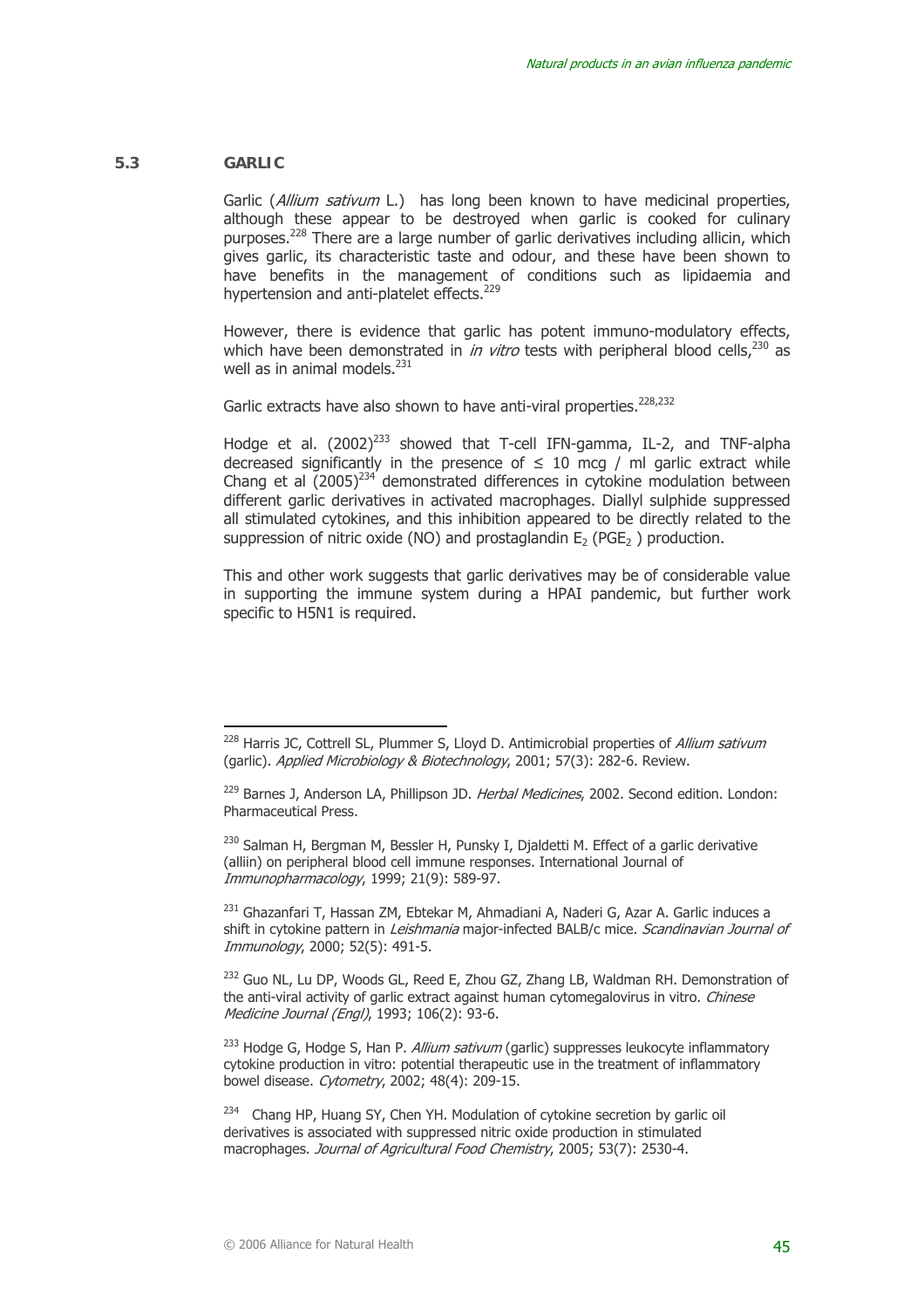#### **5.3 GARLIC**

 $\overline{a}$ 

Garlic (Allium sativum L.) has long been known to have medicinal properties, although these appear to be destroyed when garlic is cooked for culinary purposes.228 There are a large number of garlic derivatives including allicin, which gives garlic, its characteristic taste and odour, and these have been shown to have benefits in the management of conditions such as lipidaemia and hypertension and anti-platelet effects.<sup>229</sup>

However, there is evidence that garlic has potent immuno-modulatory effects, which have been demonstrated in *in vitro* tests with peripheral blood cells,  $230$  as well as in animal models.<sup>231</sup>

Garlic extracts have also shown to have anti-viral properties.<sup>228,232</sup>

Hodge et al.  $(2002)^{233}$  showed that T-cell IFN-gamma, IL-2, and TNF-alpha decreased significantly in the presence of  $\leq$  10 mcg / ml garlic extract while Chang et al  $(2005)^{234}$  demonstrated differences in cytokine modulation between different garlic derivatives in activated macrophages. Diallyl sulphide suppressed all stimulated cytokines, and this inhibition appeared to be directly related to the suppression of nitric oxide (NO) and prostaglandin  $E_2$  (PGE<sub>2</sub>) production.

 This and other work suggests that garlic derivatives may be of considerable value in supporting the immune system during a HPAI pandemic, but further work specific to H5N1 is required.

<sup>230</sup> Salman H, Bergman M, Bessler H, Punsky I, Djaldetti M. Effect of a garlic derivative (alliin) on peripheral blood cell immune responses. International Journal of Immunopharmacology, 1999; 21(9): 589-97.

<sup>231</sup> Ghazanfari T, Hassan ZM, Ebtekar M, Ahmadiani A, Naderi G, Azar A, Garlic induces a shift in cytokine pattern in *Leishmania* major-infected BALB/c mice. *Scandinavian Journal of* Immunology, 2000; 52(5): 491-5.

<sup>232</sup> Guo NL, Lu DP, Woods GL, Reed E, Zhou GZ, Zhang LB, Waldman RH. Demonstration of the anti-viral activity of garlic extract against human cytomegalovirus in vitro. Chinese Medicine Journal (Engl), 1993; 106(2): 93-6.

 $233$  Hodge G, Hodge S, Han P. Allium sativum (garlic) suppresses leukocyte inflammatory cytokine production in vitro: potential therapeutic use in the treatment of inflammatory bowel disease. Cytometry, 2002; 48(4): 209-15.

<sup>234</sup> Chang HP, Huang SY, Chen YH. Modulation of cytokine secretion by garlic oil derivatives is associated with suppressed nitric oxide production in stimulated macrophages. Journal of Agricultural Food Chemistry, 2005; 53(7): 2530-4.

 $228$  Harris JC, Cottrell SL, Plummer S, Lloyd D. Antimicrobial properties of Allium sativum (garlic). Applied Microbiology & Biotechnology, 2001; 57(3): 282-6. Review.

<sup>&</sup>lt;sup>229</sup> Barnes J, Anderson LA, Phillipson JD. Herbal Medicines, 2002. Second edition. London: Pharmaceutical Press.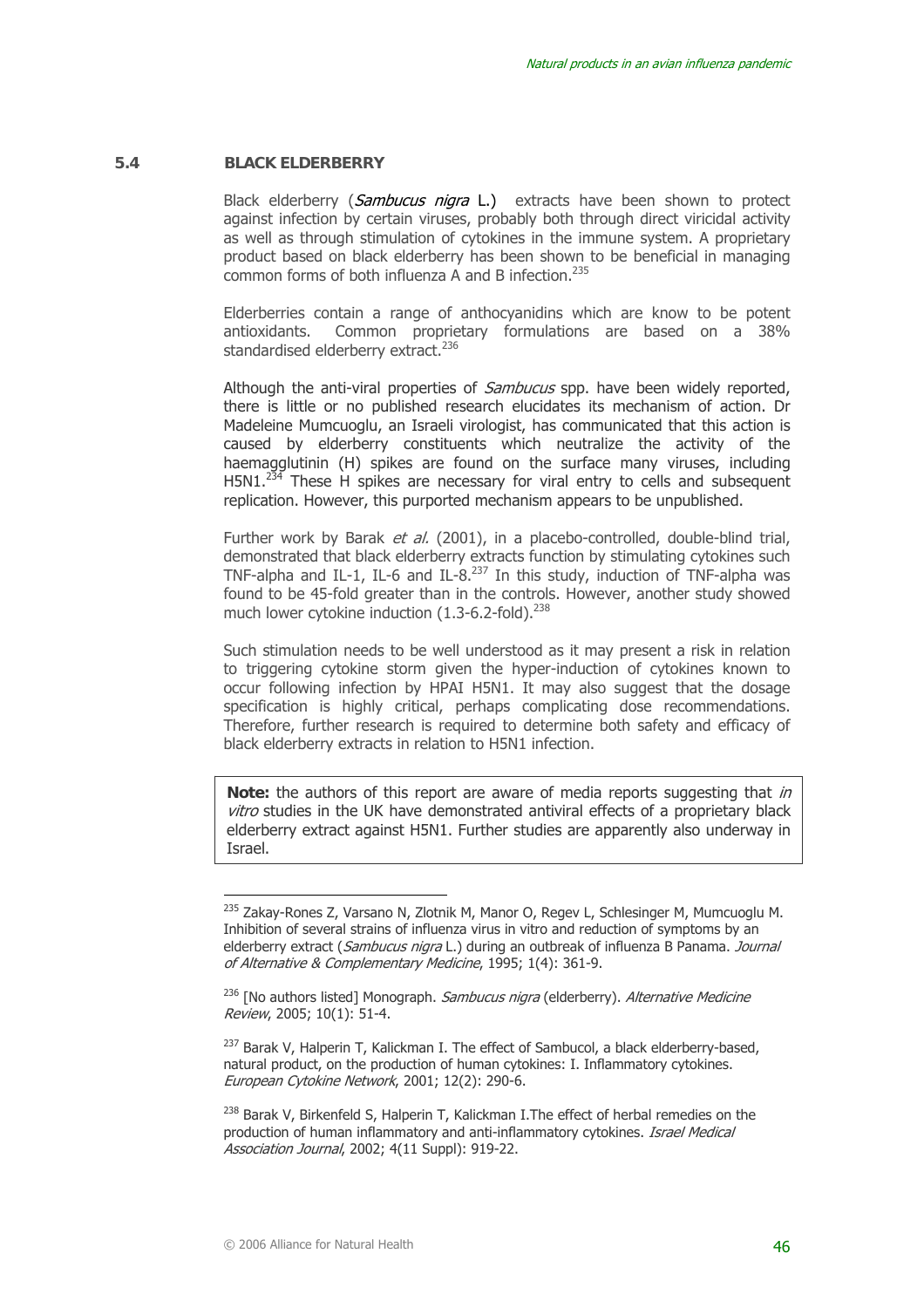#### **5.4 BLACK ELDERBERRY**

Black elderberry (Sambucus nigra L.) extracts have been shown to protect against infection by certain viruses, probably both through direct viricidal activity as well as through stimulation of cytokines in the immune system. A proprietary product based on black elderberry has been shown to be beneficial in managing common forms of both influenza A and B infection.235

Elderberries contain a range of anthocyanidins which are know to be potent antioxidants. Common proprietary formulations are based on a 38% standardised elderberry extract.<sup>236</sup>

Although the anti-viral properties of *Sambucus* spp. have been widely reported, there is little or no published research elucidates its mechanism of action. Dr Madeleine Mumcuoglu, an Israeli virologist, has communicated that this action is caused by elderberry constituents which neutralize the activity of the haemagglutinin (H) spikes are found on the surface many viruses, including  $H5N1.<sup>234</sup>$  These H spikes are necessary for viral entry to cells and subsequent replication. However, this purported mechanism appears to be unpublished.

Further work by Barak et al. (2001), in a placebo-controlled, double-blind trial, demonstrated that black elderberry extracts function by stimulating cytokines such TNF-alpha and IL-1, IL-6 and IL-8.<sup>237</sup> In this study, induction of TNF-alpha was found to be 45-fold greater than in the controls. However, another study showed much lower cytokine induction (1.3-6.2-fold).<sup>238</sup>

Such stimulation needs to be well understood as it may present a risk in relation to triggering cytokine storm given the hyper-induction of cytokines known to occur following infection by HPAI H5N1. It may also suggest that the dosage specification is highly critical, perhaps complicating dose recommendations. Therefore, further research is required to determine both safety and efficacy of black elderberry extracts in relation to H5N1 infection.

**Note:** the authors of this report are aware of media reports suggesting that in vitro studies in the UK have demonstrated antiviral effects of a proprietary black elderberry extract against H5N1. Further studies are apparently also underway in Israel.

<sup>&</sup>lt;sup>235</sup> Zakay-Rones Z, Varsano N, Zlotnik M, Manor O, Regev L, Schlesinger M, Mumcuoglu M. Inhibition of several strains of influenza virus in vitro and reduction of symptoms by an elderberry extract (Sambucus nigra L.) during an outbreak of influenza B Panama. Journal of Alternative & Complementary Medicine, 1995; 1(4): 361-9.

<sup>&</sup>lt;sup>236</sup> [No authors listed] Monograph. Sambucus nigra (elderberry). Alternative Medicine Review, 2005; 10(1): 51-4.

 $237$  Barak V, Halperin T, Kalickman I, The effect of Sambucol, a black elderberry-based, natural product, on the production of human cytokines: I. Inflammatory cytokines. European Cytokine Network, 2001; 12(2): 290-6.

<sup>&</sup>lt;sup>238</sup> Barak V, Birkenfeld S, Halperin T, Kalickman I. The effect of herbal remedies on the production of human inflammatory and anti-inflammatory cytokines. *Israel Medical* Association Journal, 2002; 4(11 Suppl): 919-22.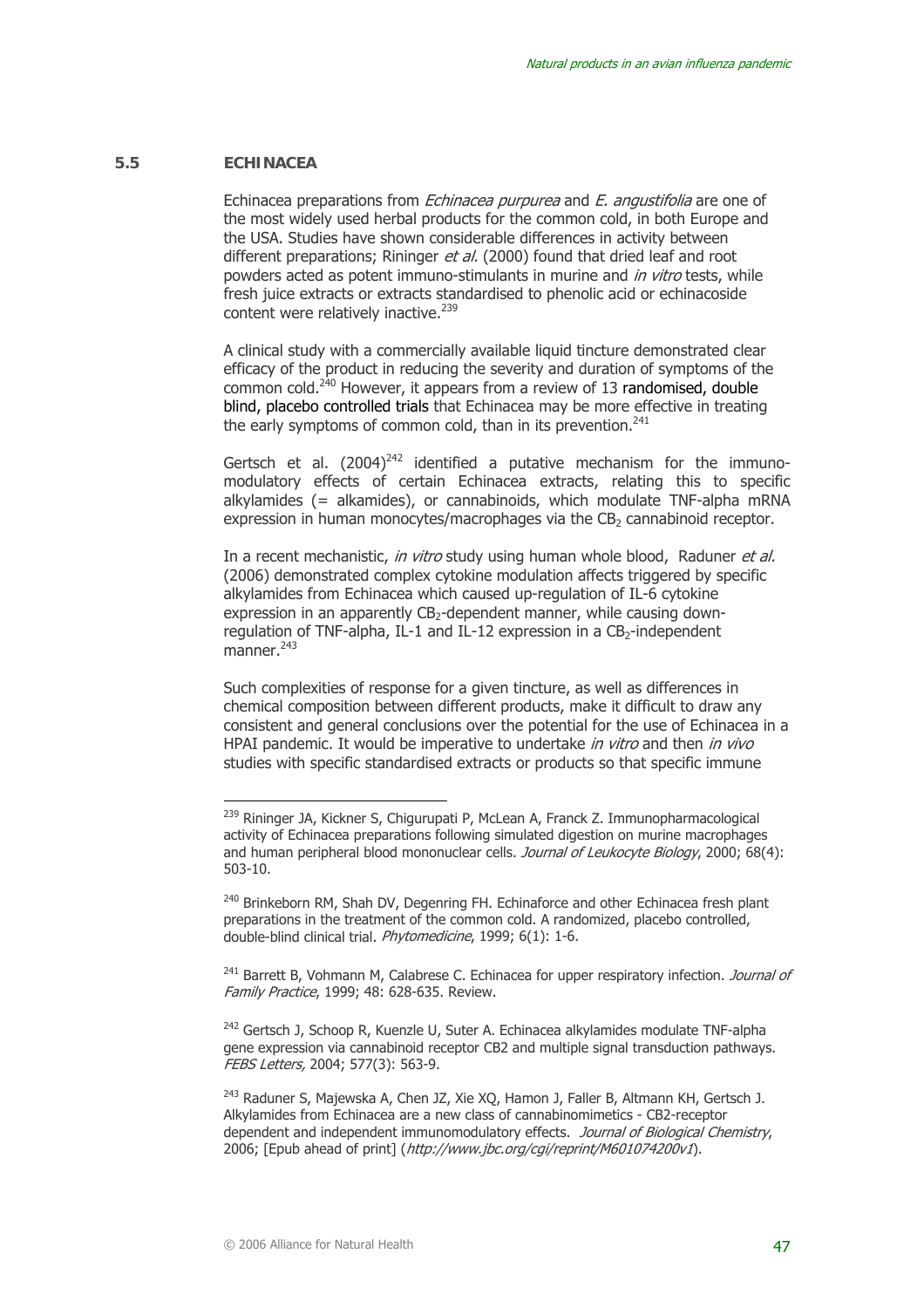#### **5.5 ECHINACEA**

 $\overline{a}$ 

Echinacea preparations from Echinacea purpurea and E. angustifolia are one of the most widely used herbal products for the common cold, in both Europe and the USA. Studies have shown considerable differences in activity between different preparations; Rininger et al. (2000) found that dried leaf and root powders acted as potent immuno-stimulants in murine and *in vitro* tests, while fresh juice extracts or extracts standardised to phenolic acid or echinacoside content were relatively inactive.<sup>239</sup>

A clinical study with a commercially available liquid tincture demonstrated clear efficacy of the product in reducing the severity and duration of symptoms of the  $common cold.<sup>240</sup> However, it appears from a review of 13 randomized, double$ blind, placebo controlled trials that Echinacea may be more effective in treating the early symptoms of common cold, than in its prevention. $241$ 

Gertsch et al.  $(2004)^{242}$  identified a putative mechanism for the immunomodulatory effects of certain Echinacea extracts, relating this to specific alkylamides (= alkamides), or cannabinoids, which modulate TNF-alpha mRNA expression in human monocytes/macrophages via the  $CB<sub>2</sub>$  cannabinoid receptor.

In a recent mechanistic, in vitro study using human whole blood, Raduner et al. (2006) demonstrated complex cytokine modulation affects triggered by specific alkylamides from Echinacea which caused up-regulation of IL-6 cytokine expression in an apparently CB<sub>2</sub>-dependent manner, while causing downregulation of TNF-alpha, IL-1 and IL-12 expression in a  $CB<sub>2</sub>$ -independent  $m$ anner.<sup>243</sup>

Such complexities of response for a given tincture, as well as differences in chemical composition between different products, make it difficult to draw any consistent and general conclusions over the potential for the use of Echinacea in a HPAI pandemic. It would be imperative to undertake in vitro and then in vivo studies with specific standardised extracts or products so that specific immune

<sup>&</sup>lt;sup>239</sup> Rininger JA, Kickner S, Chigurupati P, McLean A, Franck Z. Immunopharmacological activity of Echinacea preparations following simulated digestion on murine macrophages and human peripheral blood mononuclear cells. Journal of Leukocyte Biology, 2000; 68(4): 503-10.

<sup>&</sup>lt;sup>240</sup> Brinkeborn RM, Shah DV, Degenring FH. Echinaforce and other Echinacea fresh plant preparations in the treatment of the common cold. A randomized, placebo controlled, double-blind clinical trial. *Phytomedicine*, 1999; 6(1): 1-6.

 $241$  Barrett B, Vohmann M, Calabrese C. Echinacea for upper respiratory infection. Journal of Family Practice, 1999; 48: 628-635. Review.

<sup>242</sup> Gertsch J, Schoop R, Kuenzle U, Suter A. Echinacea alkylamides modulate TNF-alpha gene expression via cannabinoid receptor CB2 and multiple signal transduction pathways. FEBS Letters, 2004; 577(3): 563-9.

<sup>&</sup>lt;sup>243</sup> Raduner S, Majewska A, Chen JZ, Xie XQ, Hamon J, Faller B, Altmann KH, Gertsch J. Alkylamides from Echinacea are a new class of cannabinomimetics - CB2-receptor dependent and independent immunomodulatory effects. Journal of Biological Chemistry, 2006; [Epub ahead of print] (http://www.jbc.org/cgi/reprint/M601074200v1).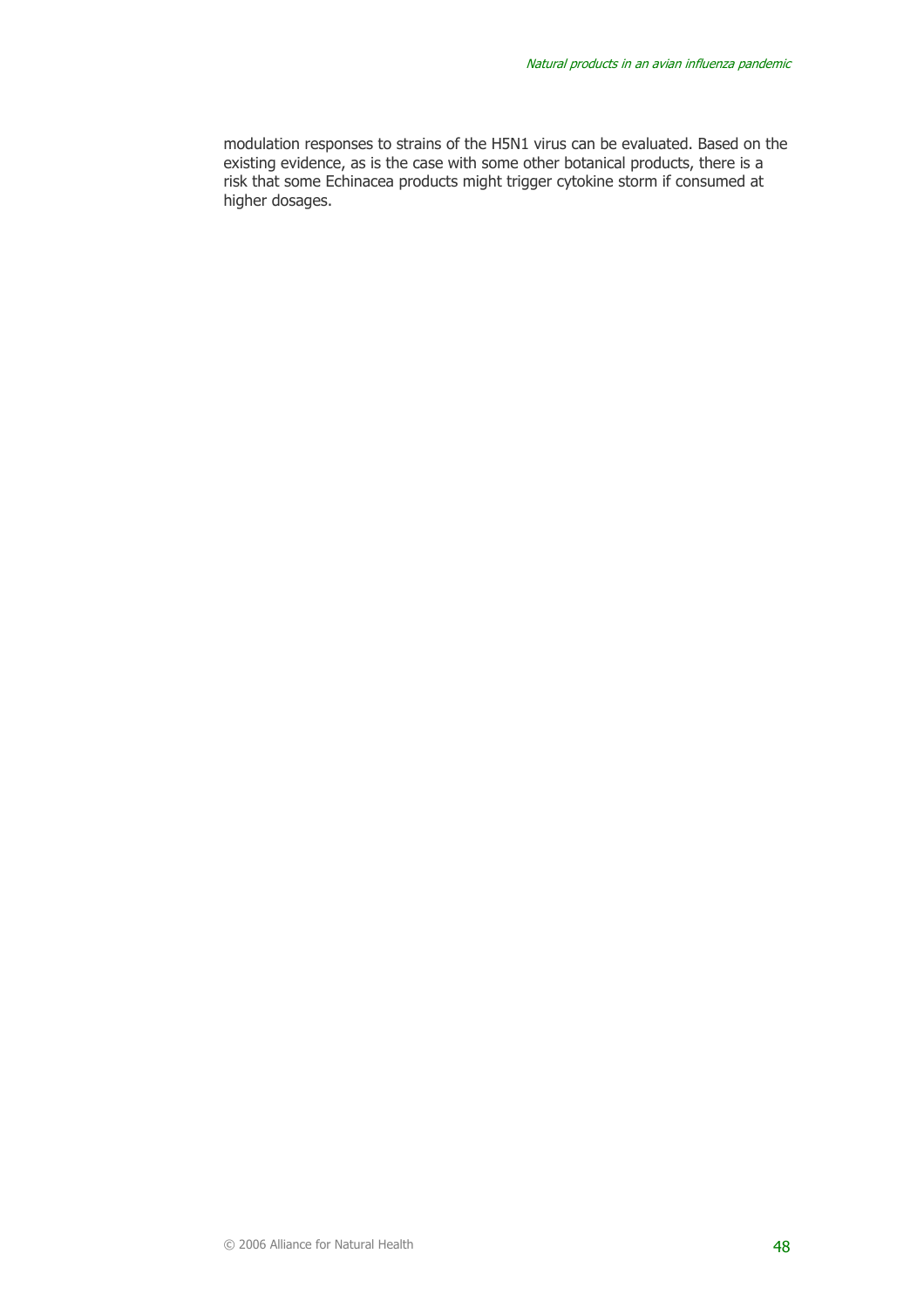modulation responses to strains of the H5N1 virus can be evaluated. Based on the existing evidence, as is the case with some other botanical products, there is a risk that some Echinacea products might trigger cytokine storm if consumed at higher dosages.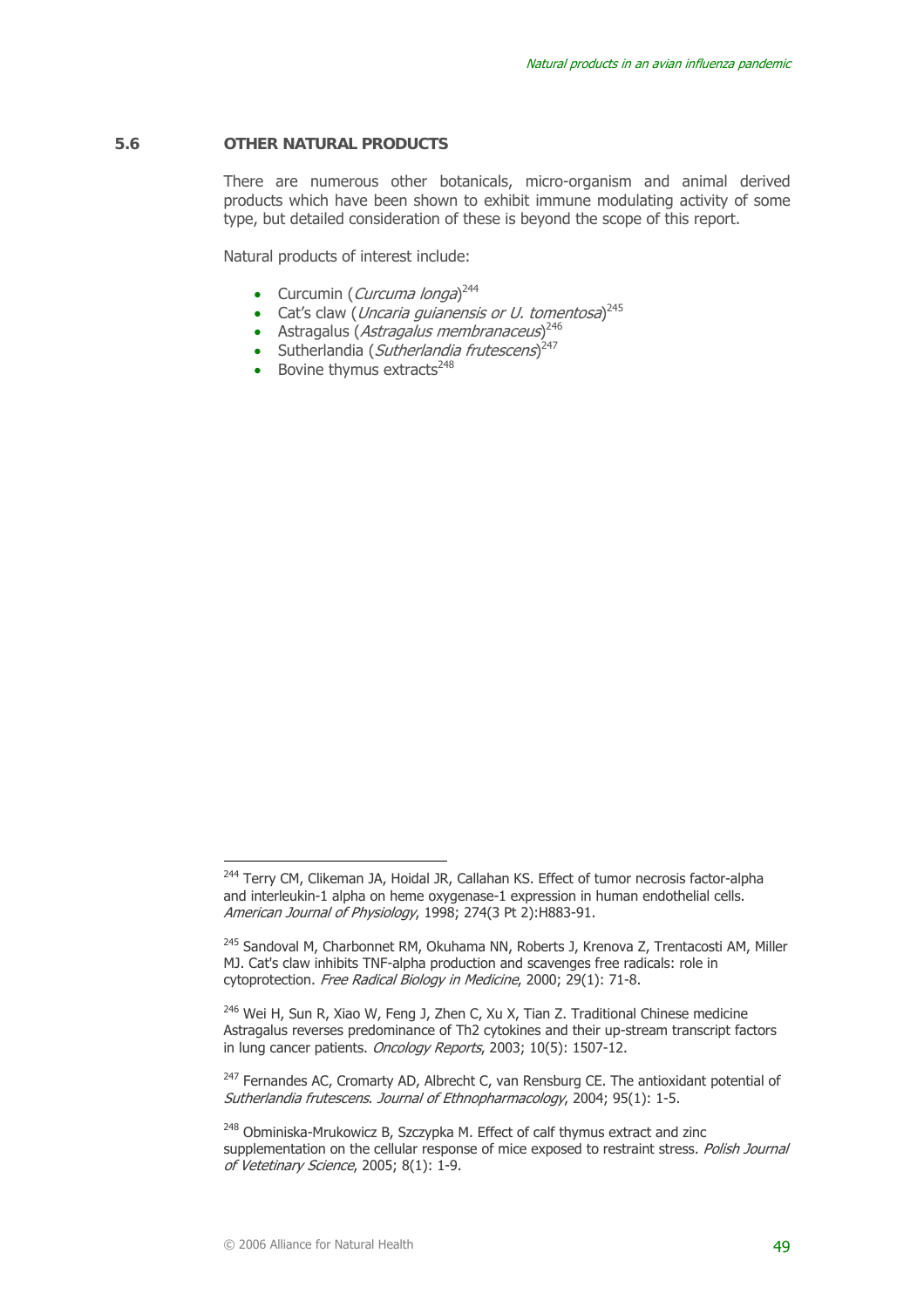#### **5.6 OTHER NATURAL PRODUCTS**

There are numerous other botanicals, micro-organism and animal derived products which have been shown to exhibit immune modulating activity of some type, but detailed consideration of these is beyond the scope of this report.

Natural products of interest include:

- Curcumin (*Curcuma longa*)<sup>244</sup>
- Cat's claw (*Uncaria guianensis or U. tomentosa*) $^{245}$
- Astragalus (Astragalus membranaceus)<sup>246</sup>
- Sutherlandia (Sutherlandia frutescens)<sup>247</sup>
- Bovine thymus extracts $248$

<sup>&</sup>lt;sup>244</sup> Terry CM, Clikeman JA, Hoidal JR, Callahan KS. Effect of tumor necrosis factor-alpha and interleukin-1 alpha on heme oxygenase-1 expression in human endothelial cells. American Journal of Physiology, 1998; 274(3 Pt 2):H883-91.

<sup>&</sup>lt;sup>245</sup> Sandoval M, Charbonnet RM, Okuhama NN, Roberts J, Krenova Z, Trentacosti AM, Miller MJ. Cat's claw inhibits TNF-alpha production and scavenges free radicals: role in cytoprotection. Free Radical Biology in Medicine, 2000; 29(1): 71-8.

 $246$  Wei H, Sun R, Xiao W, Feng J, Zhen C, Xu X, Tian Z. Traditional Chinese medicine Astragalus reverses predominance of Th2 cytokines and their up-stream transcript factors in lung cancer patients. Oncology Reports, 2003; 10(5): 1507-12.

<sup>&</sup>lt;sup>247</sup> Fernandes AC, Cromarty AD, Albrecht C, van Rensburg CE. The antioxidant potential of Sutherlandia frutescens. Journal of Ethnopharmacology, 2004; 95(1): 1-5.

<sup>&</sup>lt;sup>248</sup> Obminiska-Mrukowicz B, Szczypka M. Effect of calf thymus extract and zinc supplementation on the cellular response of mice exposed to restraint stress. Polish Journal of Vetetinary Science, 2005; 8(1): 1-9.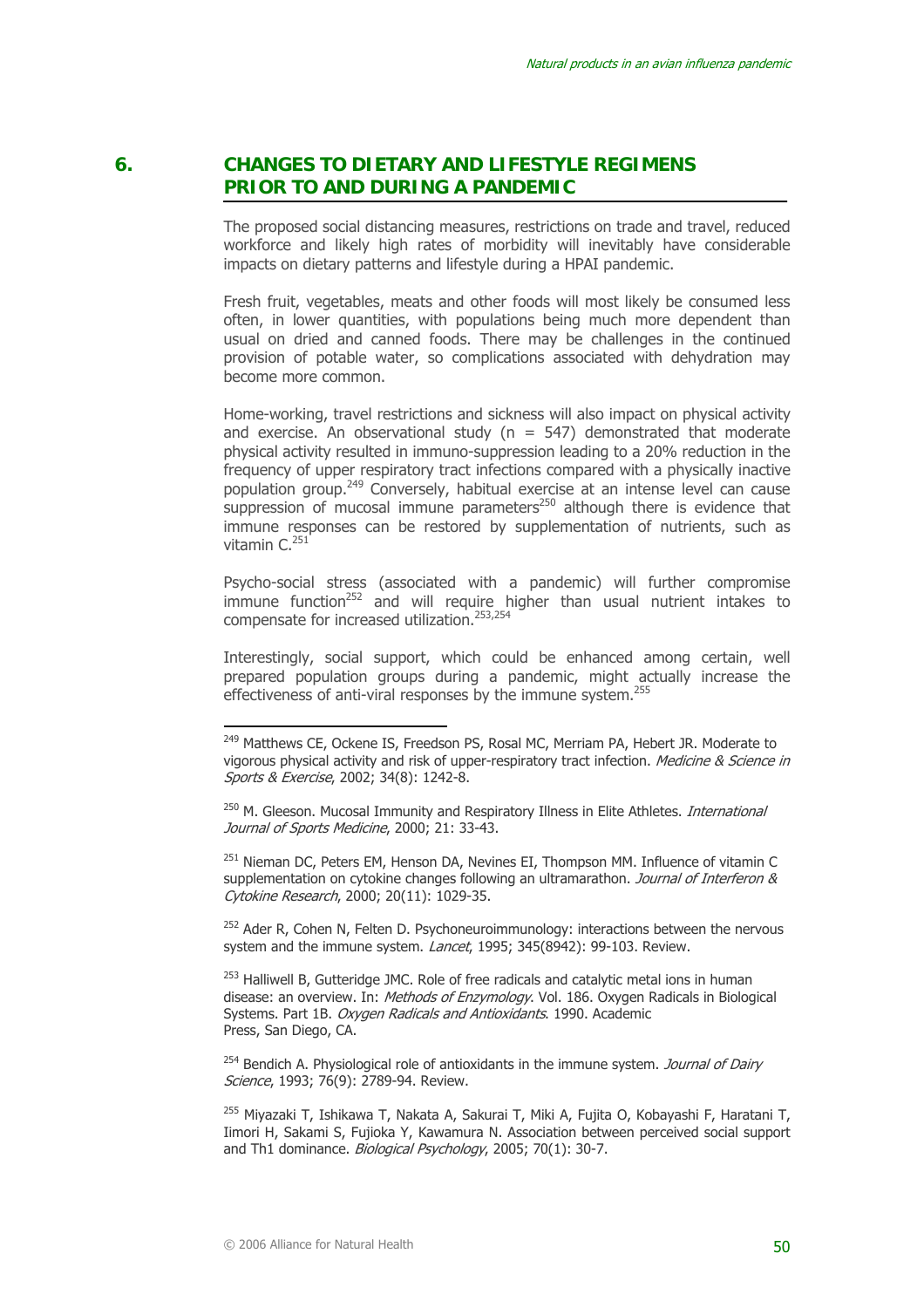# **6. CHANGES TO DIETARY AND LIFESTYLE REGIMENS PRIOR TO AND DURING A PANDEMIC**

The proposed social distancing measures, restrictions on trade and travel, reduced workforce and likely high rates of morbidity will inevitably have considerable impacts on dietary patterns and lifestyle during a HPAI pandemic.

Fresh fruit, vegetables, meats and other foods will most likely be consumed less often, in lower quantities, with populations being much more dependent than usual on dried and canned foods. There may be challenges in the continued provision of potable water, so complications associated with dehydration may become more common.

Home-working, travel restrictions and sickness will also impact on physical activity and exercise. An observational study ( $n = 547$ ) demonstrated that moderate physical activity resulted in immuno-suppression leading to a 20% reduction in the frequency of upper respiratory tract infections compared with a physically inactive population group.249 Conversely, habitual exercise at an intense level can cause suppression of mucosal immune parameters<sup>250</sup> although there is evidence that immune responses can be restored by supplementation of nutrients, such as vitamin C.<sup>251</sup>

Psycho-social stress (associated with a pandemic) will further compromise  $\frac{1}{2}$  immune function<sup>252</sup> and will require higher than usual nutrient intakes to compensate for increased utilization.253,254

Interestingly, social support, which could be enhanced among certain, well prepared population groups during a pandemic, might actually increase the effectiveness of anti-viral responses by the immune system.<sup>255</sup>

<sup>251</sup> Nieman DC, Peters EM, Henson DA, Nevines EI, Thompson MM, Influence of vitamin C supplementation on cytokine changes following an ultramarathon. Journal of Interferon & Cytokine Research, 2000; 20(11): 1029-35.

 $252$  Ader R, Cohen N, Felten D, Psychoneuroimmunology: interactions between the nervous system and the immune system. *Lancet*, 1995; 345(8942): 99-103. Review.

 $253$  Halliwell B, Gutteridge JMC. Role of free radicals and catalytic metal ions in human disease: an overview. In: *Methods of Enzymology*, Vol. 186. Oxygen Radicals in Biological Systems. Part 1B. Oxygen Radicals and Antioxidants. 1990. Academic Press, San Diego, CA.

 $254$  Bendich A. Physiological role of antioxidants in the immune system. Journal of Dairy Science, 1993; 76(9); 2789-94. Review.

255 Miyazaki T, Ishikawa T, Nakata A, Sakurai T, Miki A, Fujita O, Kobayashi F, Haratani T, Iimori H, Sakami S, Fujioka Y, Kawamura N. Association between perceived social support and Th1 dominance. Biological Psychology, 2005; 70(1): 30-7.

<sup>&</sup>lt;sup>249</sup> Matthews CE, Ockene IS, Freedson PS, Rosal MC, Merriam PA, Hebert JR. Moderate to vigorous physical activity and risk of upper-respiratory tract infection. Medicine & Science in Sports & Exercise, 2002; 34(8): 1242-8.

<sup>&</sup>lt;sup>250</sup> M. Gleeson. Mucosal Immunity and Respiratory Illness in Elite Athletes. *International* Journal of Sports Medicine, 2000; 21: 33-43.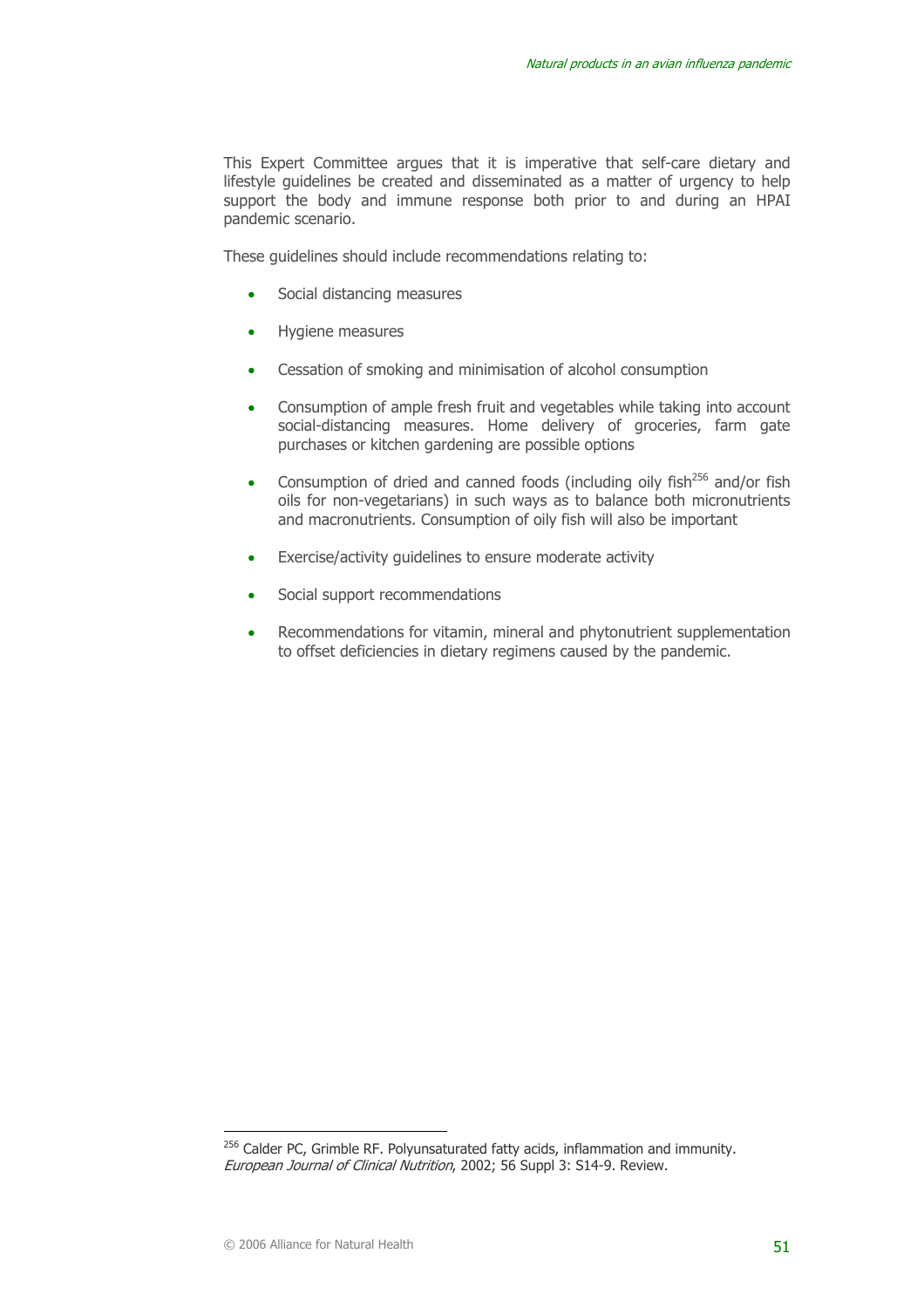This Expert Committee argues that it is imperative that self-care dietary and lifestyle guidelines be created and disseminated as a matter of urgency to help support the body and immune response both prior to and during an HPAI pandemic scenario.

These guidelines should include recommendations relating to:

- Social distancing measures
- Hygiene measures
- Cessation of smoking and minimisation of alcohol consumption
- Consumption of ample fresh fruit and vegetables while taking into account social-distancing measures. Home delivery of groceries, farm gate purchases or kitchen gardening are possible options
- Consumption of dried and canned foods (including oily fish<sup>256</sup> and/or fish oils for non-vegetarians) in such ways as to balance both micronutrients and macronutrients. Consumption of oily fish will also be important
- Exercise/activity quidelines to ensure moderate activity
- Social support recommendations
- Recommendations for vitamin, mineral and phytonutrient supplementation to offset deficiencies in dietary regimens caused by the pandemic.

<sup>&</sup>lt;sup>256</sup> Calder PC, Grimble RF. Polyunsaturated fatty acids, inflammation and immunity. European Journal of Clinical Nutrition, 2002; 56 Suppl 3: S14-9. Review.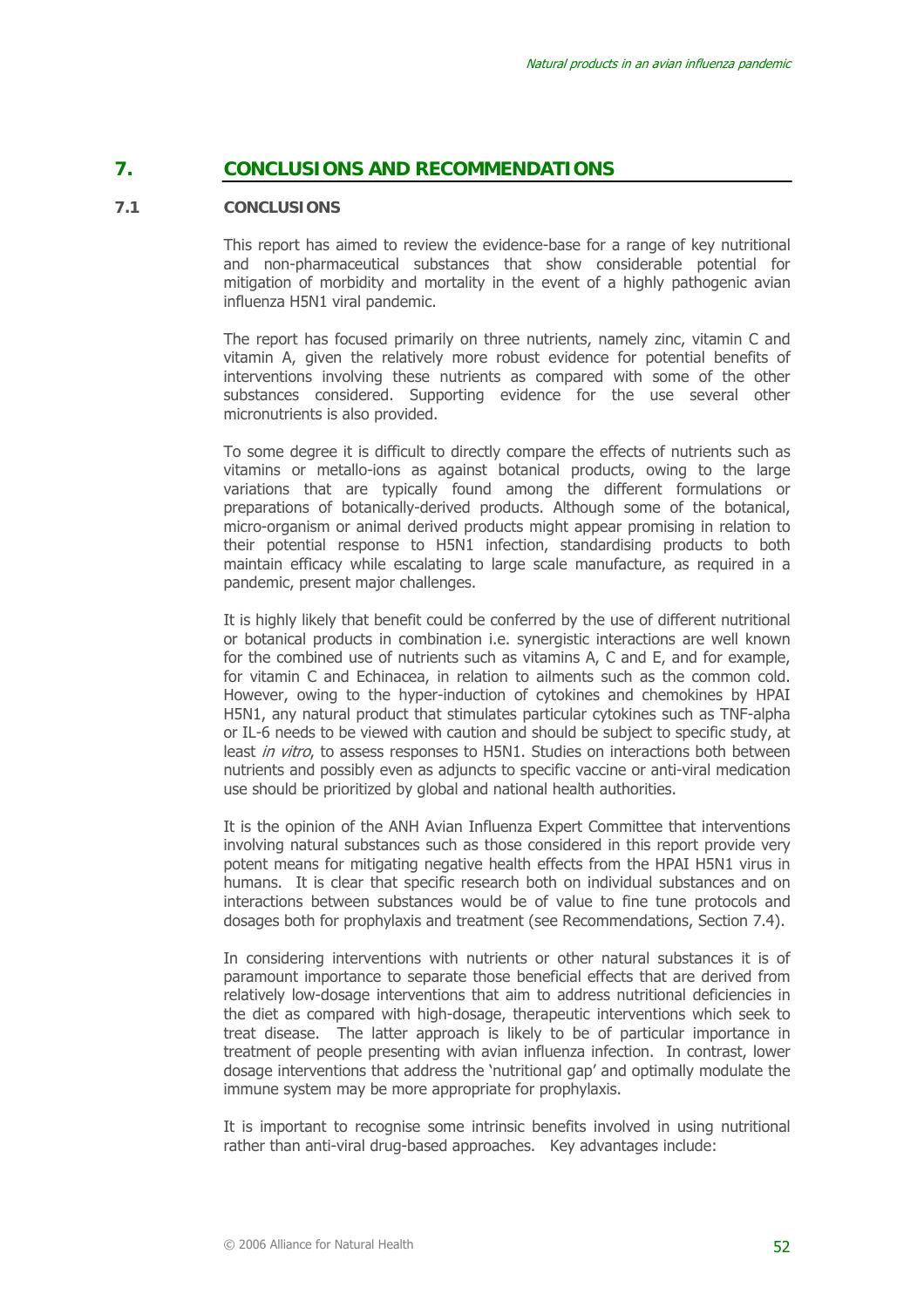# **7. CONCLUSIONS AND RECOMMENDATIONS**

#### **7.1 CONCLUSIONS**

This report has aimed to review the evidence-base for a range of key nutritional and non-pharmaceutical substances that show considerable potential for mitigation of morbidity and mortality in the event of a highly pathogenic avian influenza H5N1 viral pandemic.

The report has focused primarily on three nutrients, namely zinc, vitamin C and vitamin A, given the relatively more robust evidence for potential benefits of interventions involving these nutrients as compared with some of the other substances considered. Supporting evidence for the use several other micronutrients is also provided.

To some degree it is difficult to directly compare the effects of nutrients such as vitamins or metallo-ions as against botanical products, owing to the large variations that are typically found among the different formulations or preparations of botanically-derived products. Although some of the botanical, micro-organism or animal derived products might appear promising in relation to their potential response to H5N1 infection, standardising products to both maintain efficacy while escalating to large scale manufacture, as required in a pandemic, present major challenges.

It is highly likely that benefit could be conferred by the use of different nutritional or botanical products in combination i.e. synergistic interactions are well known for the combined use of nutrients such as vitamins A, C and E, and for example, for vitamin C and Echinacea, in relation to ailments such as the common cold. However, owing to the hyper-induction of cytokines and chemokines by HPAI H5N1, any natural product that stimulates particular cytokines such as TNF-alpha or IL-6 needs to be viewed with caution and should be subject to specific study, at least in vitro, to assess responses to H5N1. Studies on interactions both between nutrients and possibly even as adjuncts to specific vaccine or anti-viral medication use should be prioritized by global and national health authorities.

It is the opinion of the ANH Avian Influenza Expert Committee that interventions involving natural substances such as those considered in this report provide very potent means for mitigating negative health effects from the HPAI H5N1 virus in humans. It is clear that specific research both on individual substances and on interactions between substances would be of value to fine tune protocols and dosages both for prophylaxis and treatment (see Recommendations, Section 7.4).

In considering interventions with nutrients or other natural substances it is of paramount importance to separate those beneficial effects that are derived from relatively low-dosage interventions that aim to address nutritional deficiencies in the diet as compared with high-dosage, therapeutic interventions which seek to treat disease. The latter approach is likely to be of particular importance in treatment of people presenting with avian influenza infection. In contrast, lower dosage interventions that address the 'nutritional gap' and optimally modulate the immune system may be more appropriate for prophylaxis.

It is important to recognise some intrinsic benefits involved in using nutritional rather than anti-viral drug-based approaches. Key advantages include: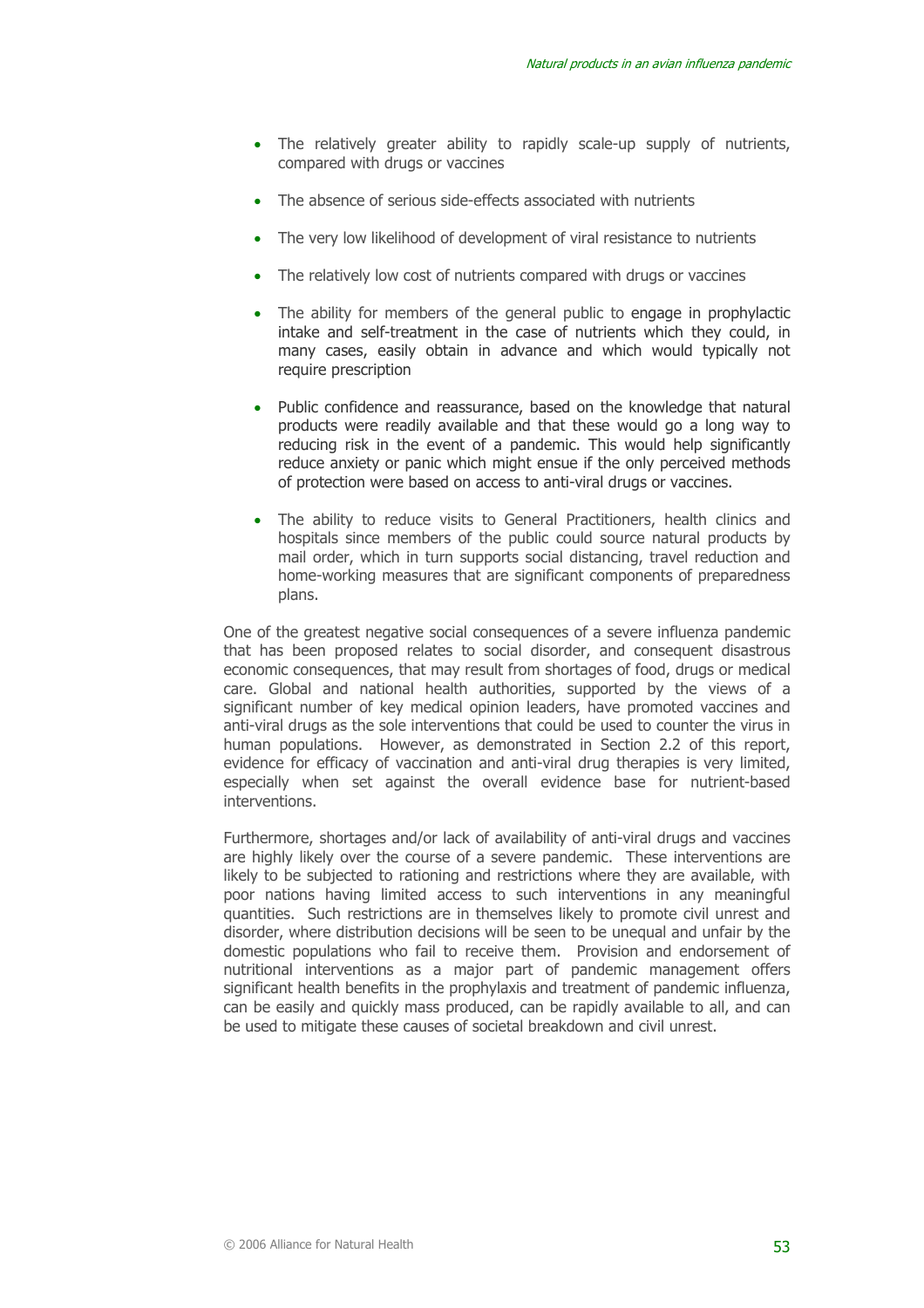- The relatively greater ability to rapidly scale-up supply of nutrients, compared with drugs or vaccines
- The absence of serious side-effects associated with nutrients
- The very low likelihood of development of viral resistance to nutrients
- The relatively low cost of nutrients compared with drugs or vaccines
- The ability for members of the general public to engage in prophylactic intake and self-treatment in the case of nutrients which they could, in many cases, easily obtain in advance and which would typically not require prescription
- Public confidence and reassurance, based on the knowledge that natural products were readily available and that these would go a long way to reducing risk in the event of a pandemic. This would help significantly reduce anxiety or panic which might ensue if the only perceived methods of protection were based on access to anti-viral drugs or vaccines.
- The ability to reduce visits to General Practitioners, health clinics and hospitals since members of the public could source natural products by mail order, which in turn supports social distancing, travel reduction and home-working measures that are significant components of preparedness plans.

One of the greatest negative social consequences of a severe influenza pandemic that has been proposed relates to social disorder, and consequent disastrous economic consequences, that may result from shortages of food, drugs or medical care. Global and national health authorities, supported by the views of a significant number of key medical opinion leaders, have promoted vaccines and anti-viral drugs as the sole interventions that could be used to counter the virus in human populations. However, as demonstrated in Section 2.2 of this report, evidence for efficacy of vaccination and anti-viral drug therapies is very limited, especially when set against the overall evidence base for nutrient-based interventions.

Furthermore, shortages and/or lack of availability of anti-viral drugs and vaccines are highly likely over the course of a severe pandemic. These interventions are likely to be subjected to rationing and restrictions where they are available, with poor nations having limited access to such interventions in any meaningful quantities. Such restrictions are in themselves likely to promote civil unrest and disorder, where distribution decisions will be seen to be unequal and unfair by the domestic populations who fail to receive them. Provision and endorsement of nutritional interventions as a major part of pandemic management offers significant health benefits in the prophylaxis and treatment of pandemic influenza, can be easily and quickly mass produced, can be rapidly available to all, and can be used to mitigate these causes of societal breakdown and civil unrest.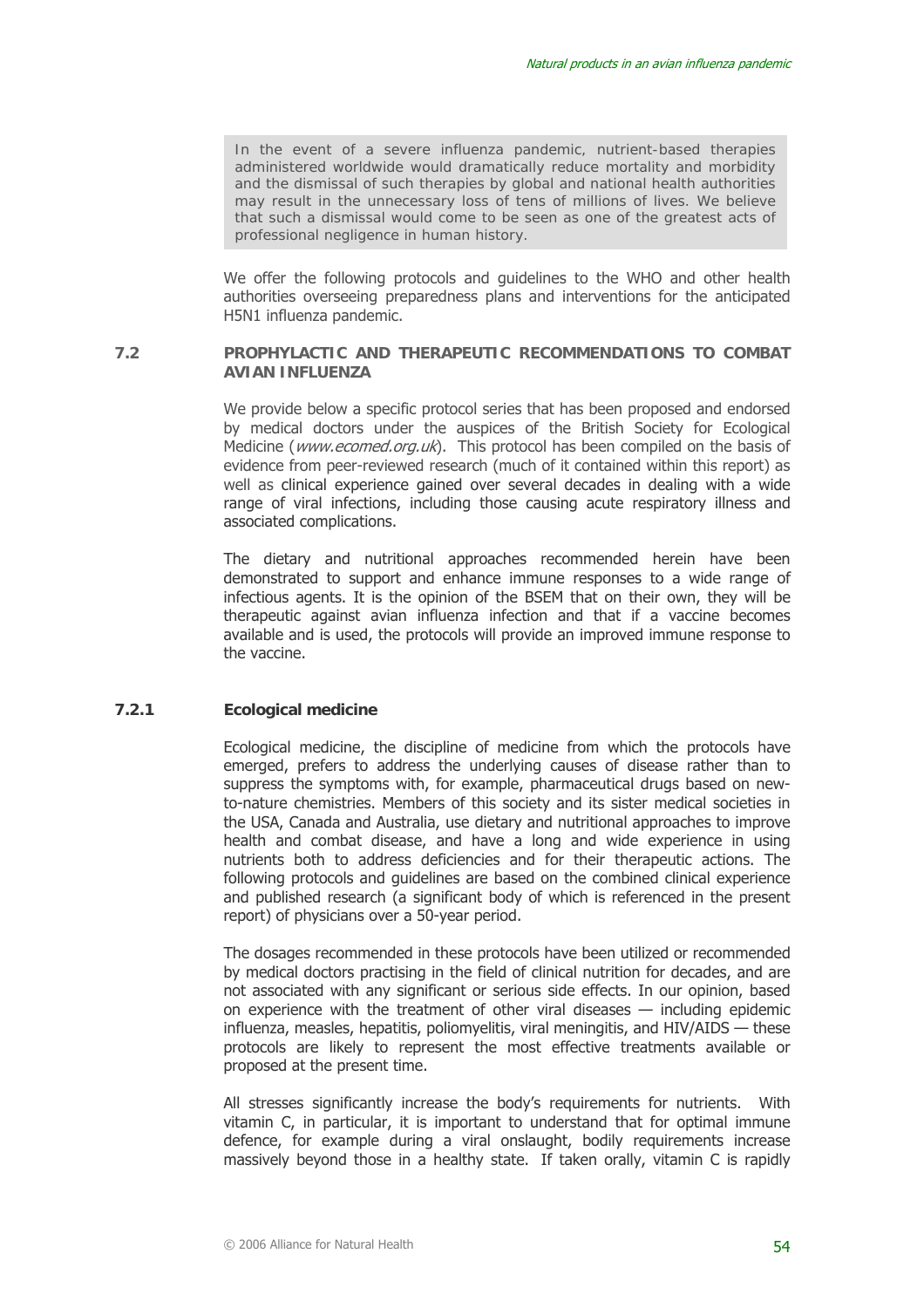*In the event of a severe influenza pandemic, nutrient-based therapies administered worldwide would dramatically reduce mortality and morbidity and the dismissal of such therapies by global and national health authorities may result in the unnecessary loss of tens of millions of lives. We believe that such a dismissal would come to be seen as one of the greatest acts of professional negligence in human history.* 

We offer the following protocols and guidelines to the WHO and other health authorities overseeing preparedness plans and interventions for the anticipated H5N1 influenza pandemic.

#### **7.2 PROPHYLACTIC AND THERAPEUTIC RECOMMENDATIONS TO COMBAT AVIAN INFLUENZA**

We provide below a specific protocol series that has been proposed and endorsed by medical doctors under the auspices of the British Society for Ecological Medicine (www.ecomed.org.uk). This protocol has been compiled on the basis of evidence from peer-reviewed research (much of it contained within this report) as well as clinical experience gained over several decades in dealing with a wide range of viral infections, including those causing acute respiratory illness and associated complications.

The dietary and nutritional approaches recommended herein have been demonstrated to support and enhance immune responses to a wide range of infectious agents. It is the opinion of the BSEM that on their own, they will be therapeutic against avian influenza infection and that if a vaccine becomes available and is used, the protocols will provide an improved immune response to the vaccine.

#### **7.2.1 Ecological medicine**

Ecological medicine, the discipline of medicine from which the protocols have emerged, prefers to address the underlying causes of disease rather than to suppress the symptoms with, for example, pharmaceutical drugs based on newto-nature chemistries. Members of this society and its sister medical societies in the USA, Canada and Australia, use dietary and nutritional approaches to improve health and combat disease, and have a long and wide experience in using nutrients both to address deficiencies and for their therapeutic actions. The following protocols and guidelines are based on the combined clinical experience and published research (a significant body of which is referenced in the present report) of physicians over a 50-year period.

The dosages recommended in these protocols have been utilized or recommended by medical doctors practising in the field of clinical nutrition for decades, and are not associated with any significant or serious side effects. In our opinion, based on experience with the treatment of other viral diseases — including epidemic influenza, measles, hepatitis, poliomyelitis, viral meningitis, and HIV/AIDS — these protocols are likely to represent the most effective treatments available or proposed at the present time.

All stresses significantly increase the body's requirements for nutrients. With vitamin C, in particular, it is important to understand that for optimal immune defence, for example during a viral onslaught, bodily requirements increase massively beyond those in a healthy state. If taken orally, vitamin C is rapidly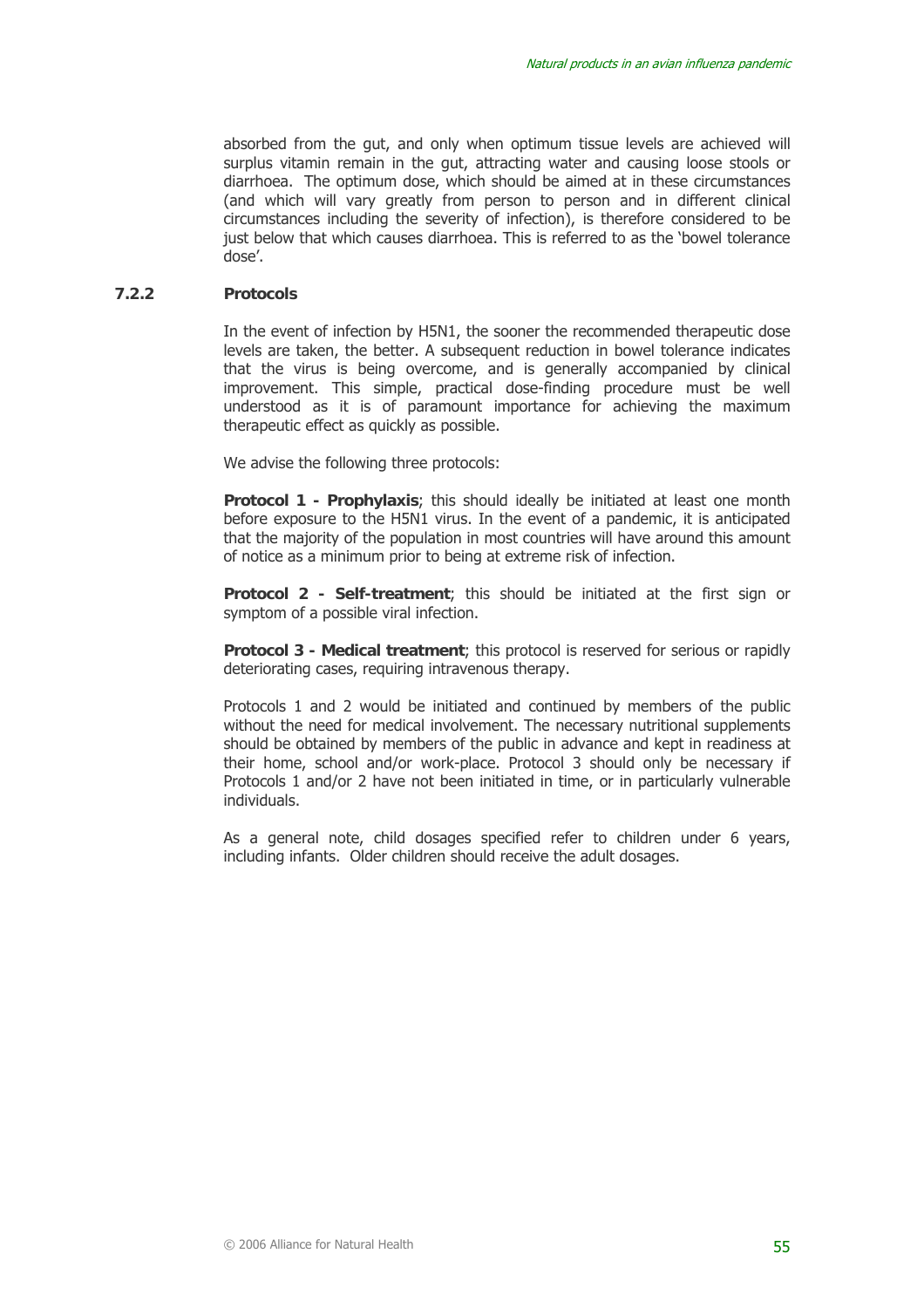absorbed from the gut, and only when optimum tissue levels are achieved will surplus vitamin remain in the gut, attracting water and causing loose stools or diarrhoea. The optimum dose, which should be aimed at in these circumstances (and which will vary greatly from person to person and in different clinical circumstances including the severity of infection), is therefore considered to be just below that which causes diarrhoea. This is referred to as the 'bowel tolerance dose'.

#### **7.2.2 Protocols**

In the event of infection by H5N1, the sooner the recommended therapeutic dose levels are taken, the better. A subsequent reduction in bowel tolerance indicates that the virus is being overcome, and is generally accompanied by clinical improvement. This simple, practical dose-finding procedure must be well understood as it is of paramount importance for achieving the maximum therapeutic effect as quickly as possible.

We advise the following three protocols:

**Protocol 1 - Prophylaxis**; this should ideally be initiated at least one month before exposure to the H5N1 virus. In the event of a pandemic, it is anticipated that the majority of the population in most countries will have around this amount of notice as a minimum prior to being at extreme risk of infection.

**Protocol 2 - Self-treatment**; this should be initiated at the first sign or symptom of a possible viral infection.

**Protocol 3 - Medical treatment**; this protocol is reserved for serious or rapidly deteriorating cases, requiring intravenous therapy.

Protocols 1 and 2 would be initiated and continued by members of the public without the need for medical involvement. The necessary nutritional supplements should be obtained by members of the public in advance and kept in readiness at their home, school and/or work-place. Protocol 3 should only be necessary if Protocols 1 and/or 2 have not been initiated in time, or in particularly vulnerable individuals.

As a general note, child dosages specified refer to children under 6 years, including infants. Older children should receive the adult dosages.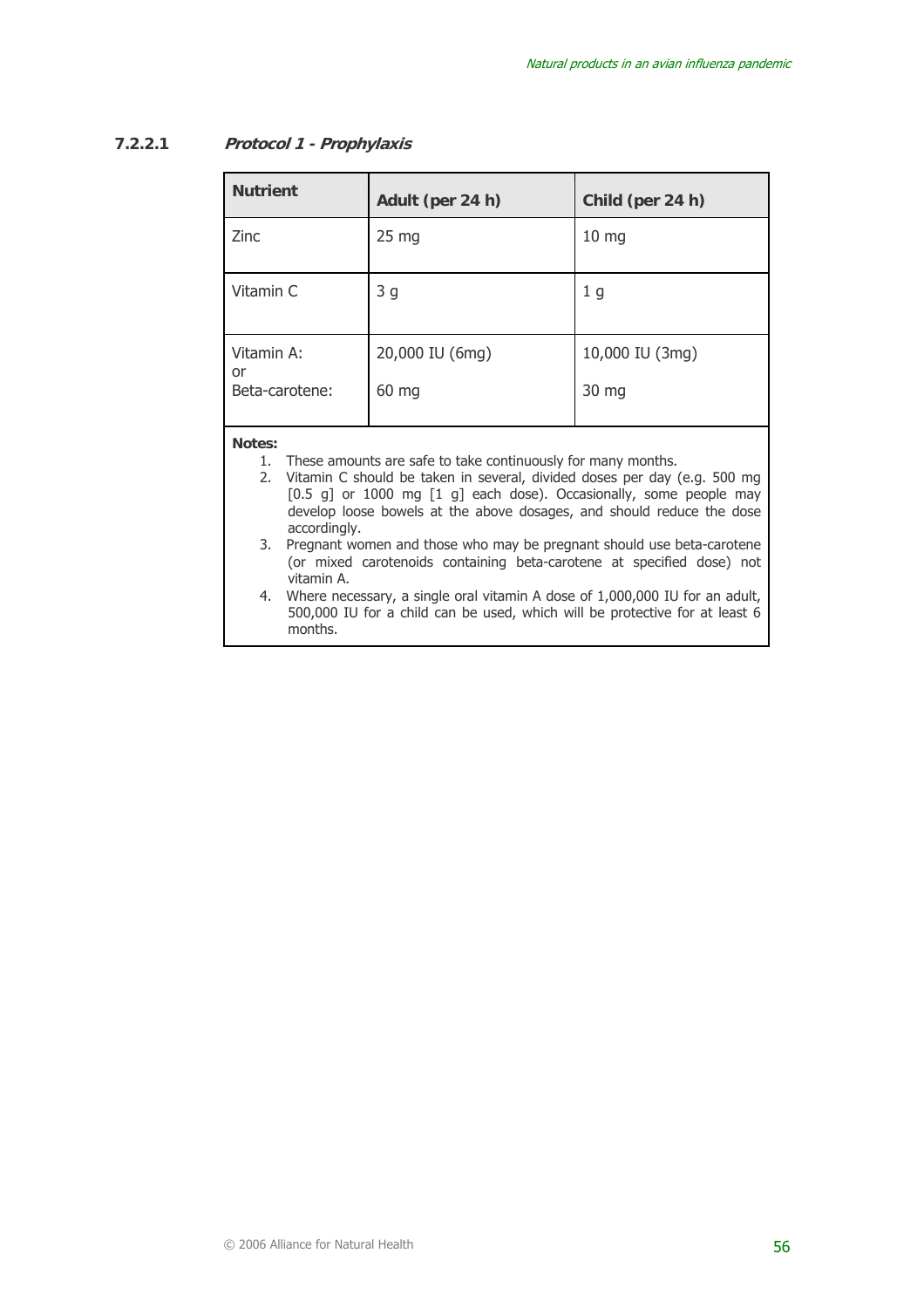# **7.2.2.1 Protocol 1 - Prophylaxis**

| <b>Nutrient</b>                    | Adult (per 24 h)         | Child (per 24 h)         |
|------------------------------------|--------------------------|--------------------------|
| Zinc                               | $25 \, mg$               | 10 <sub>mg</sub>         |
| Vitamin C                          | 3 <sub>g</sub>           | 1 <sub>g</sub>           |
| Vitamin A:<br>or<br>Beta-carotene: | 20,000 IU (6mg)<br>60 mg | 10,000 IU (3mg)<br>30 mg |
|                                    |                          |                          |

#### **Notes:**

- 1. These amounts are safe to take continuously for many months.
- 2. Vitamin C should be taken in several, divided doses per day (e.g. 500 mg [0.5 g] or 1000 mg [1 g] each dose). Occasionally, some people may develop loose bowels at the above dosages, and should reduce the dose accordingly.
- 3. Pregnant women and those who may be pregnant should use beta-carotene (or mixed carotenoids containing beta-carotene at specified dose) not vitamin A.
- 4. Where necessary, a single oral vitamin A dose of 1,000,000 IU for an adult, 500,000 IU for a child can be used, which will be protective for at least 6 months.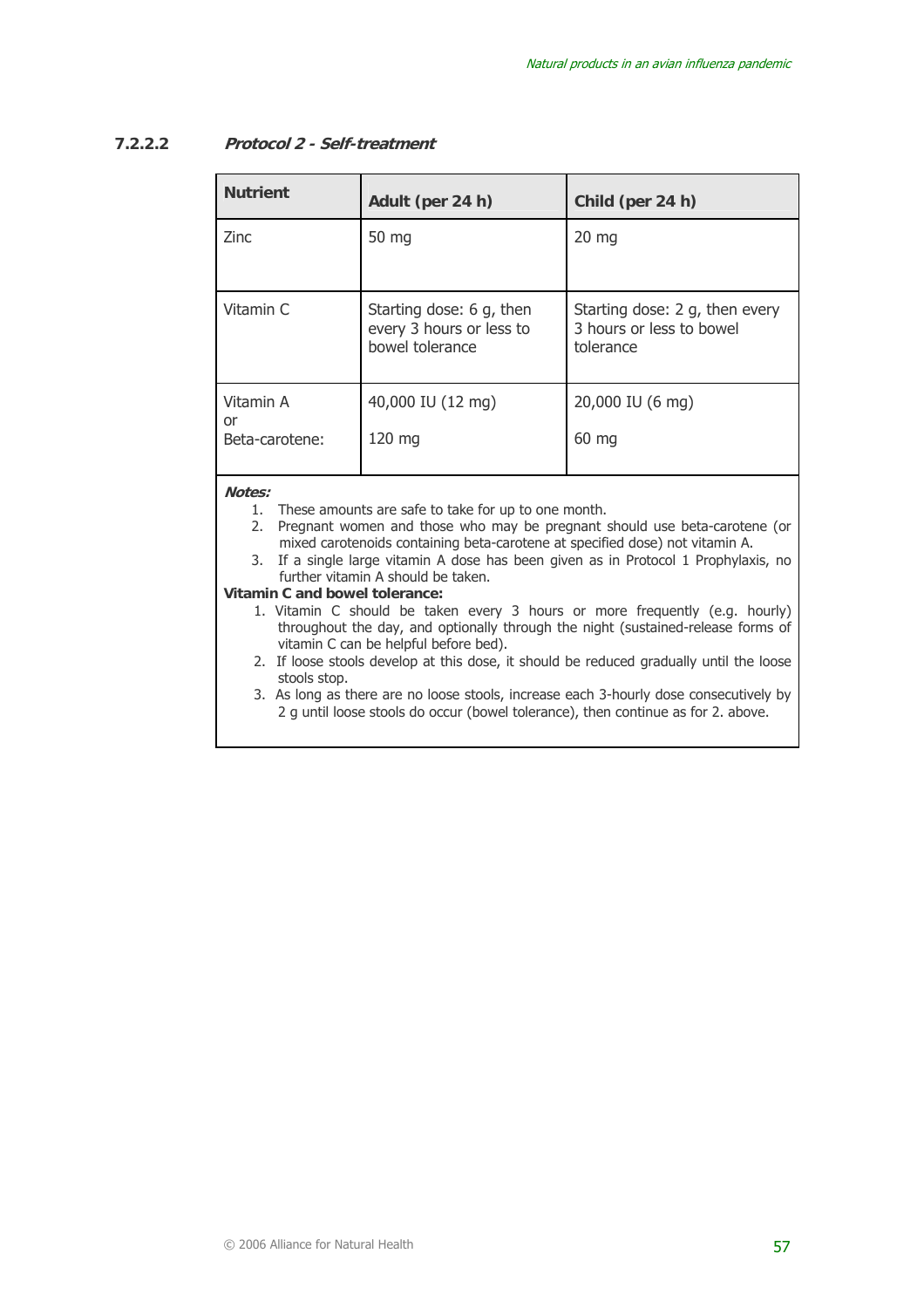# **7.2.2.2 Protocol 2 - Self-treatment**

| <b>Nutrient</b>                   | Adult (per 24 h)                                                        | Child (per 24 h)                                                        |
|-----------------------------------|-------------------------------------------------------------------------|-------------------------------------------------------------------------|
| <b>Zinc</b>                       | 50 mg                                                                   | $20 \text{ mg}$                                                         |
| Vitamin C                         | Starting dose: 6 g, then<br>every 3 hours or less to<br>bowel tolerance | Starting dose: 2 g, then every<br>3 hours or less to bowel<br>tolerance |
| Vitamin A<br>or<br>Beta-carotene: | 40,000 IU (12 mg)<br>$120 \text{ mg}$                                   | 20,000 IU (6 mg)<br>60 mg                                               |

**Notes:** 

- 1. These amounts are safe to take for up to one month.
- 2. Pregnant women and those who may be pregnant should use beta-carotene (or mixed carotenoids containing beta-carotene at specified dose) not vitamin A.
- 3. If a single large vitamin A dose has been given as in Protocol 1 Prophylaxis, no further vitamin A should be taken.

**Vitamin C and bowel tolerance:** 

- 1. Vitamin C should be taken every 3 hours or more frequently (e.g. hourly) throughout the day, and optionally through the night (sustained-release forms of vitamin C can be helpful before bed).
- 2. If loose stools develop at this dose, it should be reduced gradually until the loose stools stop.
- 3. As long as there are no loose stools, increase each 3-hourly dose consecutively by 2 g until loose stools do occur (bowel tolerance), then continue as for 2. above.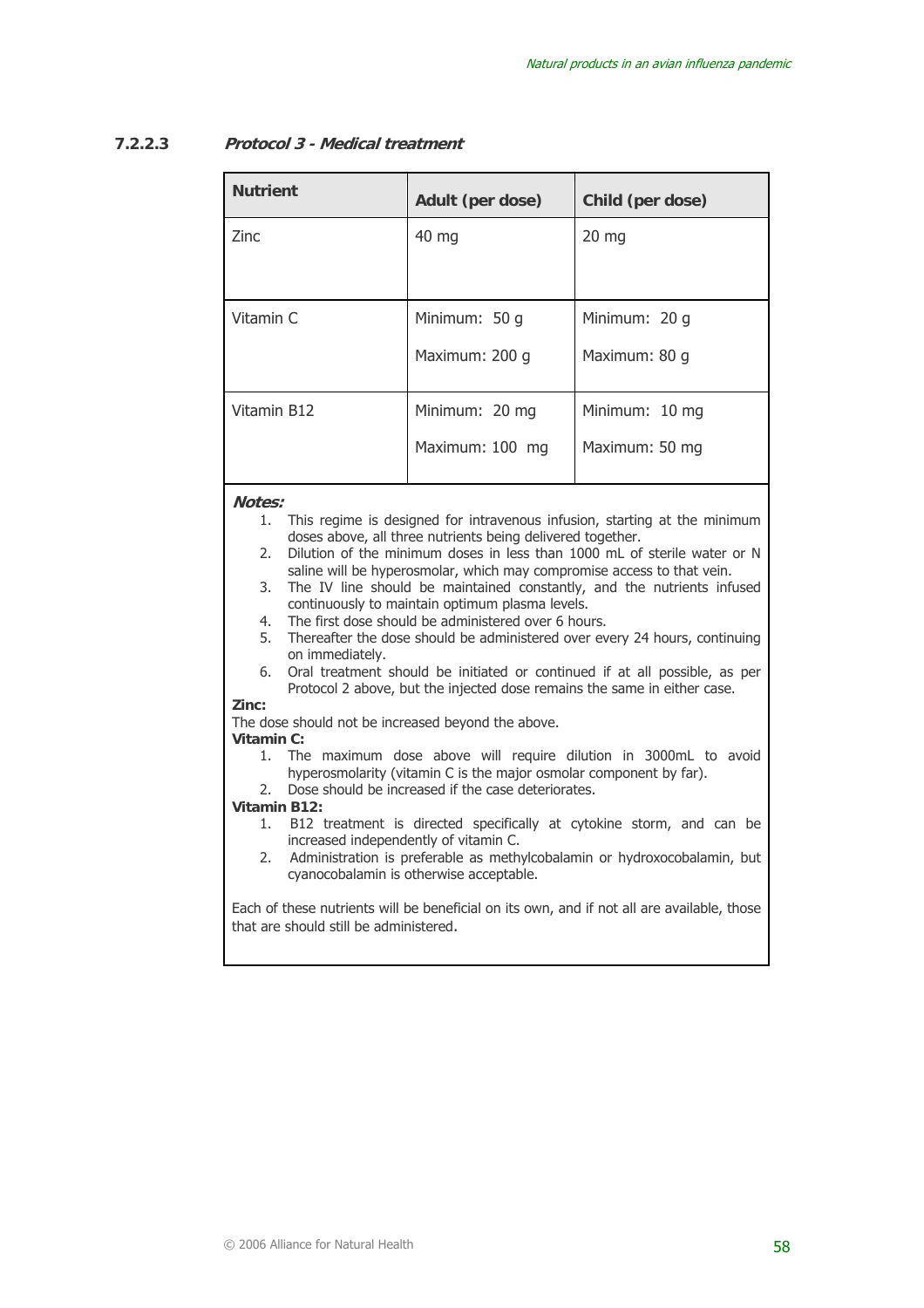# **7.2.2.3 Protocol 3 - Medical treatment**

| <b>Nutrient</b> | Adult (per dose) | Child (per dose) |
|-----------------|------------------|------------------|
| Zinc            | 40 mg            | $20$ mg          |
|                 |                  |                  |
| Vitamin C       | Minimum: 50 g    | Minimum: 20 g    |
|                 | Maximum: 200 g   | Maximum: 80 g    |
| Vitamin B12     | Minimum: 20 mg   | Minimum: 10 mg   |
|                 | Maximum: 100 mg  | Maximum: 50 mg   |

**Notes:** 

- 1. This regime is designed for intravenous infusion, starting at the minimum doses above, all three nutrients being delivered together.
- 2. Dilution of the minimum doses in less than 1000 mL of sterile water or N saline will be hyperosmolar, which may compromise access to that vein.
- 3. The IV line should be maintained constantly, and the nutrients infused continuously to maintain optimum plasma levels.
- 4. The first dose should be administered over 6 hours.
- 5. Thereafter the dose should be administered over every 24 hours, continuing on immediately.
- 6. Oral treatment should be initiated or continued if at all possible, as per Protocol 2 above, but the injected dose remains the same in either case.

**Zinc:** 

The dose should not be increased beyond the above.

#### **Vitamin C:**

- 1. The maximum dose above will require dilution in 3000mL to avoid hyperosmolarity (vitamin C is the major osmolar component by far).
- 2. Dose should be increased if the case deteriorates.

#### **Vitamin B12:**

- 1. B12 treatment is directed specifically at cytokine storm, and can be increased independently of vitamin C.
- 2. Administration is preferable as methylcobalamin or hydroxocobalamin, but cyanocobalamin is otherwise acceptable.

Each of these nutrients will be beneficial on its own, and if not all are available, those that are should still be administered.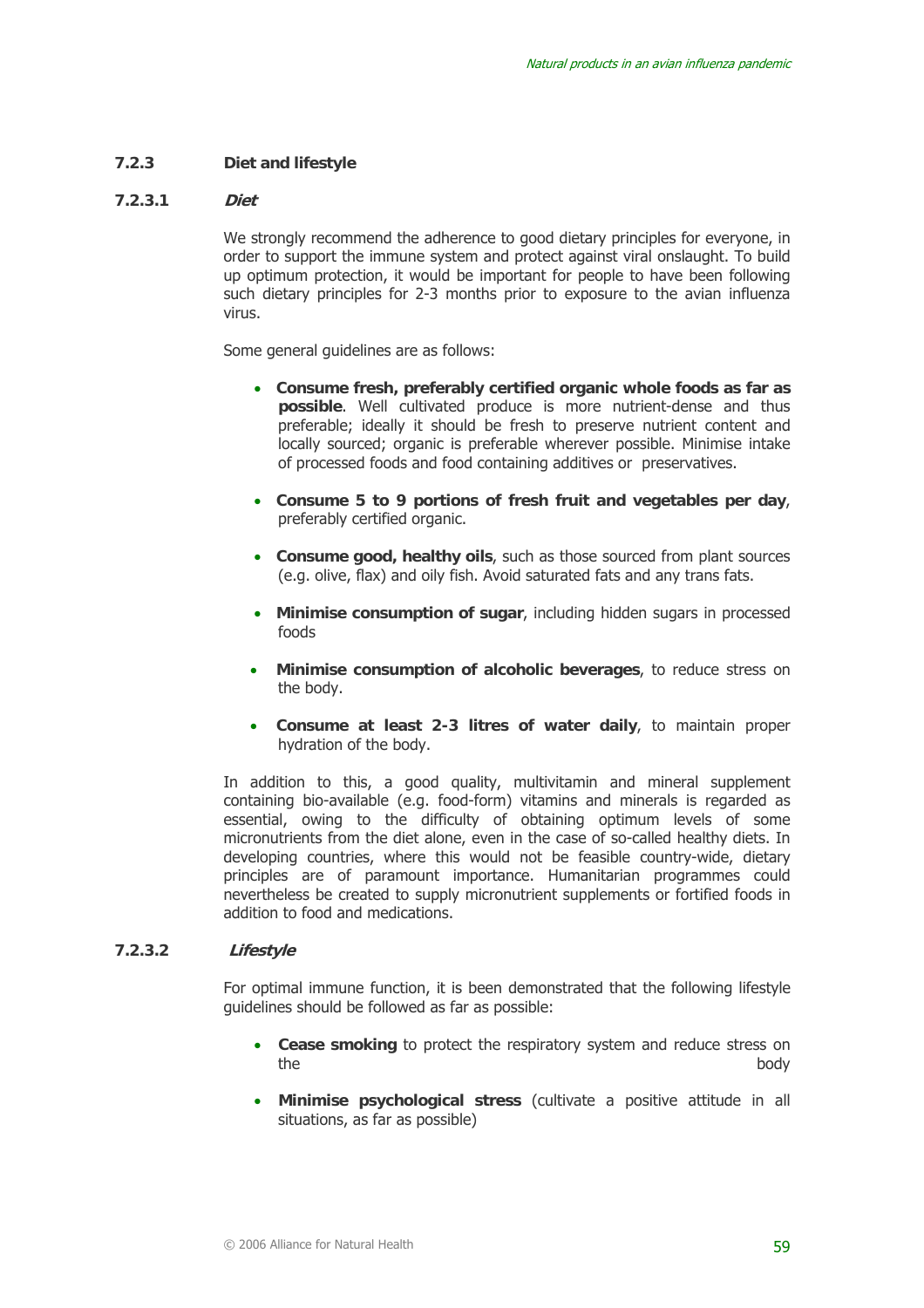#### **7.2.3 Diet and lifestyle**

#### **7.2.3.1 Diet**

We strongly recommend the adherence to good dietary principles for everyone, in order to support the immune system and protect against viral onslaught. To build up optimum protection, it would be important for people to have been following such dietary principles for 2-3 months prior to exposure to the avian influenza virus.

Some general guidelines are as follows:

- • **Consume fresh, preferably certified organic whole foods as far as possible**. Well cultivated produce is more nutrient-dense and thus preferable; ideally it should be fresh to preserve nutrient content and locally sourced; organic is preferable wherever possible. Minimise intake of processed foods and food containing additives or preservatives.
- • **Consume 5 to 9 portions of fresh fruit and vegetables per day**, preferably certified organic.
- • **Consume good, healthy oils**, such as those sourced from plant sources (e.g. olive, flax) and oily fish. Avoid saturated fats and any trans fats.
- • **Minimise consumption of sugar**, including hidden sugars in processed foods
- • **Minimise consumption of alcoholic beverages**, to reduce stress on the body.
- • **Consume at least 2-3 litres of water daily**, to maintain proper hydration of the body.

In addition to this, a good quality, multivitamin and mineral supplement containing bio-available (e.g. food-form) vitamins and minerals is regarded as essential, owing to the difficulty of obtaining optimum levels of some micronutrients from the diet alone, even in the case of so-called healthy diets. In developing countries, where this would not be feasible country-wide, dietary principles are of paramount importance. Humanitarian programmes could nevertheless be created to supply micronutrient supplements or fortified foods in addition to food and medications.

#### **7.2.3.2 Lifestyle**

For optimal immune function, it is been demonstrated that the following lifestyle guidelines should be followed as far as possible:

- **Cease smoking** to protect the respiratory system and reduce stress on the body
- **Minimise psychological stress** (cultivate a positive attitude in all situations, as far as possible)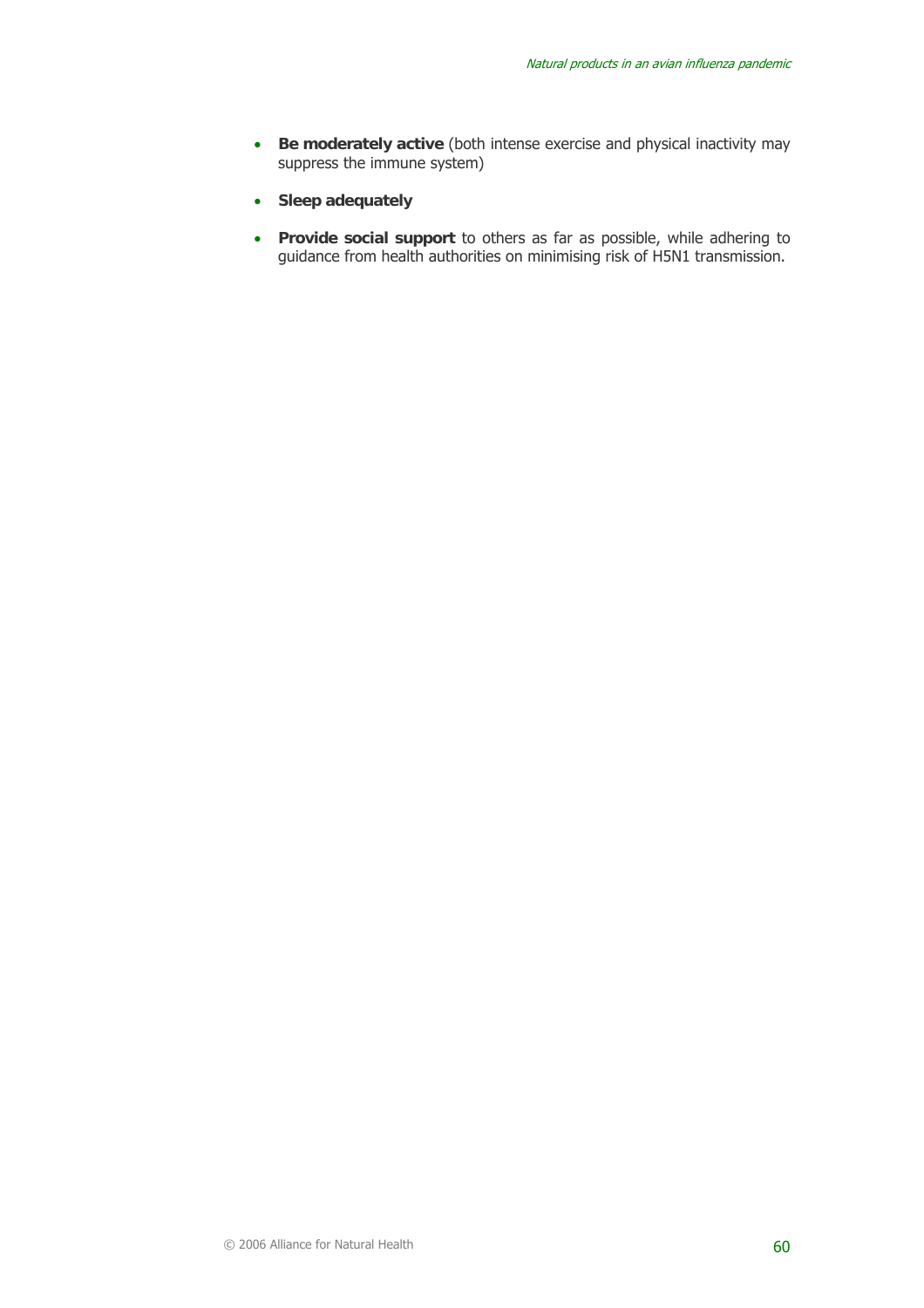- **Be moderately active** (both intense exercise and physical inactivity may suppress the immune system)
- **Sleep adequately**
- **Provide social support** to others as far as possible, while adhering to guidance from health authorities on minimising risk of H5N1 transmission.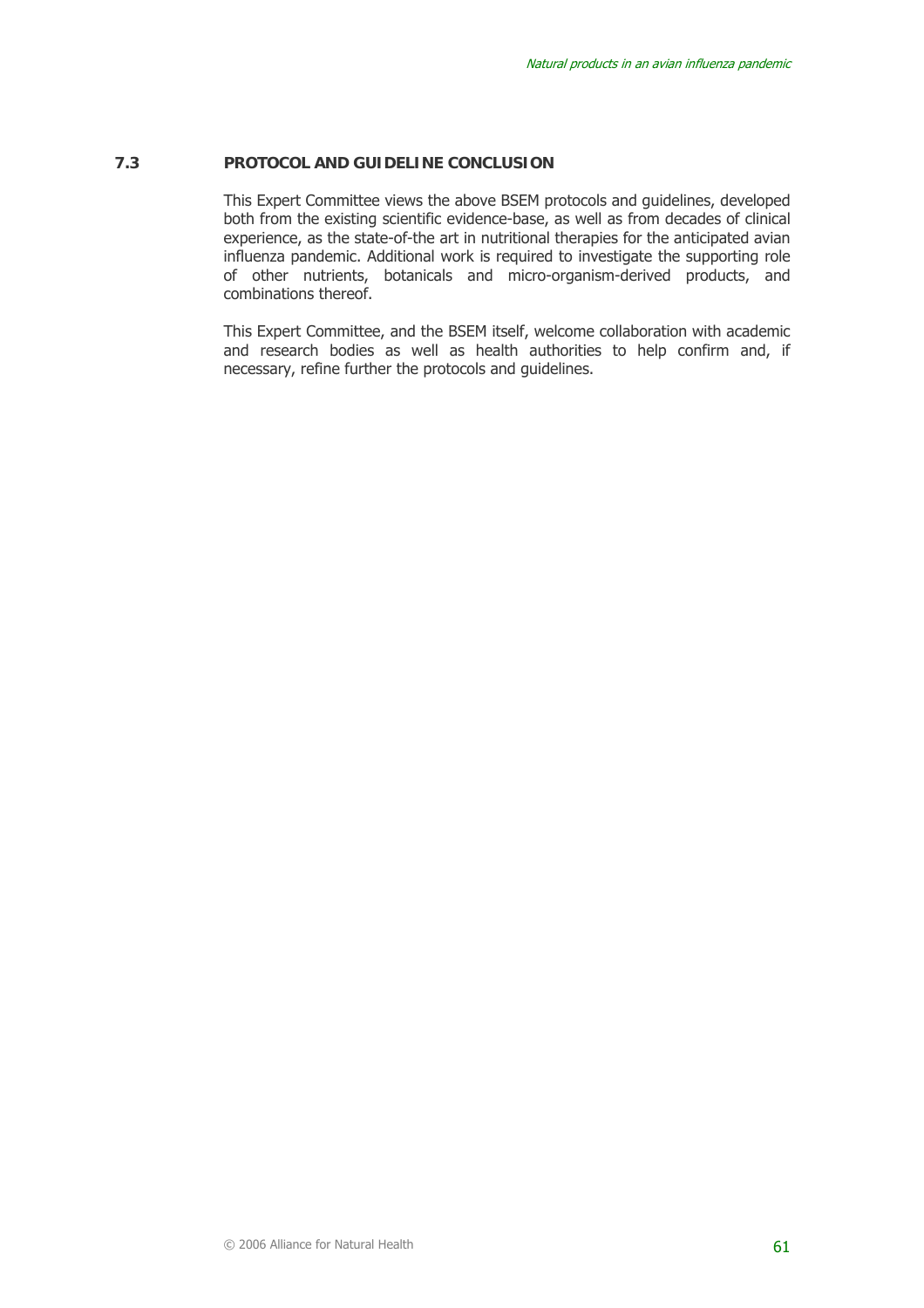#### **7.3 PROTOCOL AND GUIDELINE CONCLUSION**

This Expert Committee views the above BSEM protocols and guidelines, developed both from the existing scientific evidence-base, as well as from decades of clinical experience, as the state-of-the art in nutritional therapies for the anticipated avian influenza pandemic. Additional work is required to investigate the supporting role of other nutrients, botanicals and micro-organism-derived products, and combinations thereof.

This Expert Committee, and the BSEM itself, welcome collaboration with academic and research bodies as well as health authorities to help confirm and, if necessary, refine further the protocols and guidelines.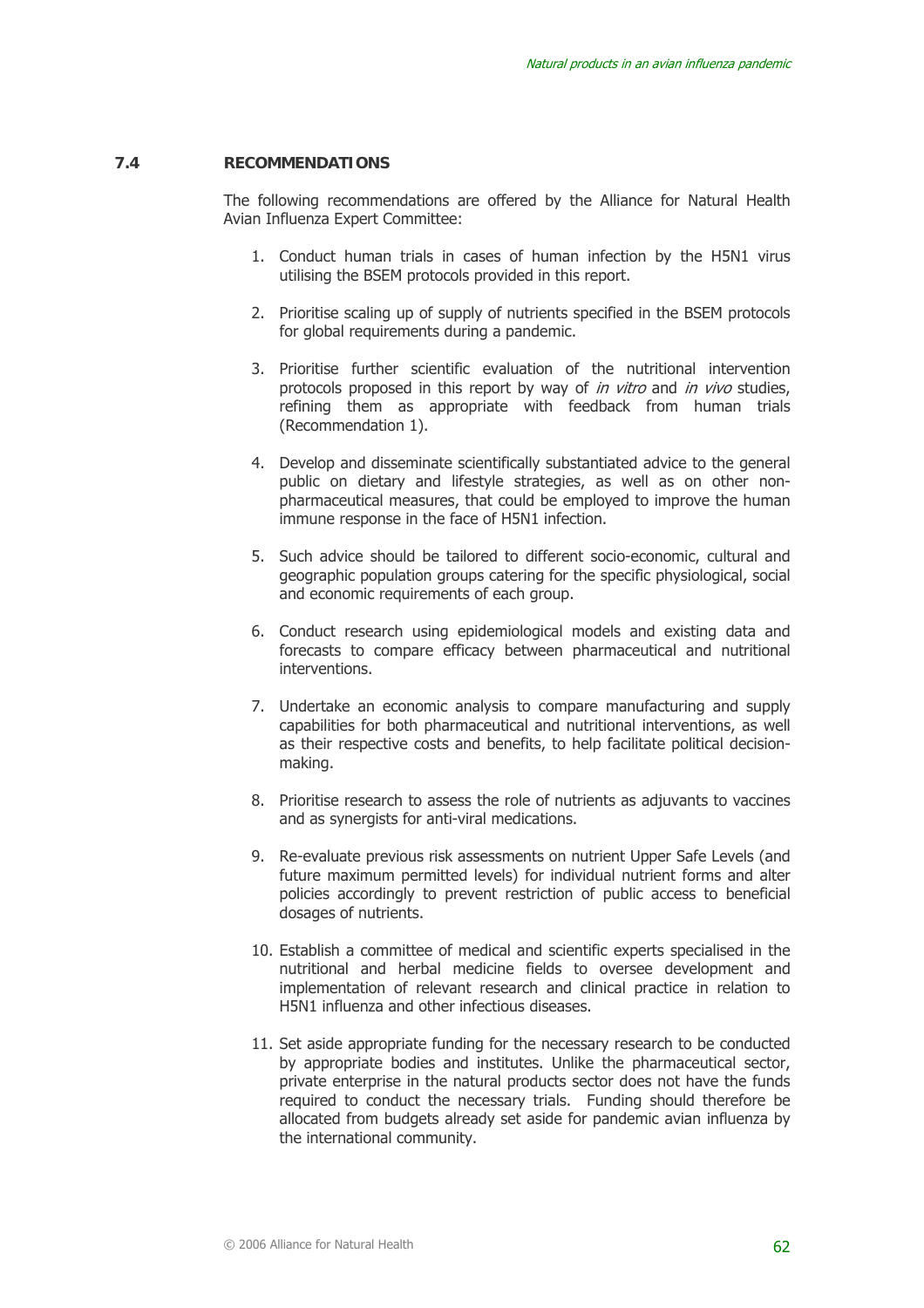#### **7.4 RECOMMENDATIONS**

The following recommendations are offered by the Alliance for Natural Health Avian Influenza Expert Committee:

- 1. Conduct human trials in cases of human infection by the H5N1 virus utilising the BSEM protocols provided in this report.
- 2. Prioritise scaling up of supply of nutrients specified in the BSEM protocols for global requirements during a pandemic.
- 3. Prioritise further scientific evaluation of the nutritional intervention protocols proposed in this report by way of *in vitro* and *in vivo* studies, refining them as appropriate with feedback from human trials (Recommendation 1).
- 4. Develop and disseminate scientifically substantiated advice to the general public on dietary and lifestyle strategies, as well as on other nonpharmaceutical measures, that could be employed to improve the human immune response in the face of H5N1 infection.
- 5. Such advice should be tailored to different socio-economic, cultural and geographic population groups catering for the specific physiological, social and economic requirements of each group.
- 6. Conduct research using epidemiological models and existing data and forecasts to compare efficacy between pharmaceutical and nutritional interventions.
- 7. Undertake an economic analysis to compare manufacturing and supply capabilities for both pharmaceutical and nutritional interventions, as well as their respective costs and benefits, to help facilitate political decisionmaking.
- 8. Prioritise research to assess the role of nutrients as adjuvants to vaccines and as synergists for anti-viral medications.
- 9. Re-evaluate previous risk assessments on nutrient Upper Safe Levels (and future maximum permitted levels) for individual nutrient forms and alter policies accordingly to prevent restriction of public access to beneficial dosages of nutrients.
- 10. Establish a committee of medical and scientific experts specialised in the nutritional and herbal medicine fields to oversee development and implementation of relevant research and clinical practice in relation to H5N1 influenza and other infectious diseases.
- 11. Set aside appropriate funding for the necessary research to be conducted by appropriate bodies and institutes. Unlike the pharmaceutical sector, private enterprise in the natural products sector does not have the funds required to conduct the necessary trials. Funding should therefore be allocated from budgets already set aside for pandemic avian influenza by the international community.